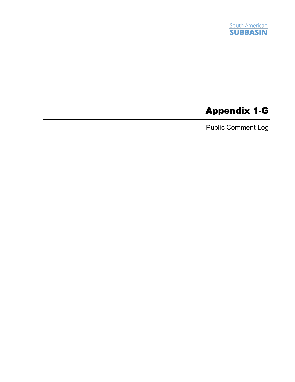

# Appendix 1-G

Public Comment Log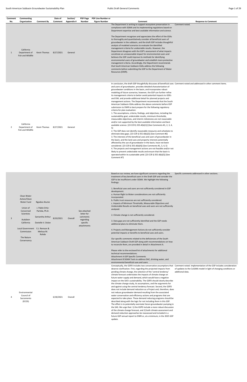| Comment        | Commenting                                                                                                                                                                                    |                                                                                                                  | Date of   | Section/         | <b>PDF Page</b>                                                                | <b>PDF Line Number or</b> |                                                                                                                                                                                                                                                                                                                                                                                                                                                                                                                                                                                                                                                                                                                                                                                                                                                                                                                                                                                                                                                                                                                                                                                                                                                                                                                                                                                                                                                                                                                                                                                                                                                                                                                                  |                  |                                                                   |
|----------------|-----------------------------------------------------------------------------------------------------------------------------------------------------------------------------------------------|------------------------------------------------------------------------------------------------------------------|-----------|------------------|--------------------------------------------------------------------------------|---------------------------|----------------------------------------------------------------------------------------------------------------------------------------------------------------------------------------------------------------------------------------------------------------------------------------------------------------------------------------------------------------------------------------------------------------------------------------------------------------------------------------------------------------------------------------------------------------------------------------------------------------------------------------------------------------------------------------------------------------------------------------------------------------------------------------------------------------------------------------------------------------------------------------------------------------------------------------------------------------------------------------------------------------------------------------------------------------------------------------------------------------------------------------------------------------------------------------------------------------------------------------------------------------------------------------------------------------------------------------------------------------------------------------------------------------------------------------------------------------------------------------------------------------------------------------------------------------------------------------------------------------------------------------------------------------------------------------------------------------------------------|------------------|-------------------------------------------------------------------|
| No.            | Organization                                                                                                                                                                                  | <b>Comment By</b>                                                                                                | Comment   | <b>Appendix#</b> | Number                                                                         | <b>Figure Number</b>      | Comment<br>The Department is writing to support ecosystem preservation in                                                                                                                                                                                                                                                                                                                                                                                                                                                                                                                                                                                                                                                                                                                                                                                                                                                                                                                                                                                                                                                                                                                                                                                                                                                                                                                                                                                                                                                                                                                                                                                                                                                        | Comment noted.   | <b>Response to Comment</b>                                        |
| $\mathbf{1}$   | California<br>Department of<br>Fish and Wildlife                                                                                                                                              | Kevin Thomas                                                                                                     | 8/17/2021 | General          |                                                                                |                           | compliance with SGMA and its implementing regulations based on<br>Department expertise and best available information and science.<br>The Department recognizes and appreciates the effort of the GSAs<br>to thoroughly and quantitatively consider all beneficial users of<br>groundwater in the subbasin, and the draft GSP includes thoughtful<br>analysis of modeled scenarios to evaluate the identified<br>management criteria for undesirable results. However, the<br>Department disagrees with the GSP's assessment of what impacts<br>constitute an unreasonable impact for environmental users and<br>believes the GSP could improve its methods for identifying<br>environmental users of groundwater and establish more protective<br>management criteria. Accordingly, the Department recommends<br>that South American Subbasin GSAs address the following<br>comments before submitting the GSP to the Department of Water<br>Resources (DWR).                                                                                                                                                                                                                                                                                                                                                                                                                                                                                                                                                                                                                                                                                                                                                                   |                  |                                                                   |
| $\overline{2}$ | California<br>Department of<br>Fish and Wildlife                                                                                                                                              | Kevin Thomas                                                                                                     | 8/17/2021 | General          |                                                                                |                           | In conclusion, the draft GSP thoughtfully discusses all beneficial uses Comment noted and addressed in other comment items.<br>and users of groundwater, provides detailed characterization of<br>groundwater conditions in the basin, and incorporates robust<br>modeling of future scenarios; however, the GSP can further refine<br>its management criteria to better avoid potential impacts to GDEs<br>and ISW, and provide additional detail for planned projects and<br>management actions. The Department recommends that the South<br>American Subbasin GSAs address the above comments before GSP<br>submission to DWR to best prepare for the following regulatory<br>criteria for plan evaluation:<br>1. The assumptions, criteria, findings, and objectives, including the<br>sustainability goal, undesirable results, minimum thresholds,<br>measurable objectives, and interim milestones are not reasonable<br>and/or not supported by the best available information and best<br>available science. [23 CCR § 355.4(b)(1)] (See Comments #1, 2, 3, 4,<br>5)<br>2. The GSP does not identify reasonable measures and schedules to<br>eliminate data gaps. [23 CCR § 355.4(b)(2)] (See Comment #6)<br>3. The interests of the beneficial uses and users of groundwater in<br>the basin, and the land uses and property interests potentially<br>affected by the use of groundwater in the basin, have not been<br>considered. [23 CCR § 355.4(b)(4)] (See Comments #1, 3, 4, 5)<br>4. The projects and management actions are not feasible and/or not<br>likely to prevent undesirable results and ensure that the basin is<br>operated within its sustainable yield. [23 CCR § 355.4(b)(5)] (See<br>Comment #7) |                  |                                                                   |
| $\overline{3}$ | Clean Water<br>Action/Clean<br><b>Water Fund</b><br>Union of<br>Concerned<br>Scientists<br>Audubon<br>California<br>Local Government E.J. Remson &<br>Commission<br>The Nature<br>Conservancy | Ngodoo Atume<br>J. Pablo Ortiz-<br>Partida, Ph.D.<br>Samantha Arthur<br>Danielle V. Dolan<br>Melissa M.<br>Rohde | 8/10/2021 | Overall          | See attached<br>letter for<br>comments<br>regarding<br>specific<br>attachments |                           | Based on our review, we have significant concerns regarding the<br>treatment of key beneficial users in the Draft GSP and consider the<br>GSP to be insufficient under SGMA. We highlight the following<br>findings:<br>1. Beneficial uses and users are not sufficiently considered in GSP<br>development.<br>a. Human Right to Water considerations are not sufficiently<br>incorporated.<br>b. Public trust resources are not sufficiently considered.<br>c. Impacts of Minimum Thresholds, Measurable Objectives and<br>Undesirable Results on beneficial uses and users are not sufficiently<br>analyzed.<br>2. Climate change is not sufficiently considered.<br>3. Data gaps are not sufficiently identified and the GSP needs<br>additional plans to eliminate them.<br>4. Projects and Management Actions do not sufficiently consider<br>potential impacts or benefits to beneficial uses and users.<br>Our specific comments related to the deficiencies of the South<br>American Subbasin Draft GSP along with recommendations on how<br>to reconcile them, are provided in detail in Attachment A.<br>Please refer to the enclosed list of attachments for additional<br>technical recommendations:<br>Attachment A GSP Specific Comments<br>Attachment B SGMA Tools to address DAC, drinking water, and<br>environmental beneficial uses and users<br>Conceptually, the GSPD includes two conservative assumptions that Comment noted. Implementation of the GSP includes consideration                                                                                                                                                                                                                            |                  | Specific comments addressed in other sections.                    |
|                |                                                                                                                                                                                               |                                                                                                                  |           |                  |                                                                                |                           | deserve clarification. First, regarding the projected impacts from<br>pending climate change, the selection of the 'central tendency'                                                                                                                                                                                                                                                                                                                                                                                                                                                                                                                                                                                                                                                                                                                                                                                                                                                                                                                                                                                                                                                                                                                                                                                                                                                                                                                                                                                                                                                                                                                                                                                            | additional data. | of updates to the CoSANA model in light of changing conditions or |

Environmental Council of Sacramento (ECOS)

6/18/2021 Overall

climate forecast understates the impacts of climate change on

future water supply and demand, which would have a negative bact on the SAS's sustainability. The GSPD should the climate change study, its assumptions, and the arguments for and against using the central tendency forecast. Second, the GSPD does not include demand reduction as a Project and, therefore, does not reduce groundwater demand resulting from the associated water conservation and efficiency actions and programs that are expected to take place. These demand reducing programs should be described along with the logic for not including them in this GSP. The effect is to potentially overstate future groundwater pumping in the SAS. We urge that: 1) the GSPD include a more robust discussion of the climate change forecast, and 2) both climate assessment and demand reduction approaches be reassessed and included in a future GSP annual report to DWR or, at a minimum, in the 2025 GSP update.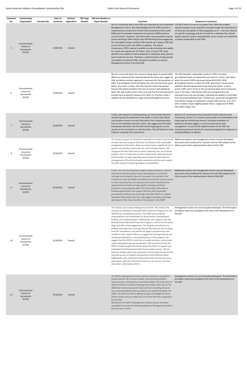| Comment<br>No. | Commenting<br>Organization                          | <b>Comment By</b> | Date of<br>Comment | Section/<br>Appendix# | PDF Page<br>Number | <b>PDF Line Number or</b><br><b>Figure Number</b> | Comment                                                                                                                                                                                                                                                                                                                                                                                                                                                                                                                                                                                                                                                                                                                                                                                                                                                                                                                                                                                                                                                                                                                                                                                                                                                                                                                                                      | <b>Response to Comment</b>                                                                                                                                                                                                                                                                                                                                                                                                                                                                                       |
|----------------|-----------------------------------------------------|-------------------|--------------------|-----------------------|--------------------|---------------------------------------------------|--------------------------------------------------------------------------------------------------------------------------------------------------------------------------------------------------------------------------------------------------------------------------------------------------------------------------------------------------------------------------------------------------------------------------------------------------------------------------------------------------------------------------------------------------------------------------------------------------------------------------------------------------------------------------------------------------------------------------------------------------------------------------------------------------------------------------------------------------------------------------------------------------------------------------------------------------------------------------------------------------------------------------------------------------------------------------------------------------------------------------------------------------------------------------------------------------------------------------------------------------------------------------------------------------------------------------------------------------------------|------------------------------------------------------------------------------------------------------------------------------------------------------------------------------------------------------------------------------------------------------------------------------------------------------------------------------------------------------------------------------------------------------------------------------------------------------------------------------------------------------------------|
| 5              | Environmental<br>Council of<br>Sacramento<br>(ECOS) |                   | 6/18/2021          | Overall               |                    |                                                   | We are concerned about how GDEs are impacted by the Sustainable This 80 ft metric concerns one paper from 1964 that studied<br>Management Criteria. We acknowledge that the GSPD presents a<br>comprehensive assessment of both interconnected surface water<br>(ISW) and Groundwater Dependent Ecosystems (GDE) based on<br>current science. However, new information was presented recently<br>(Lewis and Burgy 1964 study) to the GSP Working Group suggesting a system comparable to the SASb.<br>the root depth analysis used for GDEs should use a depth of 80 feet,<br>not the 30 feet used in the GSPD. In addition, The Nature<br>Conservancy (TNC) is about to publish a study indicating root depths<br>for certain oak species are 25 meters. Also, a recent TNC study<br>identifies the inability of oak woodlands to reproduce when ground<br>water levels are too low. Therefore, a determination of appropriate<br>root depths to maintain GDEs should be included as a priority<br>Management Action in the final GSP.                                                                                                                                                                                                                                                                                                                      | injected isotope tracers (particles moving through the subsurface) in<br>a fractured rock aquifer in hilly topography on $(n = 15)$ trees. Results<br>are specific to geology and do not hold for a relatively flat, alluvial,<br>aquifer-aquitard system. Reproducible, recent results are needed for                                                                                                                                                                                                           |
| 6              | Environmental<br>Council of<br>Sacramento<br>(ECOS) |                   | 6/18/2021          | Overall               |                    |                                                   | We are concerned about the measures being taken to protect GDEs. The GSP identifies undesirable results for GDEs not when<br>While we understand the rationale behind the three-year trigger for groundwater levels are below the root zone for 3 years, but rather,<br>ISW, we believe another approach is necessary for the protection of when the area of GDEs decreases below 44% (2012-2016<br>GDEs. If groundwater levels fall below the root zone for three years groundwater levels), or when the GDE "greenness" measured by<br>before any action is taken, then the need for action has passed<br>because the plants located in the area of concern will already be<br>dead. We urge further work in this area and that the final document<br>include more protective measures for GDEs; or if further study is<br>needed, this be identified as a high priority Management Action.                                                                                                                                                                                                                                                                                                                                                                                                                                                                | satellites declines below historically observed values. In other<br>words, GDEs won't shrink or dry out beyond what we've previously<br>seen in the basin. Importantly, GDE area and greenness has<br>improved since the past drought, indicating the ability to come back<br>from those groundwater lows. Furthermore, projected management<br>and climate change are expected to impact GDE area by -3 to +4 %,<br>with a median impact slightly greater than 0, largely due to PMA<br>near GDEs (Firgue 3-6). |
| 7              | Environmental<br>Council of<br>Sacramento<br>(ECOS) |                   | 6/18/2021          | Overall               |                    |                                                   | Finally, with respect to communicating, we recommend that that<br>monitoring data be presented to the public in a form that allows<br>local property owners to track information from sampling events<br>that are of immediate interest to them. We suggest that the GSAs<br>incorporate telemetry into the well monitoring program so that<br>frequent sampling if the need arises.                                                                                                                                                                                                                                                                                                                                                                                                                                                                                                                                                                                                                                                                                                                                                                                                                                                                                                                                                                         | Section 3.5.3 summarizes the protocols for data collection and<br>monitoring. Section 3.5. assesses and provides recommendations for<br>improving the monitoring network, including installation of<br>telemetry and data loggers, as well as protocols for data<br>management. As part of the implementation of the GSP, the<br>results can be recorded on a real-time basis. This will allow for more monitoring network will also be reassessed regularly for adequacy in<br>tracking Subbasin conditions.    |
| 8              | Environmental<br>Council of<br>Sacramento<br>(ECOS) |                   | 6/18/2021          | Overall               |                    |                                                   | The Group 2 project list should be expanded to include a priority list Additional projects and management actions may be developed,<br>of water purveyor projects that best contribute to the sustainable<br>management of the basin. Water purveyors have a significant list of GSAs as part of the implementation phase of the GSP.<br>system connectivity, conjunctive use, and recharge projects. We<br>recognize that the GSAs have no direct authority over any of these<br>projects, but it is important to send a signal to the water purveyors<br>and the public at large regarding which projects fit best with the<br>management of the SAS and what completion priority each project<br>has with respect to attaining subbasin sustainability.                                                                                                                                                                                                                                                                                                                                                                                                                                                                                                                                                                                                   | discussed, and considered for inclusion into the GSP update by the                                                                                                                                                                                                                                                                                                                                                                                                                                               |
| 9              | Environmental<br>Council of<br>Sacramento<br>(ECOS) |                   | 6/18/2021          | Overall               |                    |                                                   | Finally, we note the important insights made possible by research<br>and monitoring that guides Project development so that both<br>recharge and ecological value are increased. An example is the<br>investment made by OHWD and SAFCA to work with research teams<br>to fully understand the site characteristics and to identify all the<br>opportunities for both principal aquifer recharge and flood<br>protection, and ecological uplift. This information will enhance<br>funding opportunities and support effective and responsible<br>groundwater banking. We encourage SAS GSAs efforts to support<br>individual GSA projects like this, and suggest including a thorough<br>description of the many benefits of the project in the DGSP.                                                                                                                                                                                                                                                                                                                                                                                                                                                                                                                                                                                                        | Additional projects and management actions may be developed,<br>discussed, and considered for inclusion into the GSP update by the<br>GSAs as part of the implementation phase of the GSP.                                                                                                                                                                                                                                                                                                                       |
| 10             | Environmental<br>Council of<br>Sacramento<br>(ECOS) |                   | 6/18/2021          | Overall               |                    |                                                   | This Section also contains Management Action. We endorse the<br>concept of a Shallow/ Vulnerable Well Protection Program and the<br>Well Permit Coordination actions. The GSPD should specify<br>responsibilities and timeframes for these Actions' development,<br>funding, and implementation. Additionally, we recognize that the<br>Shallow/Vulnerable Well Protection Program is still in the formative<br>stage and offer these suggestions: The Program should focus on<br>shallow wells (domestic and agricultural) that become dry resulting<br>from MT exceedance, and should not apply to localized dry well<br>conditions. We support efforts to engage the local agricultural and<br>residential landowners in the development of the program. We<br>suggest that the GSPD's initial focus include voluntary, private well<br>owner data gathering and coordination. We recommend that the<br>GSPD include enough information about the effort to support any<br>subsequent funding opportunities from outside sources. The tie<br>between shallow wells and conjunctive use/recharge should also be<br>assessed as part of program development and implementation.<br>Additionally, with enhanced private well owner monitoring, these<br>well owners will have information they can use to carry out their<br>own water conservation efforts. | Management actions are not all equally developed. The information<br>provided is what was available at the time of the development of<br>the GSP.                                                                                                                                                                                                                                                                                                                                                                |

The GSPD's Management Actions section should be expanded to include specific lists of work, studies, and monitoring system

| 11 | Environmental<br>Council of<br>Sacramento<br>(ECOS) | 6/18/2021 | Overall | improvements, including the responsible GSA(s). The same level of the GSP.<br>detail should be included in Management Action write-ups for the<br>additional monitoring system improvements (including those we<br>have recommended) noted as needed to be performed within the<br>GSPD. The GSAs may find it difficult to plan and budget for these<br>Actions unless they are called out in the final GSP that is approved<br>by the GSAs. |  |
|----|-----------------------------------------------------|-----------|---------|----------------------------------------------------------------------------------------------------------------------------------------------------------------------------------------------------------------------------------------------------------------------------------------------------------------------------------------------------------------------------------------------------------------------------------------------|--|
|    |                                                     |           |         |                                                                                                                                                                                                                                                                                                                                                                                                                                              |  |
|    |                                                     |           |         |                                                                                                                                                                                                                                                                                                                                                                                                                                              |  |
|    |                                                     |           |         |                                                                                                                                                                                                                                                                                                                                                                                                                                              |  |
|    |                                                     |           |         | We believe the GSPD's Management Actions section should be                                                                                                                                                                                                                                                                                                                                                                                   |  |
|    |                                                     |           |         | expanded to include the following additional Management Actions:                                                                                                                                                                                                                                                                                                                                                                             |  |
|    |                                                     |           |         | (see the next 2 rows)                                                                                                                                                                                                                                                                                                                                                                                                                        |  |
|    |                                                     |           |         |                                                                                                                                                                                                                                                                                                                                                                                                                                              |  |

Management actions are not all equally developed. The information provided is what was available at the time of the development of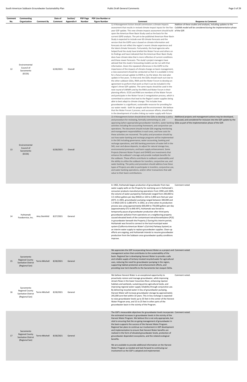| Comment | Commenting                                           |                           | Date of   | Section/   | <b>PDF Page</b> | <b>PDF Line Number or</b> |                                                                                                                                                                                                                         |                                                                    |
|---------|------------------------------------------------------|---------------------------|-----------|------------|-----------------|---------------------------|-------------------------------------------------------------------------------------------------------------------------------------------------------------------------------------------------------------------------|--------------------------------------------------------------------|
| No.     | Organization                                         | <b>Comment By</b>         | Comment   | Appendix # | Number          | <b>Figure Number</b>      | Comment                                                                                                                                                                                                                 | <b>Response to Comment</b>                                         |
|         |                                                      |                           |           |            |                 |                           | 1) A Management Action should commission a climate impacts                                                                                                                                                              | Addition of these studies and analyses, including updates to the   |
|         |                                                      |                           |           |            |                 |                           | assessment that results in revised climate impact inputs for the five- CoSANA model will be considered during the implementation phase<br>year GSP update. This new climate impacts assessment should build of the GSP. |                                                                    |
|         |                                                      |                           |           |            |                 |                           | upon the American River Basin Study used as the basis for the                                                                                                                                                           |                                                                    |
|         |                                                      |                           |           |            |                 |                           | current GSPD analysis. The yet-to-be-published American River Basin                                                                                                                                                     |                                                                    |
|         |                                                      |                           |           |            |                 |                           | Study is expected to include over 60 climate forecasts and the                                                                                                                                                          |                                                                    |
|         |                                                      |                           |           |            |                 |                           | version that the GSPD uses is based on climate information and                                                                                                                                                          |                                                                    |
|         |                                                      |                           |           |            |                 |                           | forecasts do not reflect the region's recent climate experience and                                                                                                                                                     |                                                                    |
|         |                                                      |                           |           |            |                 |                           | the latest climate forecasts. Fortunately, the local agencies who                                                                                                                                                       |                                                                    |
|         |                                                      |                           |           |            |                 |                           | helped fund the study have briefed the Water Forum and others on<br>its findings and have indicated that the American River Basin Study                                                                                 |                                                                    |
|         |                                                      |                           |           |            |                 |                           | does have climate data that is more reflective of current conditions                                                                                                                                                    |                                                                    |
|         |                                                      |                           |           |            |                 |                           | and these newer forecasts. The study's project managers have                                                                                                                                                            |                                                                    |
|         | Environmental                                        |                           |           |            |                 |                           | advised that the study's forecasting models can be run with that                                                                                                                                                        |                                                                    |
|         | Council of                                           |                           |           |            |                 |                           | information. Given the repeated references in the GSPD to the                                                                                                                                                           |                                                                    |
| 12      | Sacramento                                           |                           | 6/18/2021 | Overall    |                 |                           | importance of the impacts of climate change on basin management,                                                                                                                                                        |                                                                    |
|         | (ECOS)                                               |                           |           |            |                 |                           | a new assessment should be conducted so that it is available in time<br>for a future annual update to DWR or, by the latest, the next plan                                                                              |                                                                    |
|         |                                                      |                           |           |            |                 |                           | update in five years. To that end, the GSAs should reach out now to                                                                                                                                                     |                                                                    |
|         |                                                      |                           |           |            |                 |                           | the other subbasin GSAs, RWA and the Water Forum to develop an                                                                                                                                                          |                                                                    |
|         |                                                      |                           |           |            |                 |                           | agreement to perform that work so that it can be included in the                                                                                                                                                        |                                                                    |
|         |                                                      |                           |           |            |                 |                           | region's three GSP updates. The same inputs should be used in the                                                                                                                                                       |                                                                    |
|         |                                                      |                           |           |            |                 |                           | next round of UWMPs and by the RWA and Water Forum in their                                                                                                                                                             |                                                                    |
|         |                                                      |                           |           |            |                 |                           | planning efforts. ECOS and RWA are members of the Water Forum                                                                                                                                                           |                                                                    |
|         |                                                      |                           |           |            |                 |                           | and participate in the Water Forum 2 renegotiation process, which is<br>committed to actions that lead to the Region's water supplies being                                                                             |                                                                    |
|         |                                                      |                           |           |            |                 |                           | able to best adapt to climate change. This includes how                                                                                                                                                                 |                                                                    |
|         |                                                      |                           |           |            |                 |                           | groundwater is a significant, sustainable resource for providing for                                                                                                                                                    |                                                                    |
|         |                                                      |                           |           |            |                 |                           | our water needs - both for people and the environment. We believe                                                                                                                                                       |                                                                    |
|         |                                                      |                           |           |            |                 |                           | that the Water Forum 2 process, and successor efforts, should help                                                                                                                                                      |                                                                    |
|         |                                                      |                           |           |            |                 |                           | in the development of studies linking our water supply with future                                                                                                                                                      |                                                                    |
|         |                                                      |                           |           |            |                 |                           | 2) A Management Action should direct the GSAs to develop a policy                                                                                                                                                       | Additional projects and management actions may be developed,       |
|         |                                                      |                           |           |            |                 |                           | and procedure for reviewing, formally commenting on, and                                                                                                                                                                | discussed, and considered for inclusion into the GSP update by the |
|         |                                                      |                           |           |            |                 |                           | approving (when appropriate) groundwater transfers, water banking GSAs as part of the implementation phase of the GSP.<br>activities including the accounting framework, and conjunctive use                            |                                                                    |
|         |                                                      |                           |           |            |                 |                           | operations. The document should include GSA ongoing monitoring                                                                                                                                                          |                                                                    |
|         |                                                      |                           |           |            |                 |                           | and management responsibilities in each area, and how costs for                                                                                                                                                         |                                                                    |
|         |                                                      |                           |           |            |                 |                           | these activities are recovered. The policy and procedure should lay                                                                                                                                                     |                                                                    |
|         |                                                      |                           |           |            |                 |                           | out how water banking and recharge programs will be implemented                                                                                                                                                         |                                                                    |
|         |                                                      |                           |           |            |                 |                           | in the SAS including governance, water accounting, banking and                                                                                                                                                          |                                                                    |
|         | Environmental                                        |                           |           |            |                 |                           | recharge operations, and SAS banking premiums of water left in the                                                                                                                                                      |                                                                    |
|         | Council of                                           |                           |           |            |                 |                           | SAS, over and above deposits, to adjust for natural storage loss,                                                                                                                                                       |                                                                    |
| 13      | Sacramento                                           |                           | 6/18/2021 | Overall    |                 |                           | environmental premiums, and basin supply enhancement. Some<br>Projects (Harvest Water Project and OHWD) are investments that                                                                                            |                                                                    |
|         | (ECOS)                                               |                           |           |            |                 |                           | enhance the subbasin's storage and provide multiple benefits for                                                                                                                                                        |                                                                    |
|         |                                                      |                           |           |            |                 |                           | the subbasin. These efforts contribute to subbasin sustainability and                                                                                                                                                   |                                                                    |
|         |                                                      |                           |           |            |                 |                           | the ability to utilize the subbasin for transfers, conjunctive use, and                                                                                                                                                 |                                                                    |
|         |                                                      |                           |           |            |                 |                           | water banking. The policy and procedure should address how these                                                                                                                                                        |                                                                    |
|         |                                                      |                           |           |            |                 |                           | types of Projects are able to participate in transfers, conjunctive use,                                                                                                                                                |                                                                    |
|         |                                                      |                           |           |            |                 |                           | and water banking operations, and/or other transactions that add<br>value to their basin contributions.                                                                                                                 |                                                                    |
|         |                                                      |                           |           |            |                 |                           |                                                                                                                                                                                                                         |                                                                    |
|         |                                                      |                           |           |            |                 |                           |                                                                                                                                                                                                                         |                                                                    |
|         |                                                      |                           |           |            |                 |                           |                                                                                                                                                                                                                         |                                                                    |
|         |                                                      |                           |           |            |                 |                           | In 1963, Huhtamaki began production of groundwater from two                                                                                                                                                             | Comment noted                                                      |
|         |                                                      |                           |           |            |                 |                           | water supply wells on the Property for overlying use in Huhtamaki's                                                                                                                                                     |                                                                    |
|         |                                                      |                           |           |            |                 |                           | consumer products manufacturing operations From 1990 until 2005,                                                                                                                                                        |                                                                    |
|         |                                                      |                           |           |            |                 |                           | the volume of water pumped by Huhtamaki ranged from 200,000 to                                                                                                                                                          |                                                                    |
|         |                                                      |                           |           |            |                 |                           | 3.5 million gallons per day (MGD) or 220 to 3,900 acre-feet per year                                                                                                                                                    |                                                                    |
|         |                                                      |                           |           |            |                 |                           | (AFY). In 2001, groundwater pumping ranged between 300,000 and<br>1.5 MGD (335 to 1,680 AFY). In 2002, at a time when its production                                                                                    |                                                                    |
|         |                                                      |                           |           |            |                 |                           | process was using approximately 600,000 to 750,000 gallons per day                                                                                                                                                      |                                                                    |
|         |                                                      |                           |           |            |                 |                           | (approximately 672 to 840 AFY), Huhtamaki was forced to                                                                                                                                                                 |                                                                    |
|         |                                                      |                           |           |            |                 |                           | temporarily pause all groundwater production after third-party                                                                                                                                                          |                                                                    |
| 14      | Huhtamaki                                            | Amy Steinfeld             | 8/17/2021 | General    |                 |                           | groundwater pollution from operations on a neighboring property                                                                                                                                                         |                                                                    |
|         | Foodservice, Inc.                                    |                           |           |            |                 |                           | caused elevated levels of the contaminant tetrachloroethylene (PCE)                                                                                                                                                     |                                                                    |
|         |                                                      |                           |           |            |                 |                           | in groundwater beneath the Property.2 During this interim period,                                                                                                                                                       |                                                                    |
|         |                                                      |                           |           |            |                 |                           | Huhtamaki was forced to connect to the local municipal water                                                                                                                                                            |                                                                    |
|         |                                                      |                           |           |            |                 |                           | system (California-American Water's (Cal-Am) Parkway System) as                                                                                                                                                         |                                                                    |
|         |                                                      |                           |           |            |                 |                           | an interim water supply to replace groundwater supplies. Clean-up<br>efforts are ongoing, and Huhtamaki intends to resume groundwater                                                                                   |                                                                    |
|         |                                                      |                           |           |            |                 |                           | production from the Subbasin once groundwater quality conditions                                                                                                                                                        |                                                                    |
|         |                                                      |                           |           |            |                 |                           | improve.                                                                                                                                                                                                                |                                                                    |
|         |                                                      |                           |           |            |                 |                           |                                                                                                                                                                                                                         |                                                                    |
|         |                                                      |                           |           |            |                 |                           |                                                                                                                                                                                                                         |                                                                    |
|         |                                                      |                           |           |            |                 |                           |                                                                                                                                                                                                                         |                                                                    |
|         |                                                      |                           |           |            |                 |                           | We appreciate the GSP incorporating Harvest Water as a project and Comment noted.                                                                                                                                       |                                                                    |
|         |                                                      |                           |           |            |                 |                           | management action that contributes to the sustainability of the                                                                                                                                                         |                                                                    |
|         | Sacramento                                           |                           |           |            |                 |                           | basin. Regional San is developing Harvest Water to provide a safe<br>and reliable supply of tertiary-treated recycled water for agricultural                                                                            |                                                                    |
| 15      | <b>Regional County</b><br><b>Sanitation District</b> | Terrie Mitchell 8/18/2021 |           | General    |                 |                           | uses, reducing the need for groundwater pumping in the region,                                                                                                                                                          |                                                                    |
|         | (Regional San)                                       |                           |           |            |                 |                           | supporting habitat protection and enhancement efforts, and                                                                                                                                                              |                                                                    |
|         |                                                      |                           |           |            |                 |                           | providing near-term benefits to the Sacramento-San Joaquin Delta.                                                                                                                                                       |                                                                    |
|         |                                                      |                           |           |            |                 |                           |                                                                                                                                                                                                                         |                                                                    |
|         |                                                      |                           |           |            |                 |                           | We believe Harvest Water is an exceptional opportunity to                                                                                                                                                               | Comment noted.                                                     |

proactively restore and manage groundwater, while improving

17

| Sacramento<br><b>Regional County</b><br><b>Sanitation District</b><br>(Regional San) | Terrie Mitchell | 8/18/2021 | General | stream flows in the lower Cosumnes River, enhancing riparian<br>habitats and wetlands, sustaining prime agricultural lands, and<br>improving regional water supply reliability through conjunctive use.<br>By delivering recycled water in-lieu of groundwater pumping,<br>Harvest Water will increase groundwater storage by approximately<br>245,000 acre-feet within 10 years. This in-lieu recharge is expected<br>to raise groundwater levels up to 35 feet in the center of the Harvest<br>Water Program area, and 15 to 25 feet in other parts of the<br>groundwater basin in the vicinity of the Program.                                            |
|--------------------------------------------------------------------------------------|-----------------|-----------|---------|--------------------------------------------------------------------------------------------------------------------------------------------------------------------------------------------------------------------------------------------------------------------------------------------------------------------------------------------------------------------------------------------------------------------------------------------------------------------------------------------------------------------------------------------------------------------------------------------------------------------------------------------------------------|
| Sacramento<br><b>Regional County</b><br><b>Sanitation District</b><br>(Regional San) | Terrie Mitchell | 8/18/2021 | General | The GSP's measurable objectives for groundwater levels incorporate Comment noted.<br>the estimated increases in groundwater levels in the vicinity of the<br>Harvest Water Program. We believe this is not only appropriate, but<br>vital to ensuring that the on-going management of groundwater in<br>the basin supports the success of the Harvest Water Program.<br>Regional San plans to continue our involvement in GSP development<br>and implementation to ensure that Harvest Water benefits are<br>realized in the form of elevated groundwater levels, protection of<br>groundwater dependent ecosystems, and the related ecological<br>benefits. |

We are available to provide additional information on the Harvest Water Program as needed and look forward to continuing our involvement as the GSP is adopted and implemented.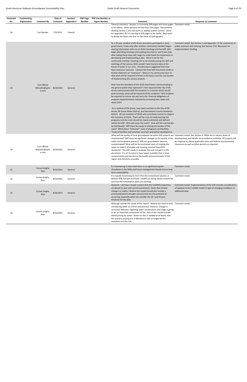| Comment | Commenting   |                                     | Date of   | Section/   | <b>PDF Page</b> | <b>PDF Line Number or</b> |                                                                                                                                                                                                                                                                                                                                                                                                                                                                                                                                                                                                                                                                                                                                                                                                                                                                            |                                                                                                                                                            |
|---------|--------------|-------------------------------------|-----------|------------|-----------------|---------------------------|----------------------------------------------------------------------------------------------------------------------------------------------------------------------------------------------------------------------------------------------------------------------------------------------------------------------------------------------------------------------------------------------------------------------------------------------------------------------------------------------------------------------------------------------------------------------------------------------------------------------------------------------------------------------------------------------------------------------------------------------------------------------------------------------------------------------------------------------------------------------------|------------------------------------------------------------------------------------------------------------------------------------------------------------|
| No.     | Organization | <b>Comment By</b>                   | Comment   | Appendix # | Number          | <b>Figure Number</b>      | Comment                                                                                                                                                                                                                                                                                                                                                                                                                                                                                                                                                                                                                                                                                                                                                                                                                                                                    | <b>Response to Comment</b>                                                                                                                                 |
| 18      |              | Carl Werder                         | 7/5/2021  | Overall    |                 |                           | General comment: Section 1 is currently 204 pages and more pages Comment noted<br>to be added. Other sections are less than 100 pages. Recommend<br>dividing Section 1 into two parts or adding another section. Same<br>for appendix 2-B, it is two big at 459 pages to be useful. May want<br>to divide the basin into four or five areas of hydrographs.                                                                                                                                                                                                                                                                                                                                                                                                                                                                                                                |                                                                                                                                                            |
|         |              |                                     |           |            |                 |                           | As a 34 year resident of Elk Grove and active participant in local<br>government, it was only after another community member began<br>sharing information with me on SCGA meetings and the GSP, did I<br>begin attending meetings and reading documents--and it was only<br>after taking these steps did I begin to understand the importance in<br>developing and implementing a plan. Were it not for the<br>community member reaching out to me and discussing the GSP and<br>meetings of the various GSA's would I have had any idea of the<br>future of water in our area. This document suggested there has<br>been extensive outreach. I believe the final GSP document needs to<br>further elaborate on "extensive". Many in my community have no<br>idea what will be required of them in the future and the cost burden<br>of implementing the various projects. | Comment noted. See Section 1 and Appendix 1-E for summaries of<br>public outreach and noticing. See Section 5 for discussion on<br>implementation funding. |
| 19      |              | Lynn Wheat<br>Wheat91@yaho<br>o.com | 8/18/2021 | General    |                 |                           | How have the members of the SCGA board been communicating to<br>the general public they represent? I had requested the City of Elk<br>Grove communicate with the residents in a manner which would<br>peak curiosity; what will be required of the residents? Will residents<br>be required to reduce use and carry the financial obligations of<br>program implementation imposed by increasing fees, taxes and<br>water bills?                                                                                                                                                                                                                                                                                                                                                                                                                                           |                                                                                                                                                            |
|         |              |                                     |           |            |                 |                           | As a resident of Elk Grove, I pay taxes and fees to the City of Elk<br>Grove, Elk Grove Water District, and Sacramento County Sanitation<br>District. All are members of SCGA who contribute monies to support<br>the functions of SCGA. There will be costs to implementing the<br>programs and the costs should be clearly estimated and defined<br>within the GSP. Who will cover the costs? How will the cost burden<br>be distributed? Will there be equity in sharing the burden of the<br>costs? What about "Unknown" costs of programs and facilities.<br>"Costs of facilities and activities uncertain and will be developed as                                                                                                                                                                                                                                   |                                                                                                                                                            |
| 20      |              | Lynn Wheat<br>Wheat91@yaho<br>o.com | 8/18/2021 | General    |                 |                           | What will the quality of local groundwater be when GSP projects are Comment noted. See Section 4. PMAs are in various levels of<br>implemented? Will there be significant changes to the quality of the development, and details are provided as available. All projects will<br>water and treatment process? Will our groundwater become<br>contaminated? What will be the estimated costs of treating the<br>water to make it drinkable and meeting minimal State/EPA<br>standards? The GSP needs to evaluate this and include it in the<br>document. It is of no value to have water available that is more<br>contaminated and harmful to the health and environment of the<br>region and therefore unusable.                                                                                                                                                          | be required to obtain applicable state and federal environmental<br>clearances as well as other permits as required.                                       |
| 21      |              | Suman Singha,<br>PhD                | 8/16/2021 | General    |                 |                           | It is heartening to learn that there is no significant aquifer<br>drawdown in the SASb and future management should ensure long<br>term sustainability.                                                                                                                                                                                                                                                                                                                                                                                                                                                                                                                                                                                                                                                                                                                    | Comment noted                                                                                                                                              |
| 22      |              | Suman Singha,<br>PhD                | 8/16/2021 | General    |                 |                           | It is equally heartening to learn that the contaminant plumes at<br>Mather AFB, Aerojet and Kiefer Landfill are being closely monitored<br>and that the remediation plans are working.                                                                                                                                                                                                                                                                                                                                                                                                                                                                                                                                                                                                                                                                                     | Comment noted                                                                                                                                              |
| 23      |              | Suman Singha,<br>PhD                | 8/16/2021 | General    |                 |                           | However, I do have a major concern that the CoSANA projections<br>are based on past and current parameters. Given that climate<br>change is a reality, I believe the model should also include a<br>protracted/severe drought scenario that has the potential of<br>occurring; especially when we consider the 20- and 50-year<br>timelines for the plan.                                                                                                                                                                                                                                                                                                                                                                                                                                                                                                                  | Comment noted. Implementation of the GSP includes consideration<br>of updates to the CoSANA model in light of changing conditions or<br>additional data.   |
| 24      |              | Suman Singha,<br>PhD                | 8/16/2021 | General    |                 |                           | Although outside the scope of this report, I believe we need to start Comment noted<br>considering water as a finite and precious resource. Change in<br>consumer behavior regarding water conservation and usage is going<br>to be an important component of this. Part of this should include<br>tiered pricing for water. Action on this is needed at all levels, else<br>the scenario playing out in Mendocino will no longer be the<br>exception but the rule.                                                                                                                                                                                                                                                                                                                                                                                                        |                                                                                                                                                            |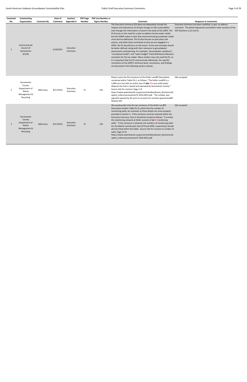| Comment      | Commenting                                                                  |                   | Date of   | Section/             | <b>PDF Page</b> | <b>PDF Line Number or</b> |                                                                                                                                                                                                                                                                                                                                                                                                                                                                                                                                                                                                                                                                                                                                                                                                                                                                                                                                                                                                                                                             |                                                                                                                                |
|--------------|-----------------------------------------------------------------------------|-------------------|-----------|----------------------|-----------------|---------------------------|-------------------------------------------------------------------------------------------------------------------------------------------------------------------------------------------------------------------------------------------------------------------------------------------------------------------------------------------------------------------------------------------------------------------------------------------------------------------------------------------------------------------------------------------------------------------------------------------------------------------------------------------------------------------------------------------------------------------------------------------------------------------------------------------------------------------------------------------------------------------------------------------------------------------------------------------------------------------------------------------------------------------------------------------------------------|--------------------------------------------------------------------------------------------------------------------------------|
| No.          | Organization                                                                | <b>Comment By</b> | Comment   | Appendix #           | <b>Number</b>   | <b>Figure Number</b>      | Comment                                                                                                                                                                                                                                                                                                                                                                                                                                                                                                                                                                                                                                                                                                                                                                                                                                                                                                                                                                                                                                                     | <b>Response to Comments</b>                                                                                                    |
| $\mathbf{1}$ | Environmental<br>Council of<br>Sacramento<br>(ECOS)                         |                   | 6/18/2021 | Executive<br>Summary |                 |                           | The Executive Summary (ES) does not adequately include the<br>impacts and importance of climate change on SAS sustainability<br>even though this information is found in the body of the GSPD. The GSP (Sections 2,3,4 and 5).<br>ES focuses on the need for a plan to address human water needs,<br>but the SGMA makes it clear that environmental groundwater needs<br>must also be addressed. The ES also focuses on past plans and<br>actions, and while these contribute to why we are engaged in a<br>GSPD, the ES should focus on the future. Terms and concepts should<br>be better defined, along with their relevance to groundwater<br>assessments and planning. For example, "groundwater conditions",<br>"conceptual model", and "water budget" need definitions/relevance<br>narratives for the lay reader. Many readers may only read the ES, so<br>it is important that the ES communicate effectively. Our specific<br>comments on the GSPD's technical work, conclusions, and findings<br>are discussed in the following section reviews. | Executive Summary has been modified, in part, to address<br>comment. The detail requested is provided in later sections of the |
| 2            | Sacramento<br>County<br>Department of<br>Waste<br>Management &<br>Recycling | Mike Koza         | 8/17/2021 | Executive<br>Summary | IX              | 129                       | Please revise the first sentence of the Kiefer Landfill Description,<br>contained within Table ES-2, as follows: "The Kiefer Landfill is a<br>1,084-acre site with an active class III 300 335-acre solid waste<br>disposal site that is owned and operated by Sacramento County."<br>Source info for revision: Page 2 of<br>https://www.waterboards.ca.gov/centralvalley/board decisions/ad<br>opted orders/sacramento/r5-2016-0013.pdf The number was<br>adjusted upward by 30 acres to account for recently opened landfill<br>Module M4.                                                                                                                                                                                                                                                                                                                                                                                                                                                                                                                | Edit accepted                                                                                                                  |
| 3            | Sacramento<br>County<br>Department of<br>Waste<br>Management &<br>Recycling | Mike Koza         | 8/17/2021 | Executive<br>Summary | IX              | 129                       | We would prefer that the last sentence of the Kiefer Landfill<br>Description (within Table ES-2), which lists the number of<br>monitoring wells, be removed, as these details are more properly<br>provided in Section 2. If this sentence must be retained within the<br>Executive Summary, then it should be revised as follows: "Currently,<br>the monitoring network at Kiefer consists of 23 65 monitoring<br>wells." If the sentence is retained, the numbers of monitoring wells<br>for the Mather and Aerojet sites (570 and 2000, respectively) should<br>also be listed within this table. Source info for revision to number of<br>wells: Page 10 of<br>https://www.waterboards.ca.gov/centralvalley/board decisions/ad<br>opted orders/sacramento/r5-2016-0013.pdf                                                                                                                                                                                                                                                                              | Edit accepted                                                                                                                  |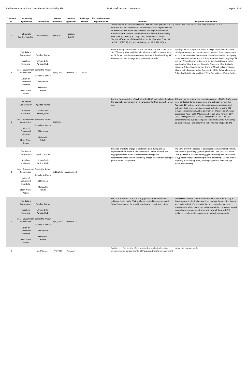| Comment<br>No.          | Commenting<br>Organization                                                                                                                                           | <b>Comment By</b>                                                                                          | Date of<br>Comment | Section/<br>Appendix # | <b>PDF Page</b><br>Number | <b>PDF Line Number or</b><br><b>Figure Number</b> | Comment                                                                                                                                                                                                                                                                                                                                                                                                                                                                                                                                         | <b>Response to Comments</b>                                                                                                                                                                                                                                                                                                                                                                                                                                                                                                                                                                                                    |
|-------------------------|----------------------------------------------------------------------------------------------------------------------------------------------------------------------|------------------------------------------------------------------------------------------------------------|--------------------|------------------------|---------------------------|---------------------------------------------------|-------------------------------------------------------------------------------------------------------------------------------------------------------------------------------------------------------------------------------------------------------------------------------------------------------------------------------------------------------------------------------------------------------------------------------------------------------------------------------------------------------------------------------------------------|--------------------------------------------------------------------------------------------------------------------------------------------------------------------------------------------------------------------------------------------------------------------------------------------------------------------------------------------------------------------------------------------------------------------------------------------------------------------------------------------------------------------------------------------------------------------------------------------------------------------------------|
| 1                       | Huhtamaki<br>Foodservice, Inc.                                                                                                                                       | Amy Steinfeld                                                                                              | 8/17/2021          | Section<br>1.5.3.1     |                           |                                                   | The Draft Plan list of SASb Beneficial Uses and Users (Section 1.5.3.1) Water uses listed in 1-D have been added to 1.5.3.1<br>does not include "commercial" or "industrial" uses of groundwater<br>as beneficial uses within the Subbasin. Although the Draft Plan<br>mentions these types of uses elsewhere and in the Sustainability<br>Goal (see, e.g., Plan, § 3.1, App. 1-D), "commercial" and/or<br>"industrial" uses should be added to this list. (See Wat. Code, §§<br>10723.2, 10727.2(b)(2); Cal. Code Regs., tit 23, § 354.10(a).) |                                                                                                                                                                                                                                                                                                                                                                                                                                                                                                                                                                                                                                |
| $\overline{2}$          | The Nature<br>Conservancy<br>Audubon<br>California<br>Local Government Samantha Arthur<br>Commission<br>Union of<br>Concerned<br>Scientists<br>Clean Water<br>Action | Ngodoo Atume<br>J. Pablo Ortiz-<br>Partida, Ph.D.<br>Danielle V. Dolan<br>EJ Remson<br>Melissa M.<br>Rohde |                    | 8/10/2021 Appendix 1D  | 69-71                     |                                                   | Provide a map of tribal lands in the subbasin. The GSP states (p. 2-<br>10): "The only tribal land that falls within the SASb is located south<br>of Elk Grove near the intersection of Kammerer Road and Hwy 99."<br>However no map, acreage, or population is provided.                                                                                                                                                                                                                                                                       | Although we do not provide maps, acreage, or population counts,<br>tribal governments and entities were contacted during engagement<br>and outreach (detailed in Appendix 1D) and are involved in ongoing<br>communication and outreach. Tribal groups involved in ongoing C&E<br>include: Wilton Rancheria, Buena Vista Rancheria Mewuk Indians,<br>Ione Band of Miwok Indians, Nashville Enterprise Miwok-Maidu-<br>Nishinam Tribes, Shingle Springs Brand of Miwok Indians, Tsi Akim<br>Maidu, United Auburn Indian Community of the Auburn Rancheria,<br>Colfax-Todds Valley Consolidated Tribe, Yocha Dehe Wintun Nation. |
| $\overline{\mathbf{3}}$ | The Nature<br>Conservancy<br>Audubon<br>California<br>Local Government Samantha Arthur<br>Commission<br>Union of<br>Concerned<br>Scientists<br>Clean Water<br>Action | Ngodoo Atume<br>J. Pablo Ortiz-<br>Partida, Ph.D.<br>Danielle V. Dolan<br>EJ Remson<br>Melissa M.<br>Rohde | 8/12/2021          |                        |                           |                                                   | the population dependent on groundwater for their domestic water were contacted during engagement and outreach (detailed in<br>use.                                                                                                                                                                                                                                                                                                                                                                                                             | Provide the population of each identified DAC and include details on Although we do not provide population counts of DACs, DAC groups<br>Appendix 1D) and are involved in ongoing communication and<br>outreach. DAC-representative groups involved in ongoing C&E<br>include: Environmental Justice Coalition for Water, Florin Census-<br>Designated Place (CDP) DAC, Lemon Hill CDP DAC, Parkway CDP<br>DAC, Fruitridge Pocket CDP DAC, Freeport CDP DAC. The GSP<br>comprehensively evaluates impacts to domestic wells - which may<br>be used by DACs - and finds them to be minimal (Appendix 3A).                       |
| $\overline{4}$          | The Nature<br>Conservancy<br>Audubon<br>California<br>Local Government Samantha Arthur<br>Commission<br>Union of<br>Concerned<br>Scientists<br>Clean Water<br>Action | Ngodoo Atume<br>J. Pablo Ortiz-<br>Partida, Ph.D.<br>Danielle V. Dolan<br>EJ Remson<br>Melissa M.<br>Rohde |                    | 8/16/2021 Appendix 1D  |                           |                                                   | Describe efforts to engage with stakeholders during the GSP<br><i>implementation</i> phase in the Stakeholder Communication and<br>Engagement Plan. Refer to Attachment B for specific<br>recommendations on how to actively engage stakeholders during all (i.e., public notices and meetings before amending a GSP or prior to<br>phases of the GSP process.                                                                                                                                                                                  | The GSAs are in the process of developing an implementation MOU<br>that includes public engagement provisions. The GSAs will follow<br>DWR guidance in stakeholder engagement during implementation<br>imposing or increasing a fee, and ongoing efforts to encourage<br>active involvement).                                                                                                                                                                                                                                                                                                                                  |
| 5                       | The Nature<br>Conservancy<br>Audubon<br>California<br>Local Government Samantha Arthur<br>Commission<br>Union of<br>Concerned<br>Scientists<br>Clean Water<br>Action | Ngodoo Atume<br>J. Pablo Ortiz-<br>Partida, Ph.D.<br>Danielle V. Dolan<br>EJ Remson<br>Melissa M.<br>Rohde |                    | 8/17/2021 Appendix 1D  |                           |                                                   | Describe efforts to consult and engage with tribes within the<br>subbasin. Refer to the DWR guidance entitled Engagement with<br>Tribal Governments for specifics on how to consult with tribes.                                                                                                                                                                                                                                                                                                                                                | We received a list of potentially interested tribes after making a<br>direct request to the Native American Heritage Commission. Contact<br>was made with all of the listed tribes and those that indicated<br>interest were added to the subbasin outreach lists. However, we will<br>maintain ongoing communication with tribes following DWR<br>guidance in stakeholder engagement during implementation.                                                                                                                                                                                                                   |
| 6                       |                                                                                                                                                                      | Carl Werder                                                                                                | 7/5/2021           | Section 1              |                           |                                                   | Section 1, -- This section offers nothing but a rehash of existing<br>documentation concerning the GSP process, therefore no comment                                                                                                                                                                                                                                                                                                                                                                                                            | Noted. No changes made.                                                                                                                                                                                                                                                                                                                                                                                                                                                                                                                                                                                                        |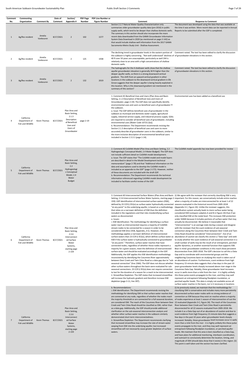| Comment<br>No. | Commenting<br>Organization                       | <b>Comment By</b>   | Date of<br>Comment | Section/<br>Appendix #                                                                                                    | <b>PDF Page</b><br>Number | PDF Line Number or<br><b>Figure Number</b> | Comment                                                                                                                                                                                                                                                                                                                                                                                                                                                                                                                                                                                                                                                                                                                                                                                                                                                                                                                                                                                                                                                                                                                                                                                                                                                                                                                                                                                                                                                                                                                                                                                                                                                                                                                                                                                                                                                                                                                                                                                                                                                                                                                                                                                                     | <b>Response to Comment</b>                                                                                                                                                                                                                                                                                                                                                                                                                                                                                                                                                                                                                                                                                                                                                                                                                                                                                                                                                                                                                                                                                                                                                                                                                                                                                                                                                                                                                                                 |
|----------------|--------------------------------------------------|---------------------|--------------------|---------------------------------------------------------------------------------------------------------------------------|---------------------------|--------------------------------------------|-------------------------------------------------------------------------------------------------------------------------------------------------------------------------------------------------------------------------------------------------------------------------------------------------------------------------------------------------------------------------------------------------------------------------------------------------------------------------------------------------------------------------------------------------------------------------------------------------------------------------------------------------------------------------------------------------------------------------------------------------------------------------------------------------------------------------------------------------------------------------------------------------------------------------------------------------------------------------------------------------------------------------------------------------------------------------------------------------------------------------------------------------------------------------------------------------------------------------------------------------------------------------------------------------------------------------------------------------------------------------------------------------------------------------------------------------------------------------------------------------------------------------------------------------------------------------------------------------------------------------------------------------------------------------------------------------------------------------------------------------------------------------------------------------------------------------------------------------------------------------------------------------------------------------------------------------------------------------------------------------------------------------------------------------------------------------------------------------------------------------------------------------------------------------------------------------------------|----------------------------------------------------------------------------------------------------------------------------------------------------------------------------------------------------------------------------------------------------------------------------------------------------------------------------------------------------------------------------------------------------------------------------------------------------------------------------------------------------------------------------------------------------------------------------------------------------------------------------------------------------------------------------------------------------------------------------------------------------------------------------------------------------------------------------------------------------------------------------------------------------------------------------------------------------------------------------------------------------------------------------------------------------------------------------------------------------------------------------------------------------------------------------------------------------------------------------------------------------------------------------------------------------------------------------------------------------------------------------------------------------------------------------------------------------------------------------|
| 1              | Ag/Res resident                                  | Amelia<br>Vankeuren | 8/17/2021          | $\overline{2}$                                                                                                            | 102                       | 1577                                       | Section 2.2.7 Natural Water Quality Characterization only<br>summarizes older groundwater quality data (pre-2016) in public<br>supply wells, which tend to be deeper than shallow domestic wells.<br>The summary in this section should also incorporate the more<br>recent data downloaded from the GAMA Groundwater Information<br>System Data Download in 2020 (as mentioned on page 2-142) as<br>that would include shallow well information from the 2017 GAMA<br>Sacramento-Metro Study Unit - Shallow Assessment.                                                                                                                                                                                                                                                                                                                                                                                                                                                                                                                                                                                                                                                                                                                                                                                                                                                                                                                                                                                                                                                                                                                                                                                                                                                                                                                                                                                                                                                                                                                                                                                                                                                                                    | The document was developed using the data that was available at<br>the time it was written. More recent data can be reported in Annual<br>Reports to be submitted after the GSP is completed.                                                                                                                                                                                                                                                                                                                                                                                                                                                                                                                                                                                                                                                                                                                                                                                                                                                                                                                                                                                                                                                                                                                                                                                                                                                                              |
| 2              | Ag/Res resident                                  | Amelia<br>Vankeuren | 8/17/2021          | $\overline{2}$                                                                                                            | 125                       | 1938                                       | The declining trend in groundwater levels in the eastern portion of Comment noted. The text has been edited to clarify the discussion<br>the subbasin is highly concerning. "Not well understood" declines of of groundwater elevations in this section.<br>40 ft over 50 years are unacceptable, particularly as well 244 is<br>relatively close to an area with a high concentrations of shallow<br>domestic wells.                                                                                                                                                                                                                                                                                                                                                                                                                                                                                                                                                                                                                                                                                                                                                                                                                                                                                                                                                                                                                                                                                                                                                                                                                                                                                                                                                                                                                                                                                                                                                                                                                                                                                                                                                                                       |                                                                                                                                                                                                                                                                                                                                                                                                                                                                                                                                                                                                                                                                                                                                                                                                                                                                                                                                                                                                                                                                                                                                                                                                                                                                                                                                                                                                                                                                            |
| 3              | Ag/Res resident                                  | Amelia<br>Vankeuren | 8/17/2021          | $\overline{2}$                                                                                                            | 132                       | 2019                                       | The hydrographs for the 4 shallower wells show that the shallow<br>aquifer groundwater elevation is generally 30 ft higher than the<br>deeper aquifer wells, so there is a strong downward vertical<br>gradient. The shift from an upward vertical gradient in other<br>locations in the subbasin to the downward vertical gradient in Elk<br>Grove suggests that the deeper aquifer is being heavily exploited in<br>this location. Why is this downward gradient not mentioned in the<br>summary of this section?                                                                                                                                                                                                                                                                                                                                                                                                                                                                                                                                                                                                                                                                                                                                                                                                                                                                                                                                                                                                                                                                                                                                                                                                                                                                                                                                                                                                                                                                                                                                                                                                                                                                                         | Comment noted. The text has been edited to clarify the discussion<br>of groundwater elevations in this section.                                                                                                                                                                                                                                                                                                                                                                                                                                                                                                                                                                                                                                                                                                                                                                                                                                                                                                                                                                                                                                                                                                                                                                                                                                                                                                                                                            |
| $\overline{4}$ | California<br>Department of<br>Fish and Wildlife | Kevin Thomas        | 8/17/2021          | Plan Area and<br><b>Basin Setting,</b><br>2.1.3<br>Description<br>of Beneficial<br>Uses and<br>Users of<br>Groundwater    | page 2-19                 |                                            | 1. Comment #1 Beneficial Uses and Users (Plan Area and Basin<br>Setting, 2.1.3 Description of Beneficial Uses and Users of<br>Groundwater, page 2-19): The GSP does not specifically identify<br>environmental uses and users as beneficial users of groundwater in<br>the subbasin.<br>a. Issue: The GSP defines beneficial uses of groundwater in the<br>subbasin as municipal and domestic water supply, agricultural<br>supply, industrial service supply, and industrial process supply. GSAs<br>are required to consider all beneficial uses of groundwater, including<br>environmental uses [Water Code 10723.2(e)].<br>b. Recommendation: The Department recommends revising the<br>Section 2.1.3 description of beneficial uses and users to more<br>accurately describe all groundwater users in the subbasin, similar to<br>the more inclusive description of environmental beneficial users<br>included in Section 1.5.3.1 (page 1-14).                                                                                                                                                                                                                                                                                                                                                                                                                                                                                                                                                                                                                                                                                                                                                                                                                                                                                                                                                                                                                                                                                                                                                                                                                                                         | Environmental uses has been added as a beneficial use.                                                                                                                                                                                                                                                                                                                                                                                                                                                                                                                                                                                                                                                                                                                                                                                                                                                                                                                                                                                                                                                                                                                                                                                                                                                                                                                                                                                                                     |
| 5              | California<br>Department of<br>Fish and Wildlife | Kevin Thomas        | 8/17/2021          | Plan Area and<br><b>Basin Setting,</b><br>2.2<br>Hydrogeologi<br>c Conceptual<br>Model, 2.4<br>Water<br><b>Budget</b>     |                           |                                            | 2. Comment #2 CoSANA Model (Plan Area and Basin Setting, 2.2<br>Hydrogeologic Conceptual Model, 2.4 Water Budget): The GSP does<br>not include sufficient detail on CoSANA model development.<br>a. Issue: The GSP states that "The CoSANA model and model layers<br>are described in detail in the Model Development technical<br>memorandum" (page 2-78) and that "Additional information on the<br>data and assumptions used to develop the CoSANA model is<br>included as an appendix to the GSP" (page 2-172). However, neither<br>of these documents are included with the draft GSP.<br>b. Recommendation: The Department recommends the technical<br>information referenced regarding CoSANA model development be<br>included to facilitate careful review of the GSP.                                                                                                                                                                                                                                                                                                                                                                                                                                                                                                                                                                                                                                                                                                                                                                                                                                                                                                                                                                                                                                                                                                                                                                                                                                                                                                                                                                                                                              | The CoSANA model appendix has now been provided for review                                                                                                                                                                                                                                                                                                                                                                                                                                                                                                                                                                                                                                                                                                                                                                                                                                                                                                                                                                                                                                                                                                                                                                                                                                                                                                                                                                                                                 |
| 6              | California<br>Department of<br>Fish and Wildlife | Kevin Thomas        | 8/17/2021          | Plan Area and<br>Basin Setting,<br>2.3.6<br>Interconnect<br>ed Surface<br>Water<br>Systems,<br>starting page<br>$2 - 159$ |                           |                                            | 3. Comment #3 Interconnected Surface Waters (Plan Area and Basin (i) We agree with the reviewer that correctly classifying ISW is very<br>Setting, 2.3.6 Interconnected Surface Water Systems, starting page 2 important. For this reason, we conservatively include entire reaches<br>159): GSP identification of interconnected surface waters (ISW),<br>defined by 23 CCR § 351(o) as surface water hydraulically connected seasons evaluated in the historical record from 2005-2018<br>"at any point" to the underlying aquifer, is based on a methodology<br>that relies on a narrower definition of ISW than the definition<br>included in the regulations and that risks misidentifying surface<br>waters as disconnected.<br>a. Issues:<br>i. ISW Identification: The methodology for identifying a surface<br>water reach as interconnected requires a majority of CoSANA<br>stream nodes to be connected for a season in order to be<br>considered ISW (line 2358, Appendix_3-C). However, this<br>methodology applies a narrower definition of interconnected<br>surface waters than 23 CCR § 351(o), which defines surface water as<br>ISW if the surface water is hydraulically connected to groundwater<br>"at any point." Therefore, surface water reaches that have<br>connected nodes, regardless of whether those nodes represent a<br>majority for a given season, meet the definition of interconnected<br>surface water and should be evaluated accordingly in the GSP.<br>Additionally, the GSP applies this ISW identification methodology<br>inconsistently by identifying the Cosumnes River approximately<br>between Deer Creek and Twin Cities Road as a data gap due to "sub- an abundance of caution. Furthermore, scant evidence from high<br>seasonal connection" (line 2366). The GSP does not discuss whether frequency 15-minute data suggests that a few days in the past 10<br>other surface waters throughout the basin were evaluated for sub-<br>seasonal connections. 23 CCR § 351(o) does not require connection<br>to last for the duration of a season for a reach to be interconnected. occur in wells more than a mile from the river - it is highly unlikely | when a majority of nodes are interconnected for at least 1 of 22<br>(Appendix 3-C, Figure 24). Unlike the reviewer suggests, this<br>classification system actually leads to more surface water being<br>considered ISW (compare subplots A and B in Figure 24) than if we<br>only classified ISW at the nodal level. This increases ISW protection<br>under SGMA because it includes portions of surface water that may<br>actually be disconnected. We believe it reasonable that<br>"interconnection" is an average state during a season and disagree<br>with the reviewer that the scant evidence of sub-seasonal<br>connection along the Cosumnes River between Deer Creek and Twin<br>Cities Road should be considered "interconnection". Out of an<br>abundance of caution we classify this section a "Data Gap" and seek<br>to study whether the scant evidence of sub-seasonal connection in a<br>small number of wells may be the result of air entrapment, perched<br>aquifer dynamics, or another essential function that supports ISW.<br>Bear in mind: groundwater conditions in this reach show persistent<br>disconnection from 2005-2018. The GSP's decision to call this a Data<br>Gap and to coordinate with environmental groups and the<br>neighboring Cosumnes basin on studying this reach is taken out of<br>years groundwater levels sharply increased above river stage in the<br>Cosumnes Data Gap. Notably, these groundwater level increases |

are connected at any node, regardless of whether the nodes reach connection as ISW because they exist on reaches where a majority the majority threshold or are connected for a full seasonal duration, of nodes experience at least 1 season of interconnection of out the are considered ISW. The reach of the Cosumnes River between Deer 22 evaluated (Appendix 3‐C, Figure 24). The reach of the Cosumnes (i) As previously stated, we maintain that the methodology for classifying ISW is conservative and includes many more persistently disconnected for all 22 seasons evaluated from 2005‐2018. We include it as a Data Gap out of an abundance of caution and due to scant evidence from high frequency 15‐minute data that suggests a few days in the past 10 years when groundwater levels sharply increased. Notably, these groundwater level increases occur in wells more than a mile from the river ‐ it is highly unlikely this these pulse events propagate to the river, and they may well represent air entrapment following floodplain inundation, or perched aquifer heads. We maintain that this area is best classified as a Data Gap, and have plans for additional monitoring, interbasin coordination, and outreach to conclusively determine the location, timing, and magnitude of ISW (should data show that it exists) in this region. (ii) This point is well taken and the section has been clarified.

ii. Streamflow Depletion: The GSP states that increased streamflow will increase the hydraulic gradient and therefore increase ISW

depletion (page 3‐11, line 397).

this these pulse events propagate to the river, and they may well represent air entrapment following floodplain inundation, or

perched aquifer heads. This data is simply not available across all surface water reaches in the basin, nor is it necessary in locations

7

Plan Area and

California Department of Fish and Wildlife Kevin Thomas 8/17/2021 Basin Setting, Interconnect ed Surface Systems, starting page

2.3.6

Water

2‐159

### b. Recommendations:

i. ISW Identification: The Department recommends revising the methodology for identifying ISW so that surface water reaches that disconnected surface water nodes with no strong evidence of Creek and Twin Cities Road should be classified as ISW, rather than River between Deer Creek and Twin Cities Road is persistently as a data gap. Additionally, the GSP should provide additional clarification on the sub‐seasonal interconnection analysis and whether other surface water reaches in the subbasin similarly demonstrated short term interconnectedness.

ii. Streamflow Depletion: The Department recommends clarifying that increased streamflow may increase the rate of stream water seeping from ISW into the underlying aquifer; but increased streamflow will not necessarily cause greater depletion of surface waters.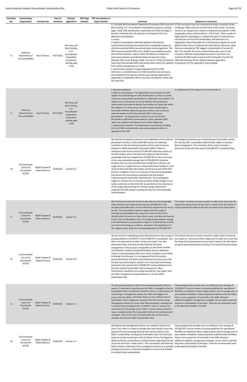## South American Subbasin Groundwater Sustainability Plan **Public Draft Section 2 Comments** Public Draft Section 2 Comments **Public Draft Section 2 Comments** Page 8 of 29

| Comment  | Commenting                                                       |                                          | Date of              | Section/                                                                                                                    | <b>PDF Page</b> | <b>PDF Line Number or</b> |                                                                                                                                                                                                                                                                                                                                                                                                                                                                                                                                                                                                                                                                                                                                                                                                                                                                                                                                                                                                                                                                                                                                                                                                                                                                                                                                                                                |                                                                                                                                                                                                                                                                                                                                                                                                                                                                                                                                                                                                                                                                                                                                                                                                                       |
|----------|------------------------------------------------------------------|------------------------------------------|----------------------|-----------------------------------------------------------------------------------------------------------------------------|-----------------|---------------------------|--------------------------------------------------------------------------------------------------------------------------------------------------------------------------------------------------------------------------------------------------------------------------------------------------------------------------------------------------------------------------------------------------------------------------------------------------------------------------------------------------------------------------------------------------------------------------------------------------------------------------------------------------------------------------------------------------------------------------------------------------------------------------------------------------------------------------------------------------------------------------------------------------------------------------------------------------------------------------------------------------------------------------------------------------------------------------------------------------------------------------------------------------------------------------------------------------------------------------------------------------------------------------------------------------------------------------------------------------------------------------------|-----------------------------------------------------------------------------------------------------------------------------------------------------------------------------------------------------------------------------------------------------------------------------------------------------------------------------------------------------------------------------------------------------------------------------------------------------------------------------------------------------------------------------------------------------------------------------------------------------------------------------------------------------------------------------------------------------------------------------------------------------------------------------------------------------------------------|
| No.<br>8 | Organization<br>California<br>Department of<br>Fish and Wildlife | Comment By<br>Kevin Thomas               | Comment<br>8/17/2021 | Appendix #<br>Plan Area and<br>Basin Setting,<br>2.3.7<br>Groundwater<br>Dependent<br>Ecosystems,<br>starting page<br>2-164 | Number          | <b>Figure Number</b>      | Comment<br>4. Comment #4 Groundwater Dependent Ecosystems (Plan Area and (i) The consultant team has reviewed the study in question (Lewis<br>Basin Setting, 2.3.7 Groundwater Dependent Ecosystems, starting<br>page 2-164): GDE identification, required by 23 CCR § 354.16(g), is<br>based on methods that risk exclusion of ecosystems that may<br>depend on groundwater.<br>a. Issues:<br>i. Depth to Groundwater: Methods applied to the Natural<br>Communities Commonly Associated with Groundwater dataset to<br>eliminate potential GDEs may exclude deep rooted vegetation. The<br>GSP removes potential GDEs with a depth to groundwater greater<br>than 30 feet; however, mature Valley Oak (Quercus lobata) can<br>access groundwater up to 80 feet below the ground surface<br>(Howard 1992, Lewis & Burgy, 1964). The use of a 30-foot threshold SASb (see technical Memo 3B (groundwater dependent<br>may incorrectly exclude Valley Oak communities within the subbasin ecosystems). (ii) This appendix is now included.<br>from further consideration as a GDE.<br>ii. Special Status Species: Though Appendix 3-B of the GSP<br>references a compiled resource of GDE beneficial uses and users,<br>the annotated list of species and their groundwater dependence<br>(Appendix E to Appendix 3-B) has not been included for review with<br>this draft GSP. | <b>Response to Comment</b><br>and Burgy, 1964) and does not find merit in the results. The study<br>concerns an isotope-tracer study in a fractured rock aquifer in hilly<br>topography using a small sample ( $n = 15$ ) of trees. These results are<br>highly specific to geology (i.e., isotope transport in fractured rock<br>and alluvium are not at all comparable), and hydraulics (i.e.,<br>topographic driven flow patterns in mountainous regions are much<br>different than those in relatively flat valley floors). Moreover, other<br>literature reviewed by TNC suggest rooting depths of around 30<br>feet. The scientific de-merits outlined above give cause to not<br>consider an 80 foot rooting depth parameter, and hence, we<br>maintain the GDE study carried out the Freshwater Trust for the |
| 9        | California<br>Department of<br>Fish and Wildlife                 | Kevin Thomas                             | 8/17/2021            | Plan Area and<br><b>Basin Setting,</b><br>2.3.7<br>Groundwater<br>Dependent<br>Ecosystems,<br>starting page<br>$2 - 164$    |                 |                           | b. Recommendations:<br>i. Depth to Groundwater: The Department recommends the GSP<br>update the methodology for GDE identification to reflect accurate<br>maximum rooting depth specifically for Valley Oak communities. The<br>Department recommends use of the NCAAG, field verification,<br>and/or other local data to identify the locations of Valley Oak within<br>the subbasin. For those areas, the GDE analysis should apply a<br>threshold of 80 feet below the ground surface as the maximum<br>potential depth at which the potential GDE could access<br>groundwater. The Department accepts the use of a 30-foot<br>threshold as sufficiently conservative for other potential GDEs<br>within the subbasin that likely do not contain Valley Oak.<br>ii. Special Status Species: The Department recommends including<br>the list of GDE environmental users of groundwater within an<br>appendix to the GSP.                                                                                                                                                                                                                                                                                                                                                                                                                                                     | (i-ii) addressed in the response to Comment No. 8.                                                                                                                                                                                                                                                                                                                                                                                                                                                                                                                                                                                                                                                                                                                                                                    |
| 10       | Environmental<br>Council of<br>Sacramento<br>(ECOS)              | Ralph Propper &<br>Robert Burness        |                      | 6/18/2021 Section 2.5                                                                                                       |                 |                           | We find the introductory materials to be duplicative of the material<br>presented in Section 1 of the Draft GSP and do not materially<br>contribute to the technical presentation of the South American<br>Subbasin's (SASb) Sustainable Yield under SGMA. If there is<br>reference to the former level of 273,000 AFY within this section of<br>the GSP analysis, then a full technical analysis of why the basin<br>sustainable level has changed from 273,000 AFY as late as last year<br>to the new sustainable average level of 235,000 AFY should be<br>included. One can only conclude that moving from a 20-year-old<br>single value to a range that has a substantially lower midpoint, is the<br>result of improved data and analysis carried out as part of the GSP<br>process. In addition, there is an omission in the several paragraphs<br>that discuss the uncertainties associated with the analysis<br>underpinning the Sustainable Yield Estimate. These paragraphs<br>neglect to mention the uncertainty posed by climate change. In our<br>earlier comments on the draft GSP, we pointed out the importance<br>of thoroughly documenting the climate change analysis that<br>underpins the GSP analysis including the basis for the Sustainable<br>Yield estimates.                                                                                       | The Background section was included because it provides context<br>for how the GSP's sustainable yield estimate relates to previous<br>Basin management. The remainder of the section provides a<br>discussion of why the new value of 235,000 AFY is recommended.                                                                                                                                                                                                                                                                                                                                                                                                                                                                                                                                                    |
| 11       | Environmental<br>Council of<br>Sacramento<br>(ECOS)              | Ralph Propper &<br><b>Robert Burness</b> |                      | 6/18/2021 Section 2.5                                                                                                       |                 |                           | We find that the materials meant to describe how the Sustainable<br>Yield estimates were determined and why 235,000 AFY is the<br>average sustainable yield, are not sufficiently explanatory for the lay typical operational patterns and was not meant to be prescriptive.<br>person. The presentation needs to explain how the range of<br>pumping was developed and, using one or more of the charts,<br>identify what the points on these charts mean, and why and how the<br>X and Y axis are developed. Also, if 0 change in groundwater storage<br>is the desired point (as presented in figures 2.5.2(a & b) why is there<br>no X and Y axis lining up on figure c and what is the significance of<br>the negative value under the corresponding point of 235,000 AFY?                                                                                                                                                                                                                                                                                                                                                                                                                                                                                                                                                                                                | The section narrative has been revised to make more clear that the<br>range of pumping shown by year type is meant to be descriptive of                                                                                                                                                                                                                                                                                                                                                                                                                                                                                                                                                                                                                                                                               |
| 12       | Environmental<br>Council of<br>Sacramento<br>(ECOS)              | Ralph Propper &<br>Robert Burness        |                      | 6/18/2021 Section 2.5                                                                                                       |                 |                           | We do not find a compelling analysis that determines why a range of The section narrative has been revised to explain what is meant by<br>there is no description of what "various year types" are, who<br>determines them, and how are they factored into basin<br>management. If this analysis is dependent on past years weather<br>and hydraulic conditions projected forward, then an additional<br>caution is warranted given that more recent conditions are tending<br>to diverge from the past. It is not apparent from the analysis<br>presented whether the SASb could withstand successive years like<br>the past two continuing for another one or two years while being<br>operated on the premise that 270,000 AFY can be withdrawn from<br>the basin without Sustainable Yield consequences. More<br>information is needed to put context around the "year types" and<br>the GSAs' management responsibilities vis a vis the SASb's                                                                                                                                                                                                                                                                                                                                                                                                                            | pumping between 210,000 AFY and 270,000 AFY is acceptable. Also, year types (i.e. Sacramento River Index) and to make more clear that<br>the range of pumping shown by year type is meant to be descriptive<br>of typical operational patterns and was not meant to be prescriptive.                                                                                                                                                                                                                                                                                                                                                                                                                                                                                                                                  |

Sustainable Yield.

The document presents a table of annual pumping levels which it The pumping levels by water year are reflective of an average of

| 13 | Environmental<br>Council of<br>Sacramento<br>(ECOS) | Ralph Propper &<br><b>Robert Burness</b> | 6/18/2021 | Section 2.5 | asserts, if adhered to, would ensure the SASb is managed so that its<br>Sustainable Yield is maintained. However, there is no description of<br>monitoring or management actions the GSAs will engage in to<br>ensure that the SASb is not drawn down in such a fashion that its<br>Sustainable Yield is negatively impacted. The GSP should include<br>Management Actions to ensure that SASb pumping is managed not<br>to exceed these pumping levels. In addition, there is no base line<br>calculation for the storage level in 2015. It seems obvious that this<br>value is needed so that the Sustainable Yield can be monitored and<br>managed. There is five years of known data that can be used to<br>develop and track the SASb's Sustainable Yield. | 235,000 AFY, and are meant to provide guidelines for operational<br>flexibility to implement water supply projects and to manage year-to-<br>year weather variability. Under projected conditions with the PMAs,<br>there is not a projection of overdraft in the SASb. However,<br>additional adaptive management strategies can be used to maintain<br>long-term sustainability of the basin. These do not necessarily need<br>to be explicitly included in the GSP.                                                                                                                                                                     |
|----|-----------------------------------------------------|------------------------------------------|-----------|-------------|-----------------------------------------------------------------------------------------------------------------------------------------------------------------------------------------------------------------------------------------------------------------------------------------------------------------------------------------------------------------------------------------------------------------------------------------------------------------------------------------------------------------------------------------------------------------------------------------------------------------------------------------------------------------------------------------------------------------------------------------------------------------|--------------------------------------------------------------------------------------------------------------------------------------------------------------------------------------------------------------------------------------------------------------------------------------------------------------------------------------------------------------------------------------------------------------------------------------------------------------------------------------------------------------------------------------------------------------------------------------------------------------------------------------------|
| 14 | Environmental<br>Council of<br>Sacramento<br>(ECOS) | Ralph Propper &<br><b>Robert Burness</b> | 6/18/2021 | Section 2.5 | We believe that Management Actions are needed in at least two<br>areas. First, there is a need to manage data and annually report the<br>amount of annual pumping and how that volume relates to the<br>SASb's sustainability including the Sustainable Yield. This work also<br>needs to include coordination with the Water Forum, The Regional<br>GSAs to better understand if any management actions (e.g. possible to be explicitly included in the GSP.<br>pumping restrictions or demand management actions) are needed                                                                                                                                                                                                                                  | The pumping levels by water year are reflective of an average of<br>235,000 AFY, and are meant to provide guidelines for operational<br>flexibility to implement water supply projects and to manage year-to-<br>year weather variability. Under projected conditions with the PMAs,<br>there is not a projection of overdraft in the SASb. However,<br>Water Authority, and the Bureau of Reclamation regarding forecasts additional adaptive management strategies can be used to maintain<br>of current and future "water years". This coordination will allow the long-term sustainability of the basin. These do not necessarily need |

to maintain basin sustainability.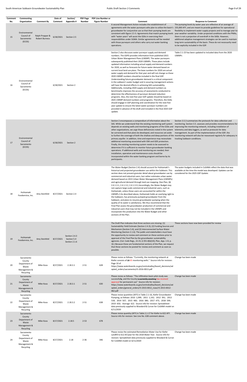| Comment | Commenting                                                                  |                                          | Date of               | Section/                       | <b>PDF Page</b> | <b>PDF Line Number or</b> |                                                                                                                                                                                                                                                                                                                                                                                                                                                                                                                                                                                                                                                                                                                                                                                                                                                                                                                                                                                                                                                                                                                                                                                                                                                                                                                                                           |                                                                                                                                                                                                                                                                                                                                                                                                                                                   |
|---------|-----------------------------------------------------------------------------|------------------------------------------|-----------------------|--------------------------------|-----------------|---------------------------|-----------------------------------------------------------------------------------------------------------------------------------------------------------------------------------------------------------------------------------------------------------------------------------------------------------------------------------------------------------------------------------------------------------------------------------------------------------------------------------------------------------------------------------------------------------------------------------------------------------------------------------------------------------------------------------------------------------------------------------------------------------------------------------------------------------------------------------------------------------------------------------------------------------------------------------------------------------------------------------------------------------------------------------------------------------------------------------------------------------------------------------------------------------------------------------------------------------------------------------------------------------------------------------------------------------------------------------------------------------|---------------------------------------------------------------------------------------------------------------------------------------------------------------------------------------------------------------------------------------------------------------------------------------------------------------------------------------------------------------------------------------------------------------------------------------------------|
| No.     | Organization                                                                | <b>Comment By</b>                        | Comment               | Appendix#                      | <b>Number</b>   | <b>Figure Number</b>      | Comment<br>A second Management Action includes the establishment of                                                                                                                                                                                                                                                                                                                                                                                                                                                                                                                                                                                                                                                                                                                                                                                                                                                                                                                                                                                                                                                                                                                                                                                                                                                                                       | <b>Response to Comment</b><br>The pumping levels by water year are reflective of an average of                                                                                                                                                                                                                                                                                                                                                    |
| 15      | Environmental<br>Council of<br>Sacramento<br>(ECOS)                         | Ralph Propper &<br><b>Robert Burness</b> |                       | 6/18/2021 Section 2.5          |                 |                           | agreements with the water purveyors who plan to utilize the basin's 235,000 AFY, and are meant to provide guidelines for operational<br>groundwater for conjunctive use so that their pumping levels are<br>consistent with figure 2.5-3. Agreements that match pumping levels year weather variability. Under projected conditions with the PMAs,<br>with "water years" will assist the GSAs in exercising their<br>responsibilities under SGMA. Similar agreements will be needed<br>with those purveyors and others who carry out water banking<br>operations.                                                                                                                                                                                                                                                                                                                                                                                                                                                                                                                                                                                                                                                                                                                                                                                         | flexibility to implement water supply projects and to manage year-to-<br>there is not a projection of overdraft in the SASb. However,<br>additional adaptive management strategies can be used to maintain<br>long-term sustainability of the basin. These do not necessarily need<br>to be explicitly included in the GSP.                                                                                                                       |
| 16      | Environmental<br>Council of<br>Sacramento<br>(ECOS)                         |                                          | 6/18/2021             | Section 2                      |                 |                           | Section 2 also discusses water purveyor supply and demand<br>numbers. The GSPD provides information from published 2015<br>Urban Water Management Plans (UWMP). The water purveyors<br>subsequently published their 2020 UWMPs. These plans include<br>updated information including actual supply and demand numbers<br>for 2020, as well as forecasts for future water demand based on<br>current local land use plans. The base numbers for 2020 are actual<br>water supply and demand for that year and will not change so these<br>2020 UWMP numbers should be included in the final GSP.<br>Understanding future groundwater demand is a critical component<br>in the subbasin's water budget and in assuring management actions<br>will have the desired effects in achieving SAS sustainability.<br>Additionally, including 2020 supply and demand numbers as<br>benchmarks improves the accuracy of assessments conducted to<br>determine the effectiveness of purveyor demand reduction<br>programs. Also, the next five-year GSP update should be based on<br>2025 UWMP demand numbers and programs. Therefore, the GSAs<br>should engage in GSP planning and coordination for the next five-<br>year update to ensure the latest water purveyor numbers are<br>provided in advance of the draft and included in the final 2025 GSP<br>update. | Table 2.1-23 has been updated to included data from the 2020<br><b>UWMPs</b>                                                                                                                                                                                                                                                                                                                                                                      |
| 17      | Environmental<br>Council of<br>Sacramento<br>(ECOS)                         |                                          | 6/18/2021             | Section 2                      |                 |                           | Section 2 encompasses a compendium of information about the<br>depends on existing wells and monitoring programs of the GSAs and improving the monitoring network, including installation of<br>other organizations, we urge those deficiencies noted in the system telemetry and data loggers, as well as protocols for data<br>be corrected and that plans be developed, and resources set aside<br>primary aquifer. In addition, time and experience may necessitate<br>additional monitoring associated with ISW and GDE protection.<br>Finally, the existing monitoring system needs to be assessed to<br>determine if it is sufficient to monitor future groundwater banking<br>operations. If additional wells and monitoring are needed, their<br>installation, operation and maintenance costs should be<br>incorporated within the water banking program and borne by its<br>participants.                                                                                                                                                                                                                                                                                                                                                                                                                                                      | Section 3.5.3 summarizes the protocols for data collection and<br>SAS. While we understand that the existing monitoring well system monitoring. Section 3.5. assesses and provides recommendations for<br>management. As part of the implementation of the GSP, the<br>to further the coverage of both the shallow and deep portions of the monitoring network will also be reassessed regularly for adequacy in<br>tracking Subbasin conditions. |
| 18      | Huhtamaki<br>Foodservice, Inc.                                              | Amy Steinfeld                            | 8/17/2021 Section 2.4 |                                |                 |                           | The Water Budget (Section 2.4) should account for Huhtamaki's<br>historical and projected groundwater use within the Subbasin. This<br>section does not present granular detail about groundwater use by<br>commercial and industrial users, but rather estimates urban water<br>demand based on 2015 Urban Water Management Plans (UWMPs)<br>and agricultural demand through land use mapping. (See Plan, §§<br>2.4.1.3.1, 2.4.1.3.2, 2.4.1.3.3.) Accordingly, the Water Budget may<br>not capture large-scale commercial and industrial users, such as<br>Huhtamaki, unless those users are accounted for within the<br>UWMPs.3 As described above, Huhtamaki holds an overlying right to<br>the Subbasin, has previously pumped groundwater from the<br>Subbasin, and plans to resume groundwater pumping when the<br>quality of its water is satisfactory. We thus recommend that the<br>Final Plan assess the groundwater production of commercial and<br>industrial users that may not be included in the UWMPs and<br>incorporate this production into the Water Budget and other<br>sections of the Plan.                                                                                                                                                                                                                                         | The water budgets included in CoSANA reflect the data that was<br>available at the time the model was developed. Updates can be<br>considered for the 2025 GSP Update.                                                                                                                                                                                                                                                                            |
| 19      | Huhtamaki<br>Foodservice, Inc.                                              | Amy Steinfeld                            | 8/17/2021 Section 5.4 | Section 2.4.3<br>Section 2.1.6 |                 |                           | The Draft Plan indicates that three sections are missing: (1)<br>Sustainability Yield Estimate (Section 2.4.3); (2) Funding Sources and<br>Mechanism (Section 5.4); and (3) Interconnected Surface Water<br>Monitoring (Section 2.1.6). The public and stakeholders must have<br>the opportunity to review and comment on these sections prior to<br>approval of the Final Plan by the groundwater sustainability<br>agencies. (Cal. Code Regs., tit 23, § 355.4(b)(10); Plan, App. 1-D, p.<br>16.) Because these are fundamental sections of the Plan, we request<br>that these sections be posted for review and comment as soon as<br>possible.                                                                                                                                                                                                                                                                                                                                                                                                                                                                                                                                                                                                                                                                                                        | These sections have now been provided for review                                                                                                                                                                                                                                                                                                                                                                                                  |
| 20      | Sacramento<br>County<br>Department of<br>Waste<br>Management &<br>Recycling | Mike Koza                                | 8/17/2021             | 2.18.3.1                       | $2 - 51$        | 628                       | Please revise as follows: "Currently, the monitoring network at<br>Kiefer consists of 23 65 monitoring wells." Source info for revision:<br>Page 10 of<br>https://www.waterboards.ca.gov/centralvalley/board_decisions/ad<br>opted_orders/sacramento/r5-2016-0013.pdf                                                                                                                                                                                                                                                                                                                                                                                                                                                                                                                                                                                                                                                                                                                                                                                                                                                                                                                                                                                                                                                                                     | Change has been made                                                                                                                                                                                                                                                                                                                                                                                                                              |
| 21      | Sacramento<br>County<br>Department of<br>Waste<br>Management &<br>Recycling | Mike Koza                                | 8/17/2021             | 2.18.3.1                       | $2 - 51$        | 630                       | Please revise as follows: "The infiltration basin pilot study was<br>successfully, and the County is currently awaiting has received<br>approval for permanent use" Source info for revision:<br>https://www.waterboards.ca.gov/centralvalley/board_decisions/ad<br>opted_orders/general_orders/r5-2015-0012_noas/r5-2015-0012-<br>062.pdf                                                                                                                                                                                                                                                                                                                                                                                                                                                                                                                                                                                                                                                                                                                                                                                                                                                                                                                                                                                                                | Change has been made                                                                                                                                                                                                                                                                                                                                                                                                                              |
| 22      | Sacramento<br>County<br>Department of<br>Waste<br>Management &<br>Recycling | Mike Koza                                | 8/17/2021             | 2.18.3.2                       | $2 - 51$        | 638                       | Please revise quantities (AFY) in Table 2.1-16, Kiefer Groundwater Change has been made<br>Pumping, as follows: 2010 1,099; 2011 1,142; 2012 391; 2013<br>518; 2014 507; 2015 460; 2016 380; 2017 475; 2018 599;<br>2019 650; Average 622. Source info for revision: Spreadsheet<br>data previously supplied to Woodard & Curran for CoSANA model on<br>6/11/2020                                                                                                                                                                                                                                                                                                                                                                                                                                                                                                                                                                                                                                                                                                                                                                                                                                                                                                                                                                                         |                                                                                                                                                                                                                                                                                                                                                                                                                                                   |
| 23      | Sacramento<br>County<br>Department of<br>Waste<br>Management &<br>Recycling | Mike Koza                                | 8/17/2021             | 2.18.5                         | $2 - 53$        | 678                       | Please revise quantity (AFY) in Table 2.1-17 for Kiefer to 622 AFY.<br>Source info for revision: See Line No. 638 comment above.                                                                                                                                                                                                                                                                                                                                                                                                                                                                                                                                                                                                                                                                                                                                                                                                                                                                                                                                                                                                                                                                                                                                                                                                                          | Change has been made                                                                                                                                                                                                                                                                                                                                                                                                                              |
| 24      | Sacramento<br>County<br>Department of<br>Waste<br>Management &<br>Recycling | Mike Koza                                | 8/17/2021             | 2.18                           | $2 - 36$        | 346                       | Please revise the estimated Remediation Water Use for Kiefer<br>Landfill to 612 AF/year for the 2018 Water Year. Source info for<br>revision: Spreadsheet data previously supplied to Woodard & Curran<br>for CoSANA model on 6/11/2020                                                                                                                                                                                                                                                                                                                                                                                                                                                                                                                                                                                                                                                                                                                                                                                                                                                                                                                                                                                                                                                                                                                   | Change has been made                                                                                                                                                                                                                                                                                                                                                                                                                              |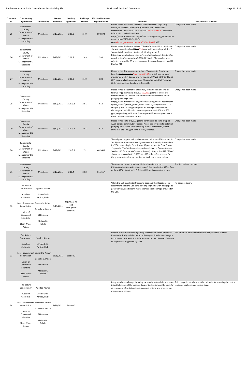| Comment<br>No. | Commenting<br>Organization                                                                                                                                           | <b>Comment By</b>                                                                                          | Date of<br>Comment | Section/<br>Appendix #                          | <b>PDF Page</b><br>Number | <b>PDF Line Number or</b><br><b>Figure Number</b> | Comment                                                                                                                                                                                                                                                                                                                                                                                                                                                                                                                                                                                                        | <b>Response to Comment</b> |
|----------------|----------------------------------------------------------------------------------------------------------------------------------------------------------------------|------------------------------------------------------------------------------------------------------------|--------------------|-------------------------------------------------|---------------------------|---------------------------------------------------|----------------------------------------------------------------------------------------------------------------------------------------------------------------------------------------------------------------------------------------------------------------------------------------------------------------------------------------------------------------------------------------------------------------------------------------------------------------------------------------------------------------------------------------------------------------------------------------------------------------|----------------------------|
|                |                                                                                                                                                                      |                                                                                                            |                    |                                                 |                           |                                                   | Please revise these lines to reflect the most recent regulatory                                                                                                                                                                                                                                                                                                                                                                                                                                                                                                                                                | Change has been made       |
| 25             | Sacramento<br>County<br>Department of<br>Waste<br>Management &<br>Recycling                                                                                          | Mike Koza                                                                                                  | 8/17/2021          | 2.18.3                                          | $2 - 49$                  | 590-592                                           | orders, as follows: "The CVRWQCB carries out Kiefer Landfill<br>remediation under WDR Order R5-2007 R5-2016-0013 Additional<br>information can be found here:<br>https://www.waterboards.ca.gov/centralvalley/board_decisions/ten<br>tative orders/0708/kiefer/kiefer-<br>wdr.adopted_orders/sacramento/r5-2016-0013.pdf"                                                                                                                                                                                                                                                                                      |                            |
| 26             | Sacramento<br>County<br>Department of<br>Waste<br>Management &<br>Recycling                                                                                          | Mike Koza                                                                                                  | 8/17/2021          | 2.18.3                                          | $2 - 49$                  | 593                                               | Please revise this line as follows: "The Kiefer Landfill is a 1,084-acre Change has been made<br>site with an active class III 300 335-acre solid waste disposal site"<br>Source info for revision: See Page 2, Finding No. 6 of<br>https://www.waterboards.ca.gov/centralvalley/board_decisions/ad<br>opted_orders/sacramento/r5-2016-0013.pdf The number was<br>adjusted upward by 30 acres to account for recently opened landfill<br>Module M4.                                                                                                                                                            |                            |
| 27             | Sacramento<br>County<br>Department of<br>Waste<br>Management &<br>Recycling                                                                                          | Mike Koza                                                                                                  | 8/17/2021          | 2.18.3                                          | $2 - 49$                  | 603                                               | Please revise this sentence as follows: "Sacramento County was<br>issued a tentative orderOrder No. 89-207 to install a network of<br>monitoring wells." Source info for revision: CVRWQCB Order No. 89-<br>207, copy available upon request. Please also note that Tentative<br>Orders are not issued and not enforceable.                                                                                                                                                                                                                                                                                    | Change has been made       |
| 28             | Sacramento<br>County<br>Department of<br>Waste<br>Management &<br>Recycling                                                                                          | Mike Koza                                                                                                  | 8/17/2021          | 2.18.3.1                                        | $2 - 51$                  | 618                                               | Please revise the sentence that is fully contained on this line as<br>follows: "Approximately 375,000 650,000 gallons of water are<br>treated each day." Source info for revision: last sentence of 3rd<br>paragraph of Page 2 of:<br>https://www.waterboards.ca.gov/centralvalley/board_decisions/ad<br>opted_orders/general_orders/r5-2015-0012_noas/r5-2015-0012-<br>062.pdf ("The Discharger proposes an average and maximum<br>discharge to the infiltration basin at approximately 450 and 900<br>gpm, respectively, which are flows expected from the groundwater<br>extraction and treatment system.") | Change has been made       |
| 29             | Sacramento<br>County<br>Department of<br>Waste<br>Management &<br>Recycling                                                                                          | Mike Koza                                                                                                  | 8/17/2021          | 2.18.3.1                                        | $2 - 51$                  | 619                                               | Please revise "rate of 1,000 gallons per minute" to "rate of up to<br>1,000 gallons per minute" Reason: Please see revisions to historical<br>pumping rates which follow below (Line 638 comments), which<br>show that the 1000 gpm level is rarely attained.                                                                                                                                                                                                                                                                                                                                                  | Change has been made       |
| 30             | Sacramento<br>County<br>Department of<br>Waste<br>Management &<br>Recycling                                                                                          | Mike Koza                                                                                                  | 8/17/2021          | 2.18.3.3                                        | $2 - 52$                  | 642-648                                           | These figures appear to have been extracted from a 2009 report. In Change has been made<br>2015 (the last time that these figures were estimated), the numbers<br>for VOCs remaining in Zone A were 90 pounds and for Zone B were<br>13 pounds. The 2015 annual report is available on Geotracker (see<br>Section 10.7 for total VOC mass estimates). Also, in line 648, "2000'<br>should be replaced with "1995", as 1995 is the reference year for<br>the groundwater cleanup that is used in all reports and orders.                                                                                        |                            |
| 31             | Sacramento<br>County<br>Department of<br>Waste<br>Management &<br>Recycling                                                                                          | Mike Koza                                                                                                  | 8/17/2021          | 2.18.4                                          | $2 - 52$                  | 665-667                                           | There are about ten other landfills listed on Geotracker<br>(https://geotracker.waterboards.ca.gov) that overlay the SASb. Two<br>of these (28th Street and L & D Landfills) are in corrective action.                                                                                                                                                                                                                                                                                                                                                                                                         | The list has been updated  |
| 32             | The Nature<br>Conservancy<br>Audubon<br>California<br>Local Government Samantha Arthur<br>Commission<br>Union of<br>Concerned<br>Scientists<br>Clean Water<br>Action | Ngodoo Atume<br>J. Pablo Ortiz-<br>Partida, Ph.D.<br>Danielle V. Dolan<br>EJ Remson<br>Melissa M.<br>Rohde | 8/13/2021          | Figure 2.3-46<br>and<br>throughout<br>Section 3 |                           |                                                   | While the GSP clearly identifies data gaps and their locations, we<br>recommend that the GSP considers any segments with data gaps as<br>potential ISWs and clearly marks them as such on maps provided in<br>the GSP.                                                                                                                                                                                                                                                                                                                                                                                         | No action is taken.        |
| 33             | The Nature<br>Conservancy<br>Audubon<br>California<br>Local Government Samantha Arthur<br>Commission<br>Union of<br>Concerned<br>Scientists<br>Clean Water<br>Action | Ngodoo Atume<br>J. Pablo Ortiz-<br>Partida, Ph.D.<br>Danielle V. Dolan<br>EJ Remson<br>Melissa M.<br>Rohde | 8/25/2021          | Section 2                                       |                           |                                                   | Provide more information regarding the selection of the American This rationale has been clarified and improved in the text.<br>River Basin Study and the methods through which climate change is<br>incorporated, since this is a different method than the use of climate<br>change factors suggested by DWR.                                                                                                                                                                                                                                                                                                |                            |

|    | The Nature<br>Conservancy | Ngodoo Atume                     |           |           | Integrate climate change, including extremely wet and dry scenarios, This change is not taken, but the rationale for selecting the central<br>into all elements of the projected water budget to form the basis for tendency has been made more clear.<br>development of sustainable management criteria and projects and<br>management actions. |
|----|---------------------------|----------------------------------|-----------|-----------|--------------------------------------------------------------------------------------------------------------------------------------------------------------------------------------------------------------------------------------------------------------------------------------------------------------------------------------------------|
|    | Audubon                   | J. Pablo Ortiz-                  |           |           |                                                                                                                                                                                                                                                                                                                                                  |
|    | California                | Partida, Ph.D.                   |           |           |                                                                                                                                                                                                                                                                                                                                                  |
|    |                           | Local Government Samantha Arthur |           |           |                                                                                                                                                                                                                                                                                                                                                  |
| 34 | Commission                |                                  | 8/26/2021 | Section 2 |                                                                                                                                                                                                                                                                                                                                                  |
|    |                           | Danielle V. Dolan                |           |           |                                                                                                                                                                                                                                                                                                                                                  |
|    | Union of                  |                                  |           |           |                                                                                                                                                                                                                                                                                                                                                  |
|    | Concerned                 | EJ Remson                        |           |           |                                                                                                                                                                                                                                                                                                                                                  |
|    | Scientists                |                                  |           |           |                                                                                                                                                                                                                                                                                                                                                  |
|    |                           | Melissa M.                       |           |           |                                                                                                                                                                                                                                                                                                                                                  |
|    | Clean Water               | Rohde                            |           |           |                                                                                                                                                                                                                                                                                                                                                  |
|    | Action                    |                                  |           |           |                                                                                                                                                                                                                                                                                                                                                  |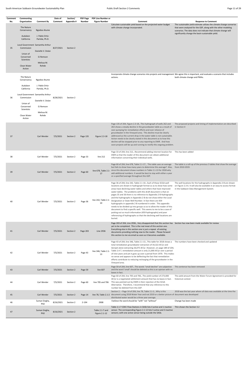| Comment<br>No. | Commenting<br>Organization                                                                                                       | <b>Comment By</b>                                                                                                                              | Date of<br>Comment | Section/<br>Appendix# | <b>PDF Page</b><br>Number | <b>PDF Line Number or</b><br><b>Figure Number</b> | Comment                                                                                                                                                                                                                                                                                                                                                                                                                                                                                                                                                                                                                                                                                                                                                                                                                                    | <b>Response to Comment</b>                                                                                                                                                                                                                                   |
|----------------|----------------------------------------------------------------------------------------------------------------------------------|------------------------------------------------------------------------------------------------------------------------------------------------|--------------------|-----------------------|---------------------------|---------------------------------------------------|--------------------------------------------------------------------------------------------------------------------------------------------------------------------------------------------------------------------------------------------------------------------------------------------------------------------------------------------------------------------------------------------------------------------------------------------------------------------------------------------------------------------------------------------------------------------------------------------------------------------------------------------------------------------------------------------------------------------------------------------------------------------------------------------------------------------------------------------|--------------------------------------------------------------------------------------------------------------------------------------------------------------------------------------------------------------------------------------------------------------|
|                | The Nature<br>Conservancy<br>Audubon<br>California                                                                               | Ngodoo Atume<br>J. Pablo Ortiz-<br>Partida, Ph.D.                                                                                              |                    |                       |                           |                                                   | Calculate sustainable yield based on the projected water budget<br>with climate change incorporated.                                                                                                                                                                                                                                                                                                                                                                                                                                                                                                                                                                                                                                                                                                                                       | The sustainable yield estimate utilizes the climate change scenarios<br>that were analyzed for the GSP, along with the other modeling<br>scenarios. The data does not indicate that climate change will<br>significantly change the basin sustainable yield. |
| 35             | Commission<br>Union of<br>Concerned<br>Scientists<br>Clean Water<br>Action                                                       | Local Government Samantha Arthur<br>Danielle V. Dolan<br>EJ Remson<br>Melissa M.<br>Rohde                                                      | 8/27/2021          | Section 2             |                           |                                                   |                                                                                                                                                                                                                                                                                                                                                                                                                                                                                                                                                                                                                                                                                                                                                                                                                                            |                                                                                                                                                                                                                                                              |
| 36             | The Nature<br>Conservancy<br>Audubon<br>California<br>Commission<br>Union of<br>Concerned<br>Scientists<br>Clean Water<br>Action | Ngodoo Atume<br>J. Pablo Ortiz-<br>Partida, Ph.D.<br>Local Government Samantha Arthur<br>Danielle V. Dolan<br>EJ Remson<br>Melissa M.<br>Rohde | 8/28/2021          | Section 2             |                           |                                                   | Incorporate climate change scenarios into projects and management We agree this is important, and evaluate a scenario that includes<br>actions.                                                                                                                                                                                                                                                                                                                                                                                                                                                                                                                                                                                                                                                                                            | both climate change and PMAs.                                                                                                                                                                                                                                |
| 37             |                                                                                                                                  | Carl Werder                                                                                                                                    | 7/5/2021           | Section 2             | Page 135                  | <b>Figure 2.3-18</b>                              | Page 135 of 204, Figure 2.3-18., This hydrograph of wells 262 and<br>263 shows a steady decline in the groundwater table as a result of<br>over pumping for remediation efforts and over reliance of<br>groundwater in the Vineyard area. This decline must be clearly<br>addressed as the current drop in the water table is not sustainable.<br>Action needs to be clearly stated in this document as to how this<br>decline will be stopped prior to any reporting to DWR. And how<br>soon projects will be up and running to rectify this ongoing problem.                                                                                                                                                                                                                                                                             | The proposed projects and timing of implementation are described<br>in Section 4                                                                                                                                                                             |
|                |                                                                                                                                  | Carl Werder                                                                                                                                    | 7/5/2021           | Section 2             | Page 33                   | line 212                                          | Page 33 of 204, line 212., Recommend adding internet location for<br>DWR so that the reader of this document can obtain additional<br>information concerning their individual wells.                                                                                                                                                                                                                                                                                                                                                                                                                                                                                                                                                                                                                                                       | This has been added                                                                                                                                                                                                                                          |
| 39             |                                                                                                                                  | Carl Werder                                                                                                                                    | 7/5/2021           | Section 2             | Page 60                   | line 678, Table 2.1-<br>17                        | Page 60 of 204, line 678, Table 2.1-17., This table uses an average<br>but fails to show how many years to determine this average? Also,<br>since this document shows numbers in Table 2.1-13 for 2018 why<br>add additional numbers. It would be best to stay with either a year<br>or a specified average throughout this GSP.                                                                                                                                                                                                                                                                                                                                                                                                                                                                                                           | The table is a roll-up of the previous 3 tables that show the average<br>from 2010-2019.                                                                                                                                                                     |
| 40             |                                                                                                                                  | Carl Werder                                                                                                                                    | 7/5/2021           | Section 2             | Page 36                   | line 242, Table 2.1-<br>10                        | Page 36 of 204, line 242, Table 2.1-10., Each of these SCGA well<br>locations are shown in hydrograph format so as to show how some<br>areas have declining water tables and others that have improved<br>water tables. The problems with this draft document is that on<br>pages 35 and 36 there is no reference to Appendix 2-B Hydrographs<br>and the hydrographs in Appendix 2-B do not show either the Local<br>Designation or State Well Number. In fact there are 459<br>hydrographs in appendix 2-B numbered in order. This appendix<br>needs to be divided up into groups so as to allow the reader of this<br>document to find a specific well. This seems to me to be a case of<br>putting out so much information (459 hydrographs) and poor<br>referencing of hydrographs so that the declining well locations are<br>buried. | The well locations for the hydrographs in Appendix 2-B are shown<br>on Figure 2.3-6. It will also be available in an easy-to access format<br>in the Subbasin Data Management System.                                                                        |
| 41             |                                                                                                                                  | Carl Werder                                                                                                                                    | 7/5/2021           | Section 2             | Page 203                  | Line 2936                                         | Page 203 of 204, Line 2936., Very disappointed that this section has Section has now been made available for review<br>yet to be completed. This is the real meat of this section one.<br>Everything else in this section one is just a repeat of existing<br>documents providing nothing new to the reader. Please forward<br>this section to me via email as soon as it becomes available.                                                                                                                                                                                                                                                                                                                                                                                                                                               |                                                                                                                                                                                                                                                              |
| 42             |                                                                                                                                  | Carl Werder                                                                                                                                    | 7/5/2021           | Section 2             | Page 43                   | line 346, Table 2.1-<br>13                        | Page 43 of 204, line 346, Table 2.1-13., This table for 2018 shows a The numbers have been checked and updated<br>total remediation groundwater extraction of 34,322 AF/yr and<br>Aerojet alone extracting 26,075 AF/yr. However, on page 189 of 204,<br>Table 2.4-7, remediation amount is only 21,000 AF/yr over a period<br>of nine years and yet it goes up over a period from 1970. This makes<br>no sense and appears to be deflecting the fact that remediation<br>efforts contribute to reducing recharging of the groundwater in the<br>Vineyard area.                                                                                                                                                                                                                                                                            |                                                                                                                                                                                                                                                              |
| 43             |                                                                                                                                  | Carl Werder                                                                                                                                    | 7/5/2021           | Section 2             | Page 59                   | line 607                                          | Page 59 of 204, line 607., The words "small decline" are subjective<br>and the word 'small' should be deleted as this is an opinion with no<br>bases in fact.                                                                                                                                                                                                                                                                                                                                                                                                                                                                                                                                                                                                                                                                              | This sentence has been removed                                                                                                                                                                                                                               |
| 44             |                                                                                                                                  | Carl Werder                                                                                                                                    | 7/5/2021           | Section 2             | Page 60                   | line 705 and 706                                  | Page 60 of 204, line 705 and 706., The yield number of 273,000<br>AF/yr is a negotiated settlement amount that has no bases in fact.<br>This was pointed out by DWR in their rejection of the SCGA<br>Alternative. Therefore, I recommend that any reference to this<br>number be deleted from this GSP.<br>Section 2. - Page 14 of 204, line 78, Table 2.1-2., Why is this                                                                                                                                                                                                                                                                                                                                                                                                                                                                | The yield amount from the Water Forum Agreement is provided for<br>historical context<br>2018 was the last year where all data was available at the time the                                                                                                 |
| 45             |                                                                                                                                  | Carl Werder                                                                                                                                    | 7/5/2021           | Section 2             | Page 14                   |                                                   | line 78, Table 2.1-2 document using 2018 Water Year and not 2019 or a better picture of document was developed<br>distributed water would be a three year average.                                                                                                                                                                                                                                                                                                                                                                                                                                                                                                                                                                                                                                                                         |                                                                                                                                                                                                                                                              |
| 46             |                                                                                                                                  | Suman Singha,<br>PhD                                                                                                                           | 8/16/2021          | Section 2             | 2-194                     | 2908                                              | I believe the word should be "with" not "without"                                                                                                                                                                                                                                                                                                                                                                                                                                                                                                                                                                                                                                                                                                                                                                                          | Change has been made                                                                                                                                                                                                                                         |
| 47             |                                                                                                                                  | Suman Singha,<br>PhD                                                                                                                           | 8/16/2021          | Section 2             |                           | Table 2.1-7 and<br>Figure 2.1-12                  | Table 2.1-7 CDEC Flow Stations in SASb lists 4 active and 1 inactive<br>sensor. The corresponding Figure 2.1-12 lists 5 active and 3 inactive<br>sensors; with one active sensor being outside the SASb.                                                                                                                                                                                                                                                                                                                                                                                                                                                                                                                                                                                                                                   | Thin shown the Section 3.2                                                                                                                                                                                                                                   |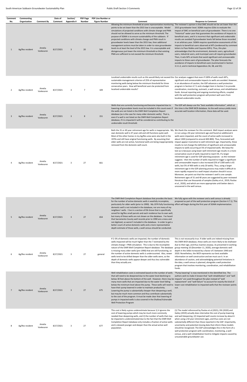| Comment<br>No. | Commenting<br>Organization | <b>Comment By</b>   | Date of<br>Comment | Section/<br>Appendix # | <b>PDF Page</b><br>Number | <b>PDF Line Number or</b><br><b>Figure Number</b> | Comment                                                                                                                                                                                                                                                                                                                                                                                                                                                                                                                                                                                                                                                                                                                                                                                                                                                        | <b>Response to Comment</b>                                                                                                                                                                                                                                                                                                                                                                                                                                                                                                                                                                                                                                                                                                                                                                                                                                                                                                                                                                                                                                                                                                                                                                                                                                                                                                                                                                     |
|----------------|----------------------------|---------------------|--------------------|------------------------|---------------------------|---------------------------------------------------|----------------------------------------------------------------------------------------------------------------------------------------------------------------------------------------------------------------------------------------------------------------------------------------------------------------------------------------------------------------------------------------------------------------------------------------------------------------------------------------------------------------------------------------------------------------------------------------------------------------------------------------------------------------------------------------------------------------------------------------------------------------------------------------------------------------------------------------------------------------|------------------------------------------------------------------------------------------------------------------------------------------------------------------------------------------------------------------------------------------------------------------------------------------------------------------------------------------------------------------------------------------------------------------------------------------------------------------------------------------------------------------------------------------------------------------------------------------------------------------------------------------------------------------------------------------------------------------------------------------------------------------------------------------------------------------------------------------------------------------------------------------------------------------------------------------------------------------------------------------------------------------------------------------------------------------------------------------------------------------------------------------------------------------------------------------------------------------------------------------------------------------------------------------------------------------------------------------------------------------------------------------------|
| 1              | Ag/Res resident            | Amelia<br>Vankeuren | 8/17/2021          | $\overline{3}$         | 20                        | 566                                               | points to be set lower than the 2015 low is unacceptable. Model<br>simulations of projected conditions with climate change and PMA<br>should not be allowed to serve as the minimum threshold. The<br>purpose of SGMA is to ensure sustainability of the subbasin. If<br>projected conditions with climate change and PMA result in<br>groundwater levels lower than the 2015 low, then additional<br>management actions must be taken in order to raise groundwater<br>levels to at least the level of the 2015 low. It is unacceptable and<br>disingenuous just lower the minimum threshold so that existing<br>PMA are sufficient to not exceed the minimum threshold.                                                                                                                                                                                      | Allowing the minimum threshold at some representative monitoring The reviewer's opinion is that SMC should not be set lower than the<br>2015 groundwater level. SGMA requires GSAs to evaluate the<br>impact of SMC on beneficial users of groundwater. There is no one<br>"historical" water year that guarantees the avoidance of impacts to<br>beneficial users, and it is incorrect that significant and undesirable<br>results are avoided if groundwater levels fall below those recorded<br>in an arbitrary year. SGMA requires quantitative assessments of the<br>impacts to beneficial users observed at MTs (evidenced by comment<br>letters to Paso Robles and Cayuma GSPs). Thus, this plan<br>acknowledges that the environment, domestic users, agricultural<br>users, industrial users, and municipal users all require groundwater.<br>Then, it sets MTs at levels that avoid significant and unreasonable<br>impacts to these users of groundwater. The plan forecasts the<br>avoidance of impacts to beneficial users (summarized in Section<br>3.3.1.2, and in technical Appendices 3A, 3B, and 3C).                                                                                                                                                                                                                                                                        |
| 2              | Ag/Res resident            | Amelia<br>Vankeuren | 8/17/2021          | 3                      | $\overline{7}$            | 109                                               | Localized undesirable results such as this would likely not exceed the Our analyses suggest that even if 100% of wells reach MTs,<br>sustainable management criterion of 25% of representative<br>monitoring wells being below the minimum threshold for three<br>consecutive years. How will beneficial users be protected from<br>localized undesirable results?                                                                                                                                                                                                                                                                                                                                                                                                                                                                                             | significant and unreasonable impacts to wells are avoided. However,<br>in an abundance of caution, the GSP advances a well protection<br>program in Section 4.7.1 and a budget item in Section 5 to provide<br>coordination, monitoring, outreach, a well census, and rehabilitation<br>funds. Annual reporting and ongoing monitoring efforts, coupled<br>with the well protection program will protect well users from<br>localized undesirable results.                                                                                                                                                                                                                                                                                                                                                                                                                                                                                                                                                                                                                                                                                                                                                                                                                                                                                                                                     |
| 3              | Ag/Res resident            | Amelia<br>Vankeuren | 8/17/2021          | $\overline{3}$         | 8                         | 151                                               | Wells that are currently functioning and become impacted due to<br>lowering of groundater levels must be included in this count even if this time is the DWR WCR database. As the well census yields more<br>the wells are not listed in the DWR Well Completion Report<br>database (as is the case for many older domestic wells). That is,<br>even if a well is not listed on the DWR Well Completion Report<br>database, if it is impacted it will be considered as contributing to the<br>undesirable result threshold.                                                                                                                                                                                                                                                                                                                                    | The GSP will always use the "best available information", which at<br>accurate well location information, these data will be used.                                                                                                                                                                                                                                                                                                                                                                                                                                                                                                                                                                                                                                                                                                                                                                                                                                                                                                                                                                                                                                                                                                                                                                                                                                                             |
|                | Ag/Res resident            | Amelia<br>Vankeuren | 8/17/2021          | 3                      | 27                        | 661                                               | own domestic well is 47 years old and still functions quite well.<br>Most of the other homes in my Ag/Res area were also built in the<br>1970s and still have original functioning wells. By assuming that<br>older wells are not active, functional wells are being inappropriately impact appear insensitive to well retirement age. Importantly, these<br>removed from the domestic well count.                                                                                                                                                                                                                                                                                                                                                                                                                                                             | Both the 31 or 40 year retirement age for wells is inappropriate. My We thank the reviewer for this comment. Well impact analyses were<br>re-run using a 50 year retirement age and found an additional 6<br>wells were impacted, and the count of active wells increased to<br>about 1300 (compared to around 400-800). Thus, forecasted well<br>results to not change the definition of significant and unreasonable<br>impacts to wells occurring at 5% of impacted wells. We keep the<br>text as-is because using lower well retirement age results in a more<br>conservative count of wells required to reach 5%. If a larger<br>retirement age is used for GSP planning purposes - as the reviewer<br>suggests - then the number of wells required to trigger a significant<br>and unreasonable impact is also increased (5% of 1300 wells is 65<br>wells, but 5% of 400 wells is only 20 wells). Thus, using a larger<br>retirement age in the GSP planning process may make it difficult to<br>more rapidly respond to a well impact situation should it occur.<br>Moreover, we point out that the reviewer's well is one sample.<br>Retirement ages of 31 and 40 years are suggested by peer-reviewed<br>literature that use thousands of samples (Gailey et al., 2019; Pauloo<br>et al., 2020), and which are more appropriate until better data is<br>uncovered in the well census. |
| 5              | Ag/Res resident            | Amelia<br>Vankeuren | 8/17/2021          | $\overline{3}$         | 27                        | 654                                               | The DWR Well Completion Report database that provides the basis<br>for the number of active domestic wells is woefully incomplete,<br>particularly for older wells (prior to 1990). My 1974 fully functioning effort will begin during the first year of SGMA implementation.<br>domestic well is not included in the database, nor are many of my<br>neighbors' wells. I live in a section of Elk Grove that is specifically<br>zoned for Ag/Res small parcels and each residence has its own well,<br>but many of these wells are not shown on the database. I've heard<br>that Sacramento County well records prior to 1990 are a mess and<br>not digitized, so weren't included in the database. In order to get a<br>better count of active domestic wells and a more representative<br>depth estimate of those wells, a well census should be conducted. | We fully agree with the reviewer and a well census is already<br>proposed as part of the well protection program (Section 4.7.1). This                                                                                                                                                                                                                                                                                                                                                                                                                                                                                                                                                                                                                                                                                                                                                                                                                                                                                                                                                                                                                                                                                                                                                                                                                                                         |
| 6              | Ag/Res resident            | Amelia<br>Vankeuren | 8/17/2021          | 3                      | 27                        | general                                           | If 2-3% of domestic wells are impacted, the number of domestic<br>wells impacted will be much higher than the 7 estimated by the<br>climate change + PMA simulation. This is due to the incomplete<br>nature of the DWR Well Completion Report database. The database<br>is missing many older wells (pre-1990) that are still functioning, so<br>the number of active domestic wells is undercounted. Also, newer<br>wells tend to be drilled deeper than the older wells were, so the<br>depth of domestic wells appear deeper and thus less vulnerable<br>than they actually are.                                                                                                                                                                                                                                                                           | This is not necessarily true. If older wells are indeed missing from<br>the DWR WCR database, these wells are more likely to be shallower<br>due to their age, and thus inactive anyway. As presented in working<br>group meeting 10 (December 11, 2020), average domestic well<br>depth in the SASb increased by a factor of 3 between 1940 and<br>2020. Nonetheless, the WCR represents our best available<br>information on well construction and we must use it. In an<br>abundance of caution, and acknowledging potential limitations in<br>the data, a well census is planned, alongside a well protection<br>program that involves monitoring, coordination, and rehabilitation<br>funds.                                                                                                                                                                                                                                                                                                                                                                                                                                                                                                                                                                                                                                                                                              |

Well rehabilitation costs is estimated based on the number of wells "Pump lowering" is now mentioned in the identified line. The that will need to be deepened due to the water level declining to authors wish to make it known that "well rehabilitation" and "well below 30 feet above the bottom of the well. However, there may be impacts" are used throughout the plan instead of "well

| Ag/Res resident | Amelia<br>Vankeuren | 8/17/2021 | 3 | 27 | 675 | many more wells that are impacted due to the water level falling<br>have their pump lowered in order to maintain productivity.<br>Lowering the pump is substantially cheaper than deepening a well,<br>but may be much more common and thus contribute substantially<br>to the cost of the program. It must be made clear that lowering of<br>pumps in impacted wells is also covered in the Shallow/Vulnerable<br><b>Well Protection Program</b> | replacement" and "well failure" to account for exactly the kind of<br>below the minimum level above the pump. These wells will need to lower-cost rehabilitation to impacted wells that the reviewer points<br>out.                                                                                                                                                                                                                                                                                                                                      |
|-----------------|---------------------|-----------|---|----|-----|---------------------------------------------------------------------------------------------------------------------------------------------------------------------------------------------------------------------------------------------------------------------------------------------------------------------------------------------------------------------------------------------------------------------------------------------------|----------------------------------------------------------------------------------------------------------------------------------------------------------------------------------------------------------------------------------------------------------------------------------------------------------------------------------------------------------------------------------------------------------------------------------------------------------------------------------------------------------------------------------------------------------|
| Ag/Res resident | Amelia<br>Vankeuren | 8/17/2021 | 3 | 27 | 677 | This cost is likely a gross underestimate because 1) it ignores the<br>cost of lowering pumps which may be much more commonly<br>needed than deepening wells, and 2) the number of wells that may<br>be impacted is underestimated due to the fact that the DWR Well<br>Completion Report database only includes a fraction of active wells<br>and is skewed younger and deeper than the actual active well<br>population.                        | (1) The model referenced by Pauloo et al (2021), EKI (2020) and<br>Gailey (2019) actually does internalize the cost of pump lowering<br>and well deepening. (2) Impacted well counts increase by about 6<br>when using a 50 year retirement ages, and thus costs are not<br>substantially different than those reported in the GSP. Importantly,<br>uncertainty and potential missing data that inform these models<br>should be recognized. The GSP acknowledges this in the form of a<br>well protection program with coordination, monitoring, a well |

census, and a well rehabilitation fund to mitigate impacts caused by

unsustainable groundwater use.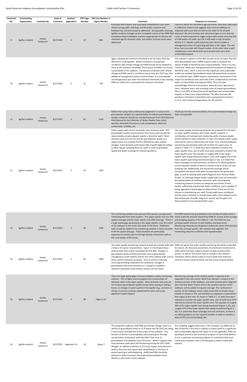| Comment<br>No. | Commenting<br>Organization | <b>Comment By</b>   | Date of<br>Comment | Section/<br>Appendix # | <b>PDF Page</b><br><b>Number</b> | PDF Line Number or<br><b>Figure Number</b> | Comment                                                                                                                                                                                                                                                                                                                                                                                                                                                                                                                                                                                                                                                                                                                            | <b>Response to Comment</b>                                                                                                                                                                                                                                                                                                                                                                                                                                                                                                                                                                                                                                                                                                                                                                                                                                                                                                                                                                                                                                                                                                                                                                                                                                                                                                                                                                                                                                                                                                                                                                                                                                                                                                                                   |
|----------------|----------------------------|---------------------|--------------------|------------------------|----------------------------------|--------------------------------------------|------------------------------------------------------------------------------------------------------------------------------------------------------------------------------------------------------------------------------------------------------------------------------------------------------------------------------------------------------------------------------------------------------------------------------------------------------------------------------------------------------------------------------------------------------------------------------------------------------------------------------------------------------------------------------------------------------------------------------------|--------------------------------------------------------------------------------------------------------------------------------------------------------------------------------------------------------------------------------------------------------------------------------------------------------------------------------------------------------------------------------------------------------------------------------------------------------------------------------------------------------------------------------------------------------------------------------------------------------------------------------------------------------------------------------------------------------------------------------------------------------------------------------------------------------------------------------------------------------------------------------------------------------------------------------------------------------------------------------------------------------------------------------------------------------------------------------------------------------------------------------------------------------------------------------------------------------------------------------------------------------------------------------------------------------------------------------------------------------------------------------------------------------------------------------------------------------------------------------------------------------------------------------------------------------------------------------------------------------------------------------------------------------------------------------------------------------------------------------------------------------------|
| 9              | Ag/Res resident            | Amelia<br>Vankeuren | 8/17/2021          | 3                      | 27                               | 681                                        | Estimated well impacts and associated rehabilitation costs were<br>shared during public meetings, but the public response and<br>feedback has not been properly addressed. During public meetings, impacted well count that are still on the order of 1% of wells<br>Ag/Res residents brought up the incomplete nature of the DWR Well impacted. We elect to keep well retirement ages as-is so that the<br>Completion Report database and the inappropriate 31-40 year old<br>retiremet age for domestic wells, but neither of those issues were<br>addressed.                                                                                                                                                                    | Concerns about the retirement age parameter have been addressed<br>in additional analysis that suggests only minimal additions to<br>count of wells impacted to trigger undesirable results stays low (5%<br>of 1300 wells is 65 wells, but 5% of 400 wells is only 20 wells).<br>Section 4.7.1 details a well protection plan which includes a<br>management action of improving well data in the region. This will<br>drive more accurate well impact models. At the same time, a well<br>rehabilitation fund will be built up to protect well users from<br>unintended impacts.                                                                                                                                                                                                                                                                                                                                                                                                                                                                                                                                                                                                                                                                                                                                                                                                                                                                                                                                                                                                                                                                                                                                                                           |
| 10             | Ag/Res resident            | Amelia<br>Vankeuren | 8/17/2021          | 3                      | 31                               | 745                                        | Again, allowing the minimum threshold to be set lower than the<br>2015 low is unacceptable. Model simulations of projected<br>conditions with climate change and PMA should not be allowed to<br>serve as the minimum threshold. The purpose of SGMA is to ensure<br>sustainability of the subbasin. If projected conditions with climate<br>change and PMA result in conditions worse than the 2015 low, then results are avoided if groundwater levels fall below those recorded<br>additional management actions must be taken. It is unacceptable<br>and disingenuous just lower the minimum threshold so that existing<br>PMA are sufficient to not exceed the minimum threshold.                                             | The reviewer's opinion is that SMC should not be set lower than the<br>2015 groundwater level. SGMA requires GSAs to evaluate the<br>impact of SMC on beneficial users of groundwater. There is no one<br>"historical" water year that guarantees the avoidance of impacts to<br>beneficial users, and it is incorrect that significant and undesirable<br>in an arbitrary year. SGMA requires quantitative assessments of the<br>impacts to beneficial users observed at MTs (evidenced by comment<br>letters to Paso Robles and Cayuma GSPs). Thus, this plan<br>acknowledges that the environment, domestic users, agricultural<br>users, industrial users, and municipal users all require groundwater.<br>Then, it sets MTs at levels that avoid significant and unreasonable<br>impacts to these users of groundwater. The plan forecasts the<br>avoidance of impacts to beneficial users (summarized in Section<br>3.3.1.2, and in technical Appendices 3A, 3B, and 3C).                                                                                                                                                                                                                                                                                                                                                                                                                                                                                                                                                                                                                                                                                                                                                                              |
| 11             | Ag/Res resident            | Amelia<br>Vankeuren | 8/17/2021          | 3                      | 81                               | 1610                                       | Rather than using "best professional judgement" to ensure that<br>groundwater samples are representative of ambient groundwater,<br>sampler collectors should use standard protocol from USGS National<br>Field Manual for the Collection of Water-Quality Data, which<br>specifies allowable fluctuation in pH, temperature, electrical<br>conductivity, turbidity, etc.                                                                                                                                                                                                                                                                                                                                                          | Thank you for the recommendation, the recommended change has<br>been incorporated.                                                                                                                                                                                                                                                                                                                                                                                                                                                                                                                                                                                                                                                                                                                                                                                                                                                                                                                                                                                                                                                                                                                                                                                                                                                                                                                                                                                                                                                                                                                                                                                                                                                                           |
| 12             | Ag/Res resident            | Amelia<br>Vankeuren | 8/17/2021          | 3                      | 65                               | 1362                                       | Public supply wells tend to be deeper than domestic wells. Will<br>groundwater quality measurements from these wells actually be<br>representative of groundwater quality in domestic wells? Most<br>domestic well users do not monitor groundwater quality on a<br>regular basis, but could be the first affected by water quality<br>changes. Some domestic well owners (like myself) might be willing<br>to allow regular sampling from our wells in order to get better<br>spatial and depth coverage for monitoring efforts.                                                                                                                                                                                                  | Two water quality monitoring networks are proposed for the basin:<br>an upper aquifer network, and a lower aquifer network. A<br>combination of municipal and monitoring wells of various depths<br>will be utilized for these networks. In short, the deeper public supply<br>wells will be used to characterize the lower zone, and the shallower<br>monitoring and domestic wells will monitor the upper zone. As<br>shown in Table 3-7, 11 wells have been selected to monitor the<br>upper aquifer zone, and 10 wells have been selected to monitor the<br>lower aquifer zone. This equates to roughly 36% of the upper<br>aquifer layer being monitored (Figure 3-25), and roughly 47% of the<br>lower aquifer layer being monitored (Figure 3-26). It is noted that<br>these coverages are only estimates, as there is no official guidance<br>on the required number of wells to monitor a basin of this size and<br>pumping rate. Additionally, the monitored coverage will be<br>increased in the future with wells incorporated to fill spatial data<br>gaps, as well as existing wells within Regional San's Harvest Water<br>Project. So, although deeper public supply wells may not necessarily<br>be representative of shallower domestic wells, the proposed<br>monitoring network contains an adequate assortment of well<br>depths, sufficiently characterizes basin conditions, and is capable of<br>being upgraded if spatial gaps are determined. Thank you for the<br>interest in volunteering your well. Private wells were considered,<br>but the team is hesitant to include these wells in the network as the<br>data will be part of public, long-term record, and the goal is for<br>these locations to be monitored 40+ years. |
| 13             | Ag/Res resident            | Amelia<br>Vankeuren | 8/17/2021          | 3                      | 60                               | 1306                                       | The monitoring network only achieves 92% spatial coverage when<br>spatial coverage and the lower aquifer only 50% coverage. There is<br>a large spatial gap, particularly in the upper aquifer, near the center<br>of the subbasin to the north and south of Elk Grove. Additional<br>wells should be added to the monitoring network in those locations from this principal aquifer. We maintain that together, the<br>to fill the spatial data gap. These locations are particularly<br>important to monitor due to the high density of domestic wells in<br>the rural estates of Elk Grove.                                                                                                                                     | The RMP network for groundwater level includes 45 wells which is<br>combining data from both aquifers. The upper aquifer only has 70% nearly triple the amount required by DWR for a basin of the acreage<br>and pumping capacity of the SASb ( $n = 16$ ). The SASb has one<br>principal aquifer (Section 2) with shallow and deep zones.<br>Monitoring networks are designed to follow the zones of production<br>monitoring network is sufficient and representative.                                                                                                                                                                                                                                                                                                                                                                                                                                                                                                                                                                                                                                                                                                                                                                                                                                                                                                                                                                                                                                                                                                                                                                                                                                                                                     |
| 14             | Ag/Res resident            | Amelia<br>Vankeuren | 8/17/2021          | 3                      | 66                               | 1388                                       | The water quality monitoring network should also include wells with While we agree that water quality monitoring should be conducted<br>a history of arsenic measurement. Figure 2.3-36 showed many<br>shallow wells with arsenic exceeding the EPA MCL. Changes in<br>groundwater levels and flow directions due to groundwater<br>management could mobilize arsenic into other shallow wells such as Therefore, efforts will be made to ensure wells have historical<br>those used for domestic purposes. Even if arsenic is naturally<br>occurring and being mobilized from sediments, changes in<br>groundwater flow and chemistry (i.e., changes in oxidation-<br>reduction potential) could mobilize arsenic into the water. | for arsenic, the historical assortment of constituents monitored at<br>wells within the basin makes inclusion of wells monitored for<br>arsenic, as well as TDS and N, hard to include in the network.<br>record of arsenic measurements, but this cannot be guaranteed.                                                                                                                                                                                                                                                                                                                                                                                                                                                                                                                                                                                                                                                                                                                                                                                                                                                                                                                                                                                                                                                                                                                                                                                                                                                                                                                                                                                                                                                                                     |

There are huge spatial gaps in the groundwater quality monitoring network. This is highly concerning given the concentration of

Monitoring coverage of the shallow aquifer is planned to be expanded in the near future. Wells from Aerojet's network in the

| 15 | Ag/Res resident | Amelia<br>Vankeuren | 8/17/2021 | 3            | 68 | Figure 3-24 | domestic wells in the upper aquifer. Most domestic well users do<br>not measure groundwater quality except when buying or selling a<br>house, so changes in water quality in this aquifer (e.g., increases in<br>nitrate or arsenic) could go undetected for years and cause<br>significant health impacts.                                                                                                                                                                                                                                                                                                                                                                                                                                                                                        | northern portion of the Subbasin, and wells located within Regional<br>San's Harvest Water Project area in the southern portion of the<br>Subbasin, will be added to expand coverage. The northwestern<br>portion of the Subbasin covers urban areas with no known issues<br>related to nitrate or TDS, and therefore no expansion is planned for<br>that region at this time. As shown in Table 3-7, 11 wells have been<br>selected to monitor the upper aquifer zone, and 10 wells have been<br>selected to monitor the lower aquifer zone. This equates to roughly<br>36% of the upper aquifer layer being monitored (Figure 3-25), and<br>roughly 47% of the lower aquifer layer being monitored (Figure 3-<br>26). It is noted that these coverages are only estimates, as there is<br>no official guidance on the required number of wells to monitor a<br>basin of this size and pumping rate. |
|----|-----------------|---------------------|-----------|--------------|----|-------------|----------------------------------------------------------------------------------------------------------------------------------------------------------------------------------------------------------------------------------------------------------------------------------------------------------------------------------------------------------------------------------------------------------------------------------------------------------------------------------------------------------------------------------------------------------------------------------------------------------------------------------------------------------------------------------------------------------------------------------------------------------------------------------------------------|-------------------------------------------------------------------------------------------------------------------------------------------------------------------------------------------------------------------------------------------------------------------------------------------------------------------------------------------------------------------------------------------------------------------------------------------------------------------------------------------------------------------------------------------------------------------------------------------------------------------------------------------------------------------------------------------------------------------------------------------------------------------------------------------------------------------------------------------------------------------------------------------------------|
| 16 | Ag/Res resident | Amelia<br>Vankeuren | 8/17/2021 | Appendix 3-A | 18 | Figure 7    | The projected conditions with PMA and climate change result in a<br>decline of groundwater levels to 15 ft below the Fall 2015 low along<br>a north-south oriented line at the center of the subbasin. This<br>amount of decline is unacceptable, particularly given the high<br>concentration of domestic wells that fall in that zone of<br>groundwater level depletion near Elk Grove. While it appears that<br>most domestic wells were still functioning during the 2012-2016<br>drought, an additional decline of 15 ft may impact many domestic<br>wells in that area and require well rehabilitation in the form of<br>pump lowering or well deepening. Additional PMA should be<br>planned in order to prevent the projected groundwater level<br>declines in the center of the subbasin. | Our modeling suggests that even in this situation, an additional 15<br>feet of decline in this area is unlikely to impact wells to a significant<br>and unreasonable degree (see Figure 15 in this appendix). PMA are<br>developed around a well protection program to fund rehabilitation,<br>to run a volunteer monitoring program, to coordinate with local<br>community members, and to fill data gaps to better model well<br>impacts.                                                                                                                                                                                                                                                                                                                                                                                                                                                           |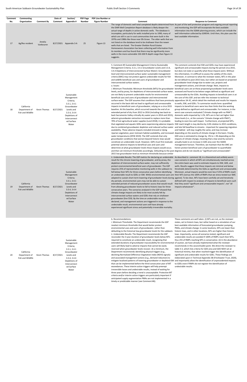| Comment<br>No. | Commenting<br>Organization                       | Comment By          | Date of<br>Comment | Section/<br>Appendix #                                                                                                                                      | <b>PDF Page</b><br>Number | <b>PDF Line Number or</b><br><b>Figure Number</b> | Comment                                                                                                                                                                                                                                                                                                                                                                                                                                                                                                                                                                                                                                                                                                                                                                                                                                                                                                                                                                                                                                                                                                                                                                                                                                                                                                                                                                                                                                                                                                                                                                                                                                                                                                                                                                                                                                                                                                                                                                                                                                                                                                                                                                                                                                                                                                                                                                                                                                                                                            | <b>Response to Comment</b>                                                                                                                                                                                                                                                                                                                                                                                                                                                                                                                                                                                                                                                                                                                                                                                                                                                                                                                                                                                                                                                                                                                                                                                                                                                                                                                                                                                                                                                                                                                                                                                                                                   |
|----------------|--------------------------------------------------|---------------------|--------------------|-------------------------------------------------------------------------------------------------------------------------------------------------------------|---------------------------|---------------------------------------------------|----------------------------------------------------------------------------------------------------------------------------------------------------------------------------------------------------------------------------------------------------------------------------------------------------------------------------------------------------------------------------------------------------------------------------------------------------------------------------------------------------------------------------------------------------------------------------------------------------------------------------------------------------------------------------------------------------------------------------------------------------------------------------------------------------------------------------------------------------------------------------------------------------------------------------------------------------------------------------------------------------------------------------------------------------------------------------------------------------------------------------------------------------------------------------------------------------------------------------------------------------------------------------------------------------------------------------------------------------------------------------------------------------------------------------------------------------------------------------------------------------------------------------------------------------------------------------------------------------------------------------------------------------------------------------------------------------------------------------------------------------------------------------------------------------------------------------------------------------------------------------------------------------------------------------------------------------------------------------------------------------------------------------------------------------------------------------------------------------------------------------------------------------------------------------------------------------------------------------------------------------------------------------------------------------------------------------------------------------------------------------------------------------------------------------------------------------------------------------------------------------|--------------------------------------------------------------------------------------------------------------------------------------------------------------------------------------------------------------------------------------------------------------------------------------------------------------------------------------------------------------------------------------------------------------------------------------------------------------------------------------------------------------------------------------------------------------------------------------------------------------------------------------------------------------------------------------------------------------------------------------------------------------------------------------------------------------------------------------------------------------------------------------------------------------------------------------------------------------------------------------------------------------------------------------------------------------------------------------------------------------------------------------------------------------------------------------------------------------------------------------------------------------------------------------------------------------------------------------------------------------------------------------------------------------------------------------------------------------------------------------------------------------------------------------------------------------------------------------------------------------------------------------------------------------|
| 17             | Ag/Res resident                                  | Amelia<br>Vankeuren |                    | 8/17/2021 Appendix 3-A                                                                                                                                      | 25                        | Figure 13                                         | the DWR Well Completion Report database is likely deeper the<br>actual range of depths in active domestic wells. The database is<br>incomplete, particularly for wells installed prior to 1990, many of<br>which are still in use in rural communities that were built in the<br>1970s and 1980s like those near Elk Grove. The older wells that are<br>not listed on the database tend to be shallower than the newer<br>wells that are listed. The Greater Sheldon Rural Estates<br>Homeowners Association has been collecting well information from<br>its members and has found that there may be significantly more<br>wells in the more vulnerable 150-200 ft depth range than Figure 13<br>suggests.                                                                                                                                                                                                                                                                                                                                                                                                                                                                                                                                                                                                                                                                                                                                                                                                                                                                                                                                                                                                                                                                                                                                                                                                                                                                                                                                                                                                                                                                                                                                                                                                                                                                                                                                                                                        | The range of domestic well total completed depths determined from As part of the well protection program and ongoing annual reporting<br>and monitoring, the GSP will incorporate the best available<br>information into the SGMA planning process, which can include the<br>well information collected by GSREHA. Until then, this plan uses the<br>best available information.                                                                                                                                                                                                                                                                                                                                                                                                                                                                                                                                                                                                                                                                                                                                                                                                                                                                                                                                                                                                                                                                                                                                                                                                                                                                             |
| 18             | California<br>Department of<br>Fish and Wildlife | Kevin Thomas        | 8/17/2021          | Sustainable<br>Management<br>Criteria;<br>3.3.1, 3.4.1<br>Groundwater<br>Levels and<br>3.3.4, 3.4.4<br>Depletions of<br>Interconnect<br>ed Surface<br>Water |                           |                                                   | 5. Comment #5 Sustainable Management Criteria (Sustainable<br>Management Criteria; 3.3.1, 3.4.1 Groundwater Levels and 3.3.4,<br>3.4.4 Depletions of Interconnected Surface Water): Groundwater<br>level and interconnected surface water sustainable management<br>criteria (SMC) may not protect against undesirable results for fish<br>and wildlife beneficial uses and users of groundwater and<br>interconnected surface waters.<br>a. Issues:<br>i. Minimum Thresholds: Minimum thresholds (MTs) for groundwater beneficial users are at these projected groundwater levels were<br>levels, and by proxy, for depletions of interconnected surface water,<br>are not likely to prevent undesirable results for environmental<br>beneficial uses and users of groundwater and interconnected<br>surface water. The GSP assumes that conditions that have previously appendices 3A-3C, which detail the methods and results for impacts<br>occurred in the basin did not lead to significant and unreasonable<br>impacts to beneficial users of groundwater, relying on a circa 2015<br>baseline. At this baseline, which occurred towards the end of an<br>extended period of dry from 2012 to 2016 (including two back-to-<br>back Sacramento Valley critically dry water years in 2014 and 2015),<br>wherein groundwater extraction increased to replace more than<br>70% of lost agricultural water supplies (Lund 2018), it is probable<br>that vegetated and aquatic GDEs were experiencing adverse impacts ISW reach length is may decline by 2.6% relative to 2015 conditions,<br>due to combined groundwater depletion and reduced surface water and late fall baseflow to streams - important for spawning migration<br>availability. These adverse impacts included stressed or dying<br>riparian vegetation, poor instream habitat availability, and increased depending on the severity of climate change in the basin. Finally,<br>water temperatures (DFW 2019). The GSP contends that only<br>groundwater conditions that worsen beyond historic lows would<br>constitute an undesirable result. However, GSPs must first evaluate<br>potential adverse impacts to beneficial uses and users and<br>determine at what groundwater levels those impacts would occur,<br>and then set minimum thresholds accordingly. Defaulting to the post degrees and do not classify as "significant and unreasonable".<br>2015 low groundwater level as minimum thresholds because similar | The comment contends that ISW and GDEs may have experienced<br>significant and unreasonable impacts during the period circa 2015,<br>but does not state or quantify what those impacts were. Without<br>this information, it is difficult to assess the validity of this claim.<br>Moreover, in contrast to what the reviewer states, MTs in this plan<br>do not default to post-2015 lows, but rather are based on projected<br>groundwater level change due to water use, projects and<br>management actions, and climate change. Next, impacts to<br>assessed and found to be below ranges defined as significant and<br>unreasonable by the GSAs. Avoiding impacts to beneficial users is at<br>the core of this GSP, and we refer the reviewer to technical<br>to wells, ISW, and GDEs. To summarize results here: quantified<br>impacts to beneficial users were less than limits that the working<br>group defined as significant and unreasonable. For instance, in the<br>worst case scenario evaluated ("climate change with no PMA")<br>domestic wells impacted by 1-2%. MTs are in fact set higher than<br>these levels (i.e., at the scenario "climate change with PMA"),<br>leading to even less well impact. Furthermore, at projected MTs,<br>and habitat - will stay roughly the same, and may increase<br>GDE area is estimated to change by -3% to $+$ 4% depending on the<br>impacts of climate change, meaning that a low severity scenario<br>actually leads to an increase in GDE area over the SGMA<br>management horizon. Therefore, we maintain that the SMC set<br>herein protect beneficial users of groundwater to quantifiable |
| 19             | California<br>Department of<br>Fish and Wildlife | Kevin Thomas        | 8/17/2021          | Sustainable<br>Management<br>Criteria;<br>3.3.1, 3.4.1<br>Groundwater<br>Levels and<br>3.3.4, 3.4.4<br>Depletions of<br>Interconnect<br>ed Surface<br>Water |                           |                                                   | ii. Undesirable Results: The GSP metrics for declaring an undesirable As described in comment 18, in a theoretical and unlikely worst-<br>result for the chronic lowering of groundwater, and by proxy, the<br>depletion of interconnected surface water, may not sufficiently<br>protect environmental beneficial users of groundwater. The GSP<br>requires 25% of representative monitoring wells in the subbasin to<br>fall below their MTs for three consecutive years before identifying<br>an undesirable result to GDEs or ISW. While environmental users are their MTs (versus the 100% of RMPs that we stress-tested our SMC<br>adapted to sustain short-term lowering of groundwater levels during against). To be clear, MTs have been carefully set and iteratively<br>dry periods, environmental users may not be able to sustain<br>extended periods of reduced groundwater access that would result<br>from allowing groundwater levels to fall to historic lows for three<br>consecutive years. The scenarios analyzed in the GSP showed that<br>climate change impacts are likely to be most acutely felt by<br>interconnected surface waters and GDEs that rely on shallower<br>groundwater (line 559). By the time an undesirable result is<br>declared, and management actions are triggered in response to the<br>undesirable result, environmental users will have already<br>experienced significant stress and potentially irreversible mortality.                                                                                                                                                                                                                                                                                                                                                                                                                                                                                                                                                                                                                                                                                                                                                                                                                                                                                                                                                                                                                         | case scenario in which all MTs are simultaneously reached across<br>the entire basin was used to estimate impacts to ISW, GDE, and<br>wells. Results suggest that these impacts are minimal and below<br>thresholds determined by the GSAs as significant and unreasonable.<br>Moreover, actual impacts would be even less if 25% of RMPs reach<br>defined with respect to analyses of impacts to beneficial users such<br>that they avoid "significant and unreasonable impacts", not "all<br>impacts whatsoever".                                                                                                                                                                                                                                                                                                                                                                                                                                                                                                                                                                                                                                                                                                                                                                                                                                                                                                                                                                                                                                                                                                                                          |
| 20             | California<br>Department of                      | Kevin Thomas        | 8/17/2021          | Sustainable<br>Management<br>Criteria;<br>3.3.1, 3.4.1<br>Groundwater<br>Levels and                                                                         |                           |                                                   | b. Recommendations:<br>i. Minimum Thresholds: The Department recommends the GSP<br>reselect minimum thresholds that would better protect<br>environmental uses and users of groundwater, rather than<br>defaulting to the historical low groundwater levels for the subbasin.<br>ii. Undesirable Results: The Department recommends the GSP<br>reconsider the 3-year duration of groundwater levels below MTs<br>required to constitute an undesirable result, recognizing that<br>extended durations of groundwater inaccessibility for environmental of caution, we have already implemented what the reviewer<br>users will likely lead to adverse impacts that cannot be easily<br>reversed when groundwater levels recover. At a minimum, the<br>Department recommends identifying physical triggers (e.g.,<br>declining Normalized Difference Vegetation Index (NDVI) signals)                                                                                                                                                                                                                                                                                                                                                                                                                                                                                                                                                                                                                                                                                                                                                                                                                                                                                                                                                                                                                                                                                                                                                                                                                                                                                                                                                                                                                                                                                                                                                                                                               | These comments are well taken. (i) MTs are not, as the reviewer<br>states, set to historic lows, but rather based on a simulation of our<br>best-available information of forecasted groundwater pumping,<br>PMAs, and climate change. In some locations, MTs are lower than<br>historic lows, and in other locations, MTs are higher than historic<br>lows. Importantly, across all scenarios tested, significant and<br>undesirable results are avoided if 100% of RMPs reach their MTs,<br>thus 255 of RMPs reaching MTs is conservative. (ii) In the abundance<br>recommends in this second bullet point. We direct the reviewer to<br>table 3-2, which lists criteria for GDE area and GDE NDVI set at<br>historical minima, that when reached trigger the identification of<br>significant and undesirable results for GDEs. These findings are                                                                                                                                                                                                                                                                                                                                                                                                                                                                                                                                                                                                                                                                                                                                                                                                        |

20 Department of Fish and Wildlife

Kevin Thomas 8/17/2021

Groundwater Levels and 3.3.4, 3.4.4 Depletions of Interconnect ed Surface Water

and associated management actions (e.g., demand reduction) to

exceedances. These interim action triggers will help preempt irreversible losses and undesirable results, instead of waiting for three years before deciding a trend is unacceptable. Protective MT criteria and/or interim action triggers are particularly important if anticipated supply augmentation PMAs are not implemented in a

timely or predictable manner (see Comment #6).

mitigate localized patterns of lowering groundwater or depleted ISW and importantly allow the identification of unprecedented impacts that can be implemented before the third consecutive year of MT to GDEs even if RMPs do not register the identification of

significant and undesirable results for GDEs. These findings are elaborated upon in Technical Appendix 3B (Freshwater Trust, 2020),

undesirable results.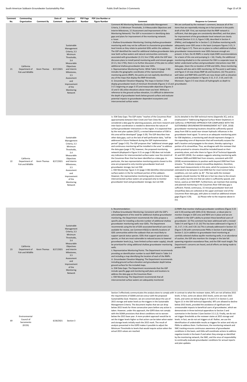| Comment   | Commenting                                                       |                                   | Date of              | Section/                                                                                                                                                                                                                         | <b>PDF Page</b> | <b>PDF Line Number or</b> |                                                                                                                                                                                                                                                                                                                                                                                                                                                                                                                                                                                                                                                                                                                                                                                                                                                                                                                                                                                                                                                                                                                                                                                                                                                                                                                                                                                                                                                                                                                                                                                                                                                                                                                                                                                                                                                          |                                                                                                                                                                                                                                                                                                                                                                                                                                                                                                                                                                                                                                                                                                                                                                                                                                                                                                                                                                                                                                                                                                                                                                                                                                                                                                                                                                                                                                                                                                                                                                                                                                                                                                                                                          |
|-----------|------------------------------------------------------------------|-----------------------------------|----------------------|----------------------------------------------------------------------------------------------------------------------------------------------------------------------------------------------------------------------------------|-----------------|---------------------------|----------------------------------------------------------------------------------------------------------------------------------------------------------------------------------------------------------------------------------------------------------------------------------------------------------------------------------------------------------------------------------------------------------------------------------------------------------------------------------------------------------------------------------------------------------------------------------------------------------------------------------------------------------------------------------------------------------------------------------------------------------------------------------------------------------------------------------------------------------------------------------------------------------------------------------------------------------------------------------------------------------------------------------------------------------------------------------------------------------------------------------------------------------------------------------------------------------------------------------------------------------------------------------------------------------------------------------------------------------------------------------------------------------------------------------------------------------------------------------------------------------------------------------------------------------------------------------------------------------------------------------------------------------------------------------------------------------------------------------------------------------------------------------------------------------------------------------------------------------|----------------------------------------------------------------------------------------------------------------------------------------------------------------------------------------------------------------------------------------------------------------------------------------------------------------------------------------------------------------------------------------------------------------------------------------------------------------------------------------------------------------------------------------------------------------------------------------------------------------------------------------------------------------------------------------------------------------------------------------------------------------------------------------------------------------------------------------------------------------------------------------------------------------------------------------------------------------------------------------------------------------------------------------------------------------------------------------------------------------------------------------------------------------------------------------------------------------------------------------------------------------------------------------------------------------------------------------------------------------------------------------------------------------------------------------------------------------------------------------------------------------------------------------------------------------------------------------------------------------------------------------------------------------------------------------------------------------------------------------------------------|
| No.<br>21 | Organization<br>California<br>Department of<br>Fish and Wildlife | <b>Comment By</b><br>Kevin Thomas | Comment<br>8/17/2021 | Appendix#<br>Sustainable<br>Management<br>Criteria, 3.3<br>Minimum<br>Thresholds,<br>3.4<br>Measurable<br>Objectives<br>and Interim<br>Milestones,<br>3.5<br>Assessment<br>and<br>Improvement<br>of the<br>Monitoring<br>Network | Number          | <b>Figure Number</b>      | Comment<br>Comment #6 Monitoring Networks (Sustainable Management<br>Criteria, 3.3 Minimum Thresholds, 3.4 Measurable Objectives and<br>Interim Milestones, 3.5 Assessment and Improvement of the<br>Monitoring Network): The GSP is inconsistent in identifying data<br>gaps and plans for improvement of the monitoring network.<br>a. Issue:<br>i. Shallow Groundwater Monitoring: Existing shallow groundwater<br>monitoring wells may not be sufficient to characterize groundwater<br>level trends as they relate to potential GDEs within the subbasin.<br>The GSP identified the need for additional shallow groundwater data groundwater measurements near GDEs because enough are<br>near both surface waters and natural communities commonly<br>associated with groundwater (2.2.9, line 1738); while the GSP later<br>(3.5.5, line 1735), there is no further discussion of the plan to collect better understand surface and groundwater interactions near ISW<br>additional shallow groundwater data near GDEs.<br>ii. Representative Monitoring Points: While Table 3-4 (page 3-36)<br>includes the geographic coordinates of the representative<br>monitoring points (RMP), the points are not explicitly identified on<br>any of the maps that display the RMP thresholds.<br>iii. Groundwater Elevation Mapping: The maps in Section 3 that<br>display groundwater levels of minimum thresholds (Figures 3-13 and groundwater.<br>3-17; beginning on page 3-37) and measurable objectives (Figures 3-<br>15 and 3-18) utilize elevations above mean sea level. Without a<br>reference to the ground surface elevation, it is difficult to determine<br>the depth of groundwater levels below ground surface and evaluate                                                                                                              | <b>Response to Comment</b><br>We are confused by the reviewer's comment, because all of the<br>items that are reportedly missing are in fact present in the public<br>draft of the GSP. First, we maintain that the RMP network is<br>sufficient, that data gaps are consistently identified, and that plans<br>for improvement of the groundwater level network are clearly<br>outlined (Section 3.3.1.3, Figure 3-28), described in Section 4<br>(PMAs), and budgeted for in Section 5. (i) Shallow monitoring wells<br>adequately cover GDE areas in the basin (compare Figures 3-23, 3-<br>24 with Figure 3-7). There are no plans to collect additional shallow<br>present. In fact, the 45 RMPs is nearly triple DWR recommendations<br>for a basin of this size and pumping ( $n = 16$ ). Finally, the additional<br>discusses plans to install paired monitoring wells and stream gauges monitoring alluded to in the comment for ISW is a separate issue: to<br>data gaps. Given the co-location of ISW and GDEs, these monitoring<br>networks will also aid in GDE monitoring. (ii) The point is well taken,<br>and Figure 3-14 now shows RMP ids and locations. (iii) The point is<br>well taken and RMP MOs and MTs are now shown with as elevation<br>and depth to groundwater in Figures 3-15, 3-17, 3-19, and 3-20.<br>Moreover, Figure 3-5 now shows all hydrographs as depth to                                                                                                                                                                                                                                                                                                                                                         |
| 22        | California<br>Department of<br>Fish and Wildlife                 | Kevin Thomas                      | 8/17/2021            | Sustainable<br>Management<br>Criteria, 3.3<br>Minimum<br>Thresholds,<br>3.4<br>Measurable<br>Objectives<br>and Interim<br>Milestones,<br>3.5<br>Assessment<br>and<br>Improvement<br>of the<br>Monitoring<br>Network              |                 |                           | potential impacts to groundwater dependent ecosystems and<br>interconnected surface water.<br>iv. ISW Data Gaps: The GSP states "reaches of the Cosumnes River<br>approximately between Deer Creek and Twin Cities Rd.  are<br>considered a data gap for planning purposes, and more research and California: A PROPOSED APPROACH FOR COMPLIANCE WITH THE<br>inter-basin coordination is needed to determine the nature of<br>surface groundwater interactions in this region. It is expected that<br>by the next plan update (2027), a revised determination of ISW in<br>this area will be developed" (page 3-29). The GSP describes how<br>other data gaps, such as the lack of well perforation data, "will be<br>addressed in future fieldwork during the GSP implementation<br>period" (page 3-55). The GSP proposes that "additional stream gage<br>and continuous monitoring will be installed in the area" to address<br>the data gaps (page 3-79); however, the proposed monitoring<br>network (displayed in Figure 3-21 on page 3-58) does not include<br>any indicators for interconnected surface water near the stretch of 3C and EDF (2018). Our analysis suggests selecting monitoring wells<br>the Cosumnes River that has been identified as a data gap. In<br>particular, the two representative monitoring points closest to this<br>area are proposed to only monitor groundwater level and<br>groundwater storage, but not ISW.<br>v. ISW Monitoring: Figure 3-21 (page 3-58) identifies interconnected estimated to be between 0 and 2000 feet for most Central Valley<br>surface waters in the far northeast portion of the subbasin.<br>However, the representative monitoring points closest to these<br>interconnected surface waters are proposed only to monitor<br>groundwater level and groundwater storage, but not ISW. | (iv) As detailed in the ISW technical memo (Appendix 3C), and as<br>emphasized in "Addressing Regional Surface Water Depletions in<br>SUSTAINABLE GROUNDWATER MANAGEMENT ACT" (EDF, 2018)<br>groundwater monitoring locations should be sufficiently spaced<br>away from ISW to avoid near-stream hydraulic influences in the<br>groundwater level signal. To serve as an adequate monitoring point<br>for ISW depletion, a monitoring well should represent changes in<br>the expanding cone of depression that will eventually surpass the<br>well's location and propagate to the steam, thereby capturing a<br>portion of its streamflow. Thus, we disagree with the reviewer that<br>points proximal to streams should be included based on their<br>proximity alone, and refer them to Figure 34 of Technical Appendix<br>between 3000 and 9000 feet from streams, consistent with EDF<br>(2018) recommendations to position wells beyond 2000 feet from<br>streams: "To indicate incipient streamflow depletion, therefore,<br>water-level measurements in this zone, which for purposes here is<br>conditions, are not useful. (p. 8)". The two wells the reviewer<br>suggests should monitor for ISW are in fact too close to the stream<br>to be useful, but the one that we select is sufficiently spaced, and<br>hence, used as an ISW RMP. Furthermore, we maintain that existing<br>and planned monitoring in the Cosumnes River ISW data gap is<br>sufficient. Paired, continuous, 15 minute groundwater level and<br>streamflow data are collected at the upper and lower end of the<br>Cosumnes River data gap, with plans to install an additional stream<br>(v) Please refer to the response above in<br>gage (Figure 3-29).<br>(iv). |
| 23        | California<br>Department of<br>Fish and Wildlife                 | Kevin Thomas                      | 8/17/2021            | Sustainable<br>Management<br>Criteria, 3.3<br>Minimum<br>Thresholds,<br>3.4<br>Measurable<br>Objectives<br>and Interim<br>Milestones,                                                                                            |                 |                           | b. Recommendation:<br>i. Shallow Groundwater Monitoring: Consistent with the GSP's<br>acknowledgement of the need for additional shallow groundwater<br>monitoring, the Department recommends the GSAs propose a<br>specific plan for installing a discrete number of additional shallow<br>groundwater monitoring wells near GDEs. The Department<br>recommends using the list of GDE-associated beneficial users (not<br>available for review, see Comment #3(ii)) to identify locations of<br>GDE communities within the subbasin that are most likely to<br>support special status species. GDEs that support special status<br>species, or that are most vulnerable to reduced access to lowered<br>groundwater levels (e.g., have limited surface water supply), should<br>be prioritized for siting additional shallow groundwater monitoring<br>wells.<br>ii. Representative Monitoring Points: The Department recommends<br>providing an identification number to each RMP listed in Table 3-4                                                                                                                                                                                                                                                                                                                                                                                                                                                                                                                                                                                                                                                                                                                                                                                                                                                  | (i) RMPs that monitor shallow groundwater conditions (Figure 3-23<br>and 3-24) overlap with GDEs (3-6). Moreover, a robust plan to<br>monitor changes in GDE area and NDVI are in place and we are<br>confident in the GSP's ability to protect these beneficial users of<br>groundwater. (ii) This comment has been addressed with a revised<br>Table 3-4 and Figure 3-13. (iii) This has been addressed in Figures 3-<br>15, 3-17, 3-19, and 3-20. (iv) This is already addressed in Section 3.5<br>(Figure 3-29) with commensurate PMAs in Section 4 and budget in<br>Section 5. (v) In addition to groundwater level monitoring at<br>carefully selected shallow aquifer monitoring wells, in an abundance<br>of caution, the GSP also monitors for changes in the late fall<br>spawning migration exceedance flow, and the ISW reach length. The<br>Department's concerns are heard, and all efforts are being made to<br>protect ISW.                                                                                                                                                                                                                                                                                                                                                                                                                                                                                                                                                                                                                                                                                                                                                                                                              |

Milestones, 3.5 Assessment and

Improvement of the Monitoring Network

providing an identification number to each RMP listed in Table 3‐4 and including a map identifying the location of each of the RMPs. iii. Groundwater Elevation Mapping: The Department recommends including ground surface elevation and groundwater depth below ground surface for the included maps.

iv. ISW Data Gaps: The Department recommends that the GSP include specific gage and monitoring well plans and locations to address the data gap on the Cosumnes River.

v. ISW Monitoring: The Department recommends that all

interconnected surface waters are adequately monitored.

69

Environmental Council of Sacramento (ECOS)

6/18/2021 Section 3

Section 3 effectively communicates the analysis done to comply with In contrast to what the reviewer states, MTs are not all below 2015 the requirements of SGMA and we concur with the proposed Sustainability Goal. However, we are concerned about the use of 2015 storage and water levels as the triggers in the Sustainable Management Criteria. The document implies that we can drop below 2015 levels for three consecutive years before any action is taken. However, under this approach, the GSPD does not comply with the SGMA provisions that direct conditions not to worsen below the 2015 base year. A more prudent approach would be to set the trigger levels higher so that action can be taken when water and storage levels initially reach the 2015 mark. The result of analysis presented in the GSPD makes it possible to adjust the Minimum Thresholds to levels that would require action when the actual 2015 values are reached.

levels. In fact, some are above 2015 levels, some are near 2015 levels, and some are below (Figure 3‐4 and 3‐5 in Section 3, and Figure 21 in the ISW technical Appendix). MTs are allowed to decline below 2015 levels, provided the avoidance of significant and unreasonable impacts to beneficial users of groundwater, which we demonstrate in three technical appendices to Section 3 and summarize in the Section 3 (see Section 3.3.1.2). Finally, we do not set trigger thresholds as the reviewer states at 2015 storage and levels. In fact, we do not set triggers at all. Rather, we use the identification of undesirable results as triggers for action and rely on PMAs to address them. Furthermore, the monitoring network and SMC tracking ensures continuous awareness of groundwater conditions in the basin, and GSAs will coordinate actions to address negative trends in the basin if and when they emerge as identified by the monitoring network, the SMC, and the onus of responsibility to continually evaluate groundwater conditions for annual reports and plan updates.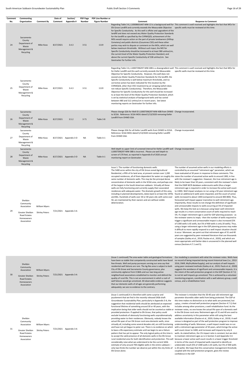Greater Sheldon Road Estates Shirley Peters 7/21/2021 Appendix 3-A

| Comment<br>No. | Commenting<br>Organization                                                                          | <b>Comment By</b>                             | Date of<br>Comment | Section/<br>Appendix # | <b>PDF Page</b><br>Number | <b>PDF Line Number or</b><br><b>Figure Number</b> | Comment                                                                                                                                                                                                                                                                                                                                                                                                                                                                                                                                                                                                                                                                                                                                                                                                                                                                                                                                                                                          | <b>Response to Comment</b>                                                                                                                                                                                                                                                                                                                                                                                                                                                                                                                                                                                                                                                                                                                                                                                                                                                                                                                                                                                                                                                                                                                                                                                                                                                                                                                                                                                                                                                                                                                                                                                                                                                                                                                                                      |
|----------------|-----------------------------------------------------------------------------------------------------|-----------------------------------------------|--------------------|------------------------|---------------------------|---------------------------------------------------|--------------------------------------------------------------------------------------------------------------------------------------------------------------------------------------------------------------------------------------------------------------------------------------------------------------------------------------------------------------------------------------------------------------------------------------------------------------------------------------------------------------------------------------------------------------------------------------------------------------------------------------------------------------------------------------------------------------------------------------------------------------------------------------------------------------------------------------------------------------------------------------------------------------------------------------------------------------------------------------------------|---------------------------------------------------------------------------------------------------------------------------------------------------------------------------------------------------------------------------------------------------------------------------------------------------------------------------------------------------------------------------------------------------------------------------------------------------------------------------------------------------------------------------------------------------------------------------------------------------------------------------------------------------------------------------------------------------------------------------------------------------------------------------------------------------------------------------------------------------------------------------------------------------------------------------------------------------------------------------------------------------------------------------------------------------------------------------------------------------------------------------------------------------------------------------------------------------------------------------------------------------------------------------------------------------------------------------------------------------------------------------------------------------------------------------------------------------------------------------------------------------------------------------------------------------------------------------------------------------------------------------------------------------------------------------------------------------------------------------------------------------------------------------------|
| 24             | Sacramento<br>County<br>Department of<br>Waste<br>Management &<br>Recycling                         | Mike Koza                                     | 8/17/2021          | 3.4.3                  | $3 - 51$                  | 1119                                              | Regarding Table 3-6, L10008601447-MW-13 is a background well for This comment is well received and highlights the fact that MOs for<br>Elk Grove Landfill and currently exceeds the Measurable Objective specific wells must be reviewed at this time.<br>for Specific Conductivity. As this well is offsite and upgradient of the<br>landfill and does not exceed any Water Quality Protection Standards<br>for the landfill as specified by the CVRWQCB, achievement of the<br>MOs would require action on the part of private landowners (Hilltop<br>Cemetery) and public districts (Cosumnes CSD) and these other<br>parties may wish to dispute or comment on the MOs, which are well<br>below maximum thresholds. Without such input, the MO for<br>Specific Conductivity should be increased to at least 580 umhos/cm,<br>the current level of the Water Quality Protection Standard, and<br>above the current Specific Conductivity of 538 umhos/cm. See<br>Geotracker for further info. |                                                                                                                                                                                                                                                                                                                                                                                                                                                                                                                                                                                                                                                                                                                                                                                                                                                                                                                                                                                                                                                                                                                                                                                                                                                                                                                                                                                                                                                                                                                                                                                                                                                                                                                                                                                 |
| 25             | Sacramento<br>County<br>Department of<br>Waste<br>Management &<br>Recycling                         | Mike Koza                                     | 8/17/2021          | 3.4.3                  | $3 - 51$                  | 1119                                              | Regarding Table 3-6, L10007396297-MW-40B is a downgradient well This comment is well received and highlights the fact that MOs for<br>for Kiefer Landfill and this well currently exceeds the Measurable<br>Objective for Specific Conductivity. However, this well does not<br>exceed any Water Quality Protection Standards for the landfill, the<br>Specific Conductivity is well below maximum thresholds, and no<br>corrective action has been indicated for this location by the<br>CVRWQCB, other than VOC treatment by air stripping (which does<br>not reduce Specific Conductivity). Therefore, the Measurable<br>Objective for Specific Conductivity for this well should be increased<br>to at least the level of the Water Quality Protection Standard, which<br>is set by statistical analysis of background wells and has varied<br>between 480 and 512 umhos/cm in recent years. See latest<br>monitoring reports on Geotracker for further info.                                | specific wells must be reviewed at this time.                                                                                                                                                                                                                                                                                                                                                                                                                                                                                                                                                                                                                                                                                                                                                                                                                                                                                                                                                                                                                                                                                                                                                                                                                                                                                                                                                                                                                                                                                                                                                                                                                                                                                                                                   |
| 26             | Sacramento<br>County<br>Department of<br>Waste<br>Management &<br>Recycling                         | Mike Koza                                     | 8/17/2021          | 3.5.2                  | $3 - 71$                  | Table 3-8                                         | Please change GSA for Well ID L10007396297-MW-40B from OHWD Change incorporated.<br>to SCGA. Reference: SCGA MOU dated 5/13/2020 removing Kiefer<br>Landfill from OHWD GSA.                                                                                                                                                                                                                                                                                                                                                                                                                                                                                                                                                                                                                                                                                                                                                                                                                      |                                                                                                                                                                                                                                                                                                                                                                                                                                                                                                                                                                                                                                                                                                                                                                                                                                                                                                                                                                                                                                                                                                                                                                                                                                                                                                                                                                                                                                                                                                                                                                                                                                                                                                                                                                                 |
| 27             | Sacramento<br>County<br>Department of<br>Waste<br>Management &<br>Recycling                         | Mike Koza                                     |                    | 8/17/2021 Appendix 3-D | NA                        | Table A-1                                         | Please change GSA for all Kiefer Landfill wells from OHWD to SCGA. Change incorporated.<br>Reference: SCGA MOU dated 5/13/2020 removing Kiefer Landfill<br>from OHWD GSA.                                                                                                                                                                                                                                                                                                                                                                                                                                                                                                                                                                                                                                                                                                                                                                                                                        |                                                                                                                                                                                                                                                                                                                                                                                                                                                                                                                                                                                                                                                                                                                                                                                                                                                                                                                                                                                                                                                                                                                                                                                                                                                                                                                                                                                                                                                                                                                                                                                                                                                                                                                                                                                 |
| 28             | Sacramento<br>County<br>Department of<br>Waste<br>Management &<br>Recycling                         | Mike Koza                                     |                    | 8/17/2021 Appendix 3-D |                           | Table A-1                                         | Well depth to upper limit of screened interval for Kiefer Landfill well Change incorporated.<br>L10007396297-MW-38B is incorrect. Please use well depth to<br>screen of 170 feet, as reported in Appendix B of 2020 annual<br>monitoring report on Geotracker.                                                                                                                                                                                                                                                                                                                                                                                                                                                                                                                                                                                                                                                                                                                                   |                                                                                                                                                                                                                                                                                                                                                                                                                                                                                                                                                                                                                                                                                                                                                                                                                                                                                                                                                                                                                                                                                                                                                                                                                                                                                                                                                                                                                                                                                                                                                                                                                                                                                                                                                                                 |
| 29             | Sheldon<br>Community<br>Association<br>Greater Sheldon<br>Road Estates<br>Homeowners<br>Association | <b>William Myers</b><br><b>Shirley Peters</b> |                    | 7/21/2021 Appendix 3-A |                           |                                                   | Issue 1: The number of functioning domestic wells<br>The 5400 acres within the city of Elk Grove zoned Agricultural<br>Residential, a fifth of its land area, at present contain over 1,200<br>occupied residences, all of them dependent for water on roughly the raises the number of assumed active wells to around 1300, in line<br>same number of domestic wells. This may be the principal dense<br>concentration of domestic wells in the SCGA area, and perhaps one<br>of the largest in the South American subbasin. Virtually all these<br>wells are fully functioning and currently supply their associated<br>residences with adequate water. The dramatic growth of this area,<br>including in planned developments, dates back to at least the 1970s found an additional 6 wells were impacted, and the count of active<br>and 80s. Hundreds of wells over 30 or 40 years old, with some over<br>50, are maintained by their owners and are without visible<br>deterioration.      | The number of assumed active wells in our modeling efforts is<br>controlled by an assumed "retirement age" parameter, which we<br>have evaluated at 50 years in response to these comments. This<br>with the reviewer's suggestion. However, the true retirement age is<br>likely to be lower than 50 years, consistent with the reviewer's claim<br>that the DWR WCR database undercounts wells (thus a larger<br>retirement age is required in order to increase the active well count<br>to 1300). Well impact analyses re-run using a 50 year retirement age<br>wells increased to about 1300 (compared to around 400-800). Thus,<br>forecasted well impact appear insensitive to well retirement age.<br>Importantly, these results to not change the definition of significant<br>and unreasonable impacts to wells occurring at 5% of impacted<br>wells. We keep the text as-is because using lower well retirement<br>age results in a more conservative count of wells required to reach<br>5%. If a larger retirement age is used for GSP planning purposes - as<br>the reviewer seems to imply - then the number of wells required to<br>trigger a significant and unreasonable impact is also increased (5%<br>of 1300 wells is 65 wells, but 5% of 400 wells is only 20 wells). Thus,<br>using a larger retirement age in the GSP planning process may make<br>it difficult to more rapidly respond to a well impact situation should<br>it occur. Moreover, we point out that retirement ages of 31 and 40<br>years are suggested by peer-reviewed literature that use thousands<br>of samples (Gailey et al., 2019; Pauloo et al., 2020), and which are<br>more appropriate until better data is uncovered in the planned well<br>census (Sections 4.7.1 and 5). |
|                |                                                                                                     |                                               |                    |                        |                           |                                                   |                                                                                                                                                                                                                                                                                                                                                                                                                                                                                                                                                                                                                                                                                                                                                                                                                                                                                                                                                                                                  | (Issue 1 continued) The area water table and geological formations  Our modeling is consistent with what the reviewer notes. Wells have<br>and heap so stable that competently constructed wells have faced and record of being impacted during recent bistorical lows (i.e., 2012,                                                                                                                                                                                                                                                                                                                                                                                                                                                                                                                                                                                                                                                                                                                                                                                                                                                                                                                                                                                                                                                                                                                                                                                                                                                                                                                                                                                                                                                                                             |

Greater Sheldon Road Estates Homeowners Association Shirley Peters 7/21/2021 Appendix 3-A

implication being that older wells should not be counted as viable or reviewer notes, no one knows the actual life span of a domestic well and have not yet begun to peter out. There is no evidence on which with a retirement age parameter of 50 years, which brings the active only two thirds the number we observe just within the city limits of is 20 wells). We hope that this conservative management threshold, The reviewer is mistaken that the 30‐40 year old retirement age parameter discredits older wells from being protected. The GSP at this time makes no distinction as to what wells are protected, but rather, creates a broad well protection program (Section 4.7.1) that includes among other provisions, a well rehabilitation fund. As the in the Elk Grove rural area. Retirement ages of 31 and 40 are used to address uncertainty in this parameter while still using the best available information (Pauloo et al., 2020; Gialey et al., 2019). A well census is designed as part of the well protection program to improve well count closer to 1400, and increases well impacts by only 6 wells. As stated before, the 1% impact ratio is constant, but we elect to maintain retirement ages as‐is in Section 3 and Appendix 3‐A because a lower active well count results in a lower trigger threshold in terms of the count of impacted wells required to identify an undesirable result (5% of 1400 wells is 65 wells, but 5% of 400 wells coupled with the well protection program, gives the review confidence in the GSP.

30

Sheldon Community Association William Myers

## Homeowners Association

have been so stable that competently constructed wells have faced few threats. Well and pump purveyors serving our area say that residential well failures are rare. The Ag‐Res area is subject to both using peer‐reviewed methods (Gailey et al., 2019; Paulo et al., 2020) City of Elk Grove and Sacramento County governance, plus community vigilance from CC&Rs and our two long active neighborhood associations established to monitor and defend the quality of rural life. This is not an environment in which a rash of

well failures would go unnoticed. All observable evidence suggests census, and a rehabilitation fund. that our domestic wells of all ages are generally performing adequately; we see no evidence to the contrary.

no record of being impacted during recent historical lows (i.e., 2012‐ 2016, DWR, MyDryWaterSupply), and our analysis of well impacts suggests the avoidance of significant and unreasonable impacts. It is the intent of the well protection program in the GSP (Section 4.7.1) to not let well impacts go unnoticed. This is achieved by a volunteer monitoring program, coordination with a well advisory group, a well

Sheldon Community

Association William Myers

(Issue 1 continued) It is therefore with some surprise and puzzlement that we find in the recently released SASb draft Groundwater Sustainability Plan, particularly in Appendix 3‐A, the suggestion that residential wells should be attributed an expected functional lifetime of something around 30 or 40 years, with the provided protection. If applied to Elk Grove, that policy could exclude hundreds of obviously functioning wells unproblematically providing water to their residences. Obviously, nobody knows the actual life span of our Elk Grove rural area domestic wells, since virtually all, including some several decades old, are still functioning understanding of wells. Moreover, a well impact model was re-run to base a life expectancy estimate until we begin to see a failure pattern that has yet to appear. The only logical policy at this time is to accept the valid presence of all domestic wells in the Elk Grove rural residential area for both identification and protection. This will considerably raise what we understand to be the current SASb estimate of only around 700 eligible wells in the entire subbasin‐‐‐ Elk Grove alone.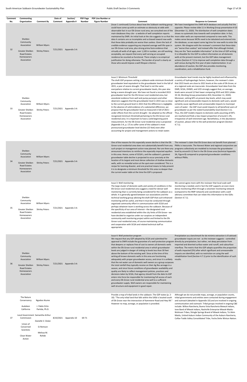| Comment   | Commenting                                                                                                                 |                                                                    | Date of | Section/                            | <b>PDF Page</b> | <b>PDF Line Number or</b> |                                                                                                                                                                                                                                                                                                                                                                                                                                                                                                                                                                                                                                                                                                                                                                                                                                                                                                                                                                                                                                                                                                                                                                                                                                                                                       |                                                                                                                                                                                                                                                                                                                                                                                                                                                                                                                                                                                                                                                                                                                                                                                                                                                                                                                                                                                                                                                                                                                                                  |
|-----------|----------------------------------------------------------------------------------------------------------------------------|--------------------------------------------------------------------|---------|-------------------------------------|-----------------|---------------------------|---------------------------------------------------------------------------------------------------------------------------------------------------------------------------------------------------------------------------------------------------------------------------------------------------------------------------------------------------------------------------------------------------------------------------------------------------------------------------------------------------------------------------------------------------------------------------------------------------------------------------------------------------------------------------------------------------------------------------------------------------------------------------------------------------------------------------------------------------------------------------------------------------------------------------------------------------------------------------------------------------------------------------------------------------------------------------------------------------------------------------------------------------------------------------------------------------------------------------------------------------------------------------------------|--------------------------------------------------------------------------------------------------------------------------------------------------------------------------------------------------------------------------------------------------------------------------------------------------------------------------------------------------------------------------------------------------------------------------------------------------------------------------------------------------------------------------------------------------------------------------------------------------------------------------------------------------------------------------------------------------------------------------------------------------------------------------------------------------------------------------------------------------------------------------------------------------------------------------------------------------------------------------------------------------------------------------------------------------------------------------------------------------------------------------------------------------|
| No.<br>32 | Organization<br>Sheldon<br>Community<br>Association<br><b>Greater Sheldon</b><br>Road Estates<br>Homeowners<br>Association | <b>Comment By</b><br><b>William Myers</b><br><b>Shirley Peters</b> | Comment | Appendix#<br>7/21/2021 Appendix 3-A | <b>Number</b>   | <b>Figure Number</b>      | Comment<br>(Issue 1 continued) Curious about how the Subbasin working group<br>could have come up with an estimate so obviously at odds with<br>observable fact in our Elk Grove rural area, we consulted one of the (December 11, 2020). The distribution of well completion dates<br>main databases they cite---a website of well completion reports<br>maintained by DWR. An initial look at the site suggests to us that the more older wells are represented compared to new wells. This<br>data it contains are so incomplete and so biased toward new wells<br>that these data probably are worse than useless. Given the lack of<br>credible evidence supporting any imputed average well life span in<br>our Elk Grove rural area, plus strong prima facie evidence that<br>virtually all wells of all ages, over 1,100 in number, are still working<br>acceptably, we request that every well serving an occupied<br>residence be counted as functional. There simply is no empirical<br>justification for doing otherwise. The burden of proof is clearly on<br>those who would impose a well lifespan criterion.                                                                                                                                                          | <b>Response to Comment</b><br>We have investigated the DWR WCR database and actually find the<br>opposite. Please review slide 11 in Working Group presentation #10<br>shows no systematic bias towards well completion date. In fact,<br>makes sense because WCRs need to be tabulated and entered into<br>the database, so we expect some lag time for new wells to enter the<br>system. We disagree with the reviewer's comment that these data<br>are "worse than useless" and instead offer that although limited,<br>they are the "best available information" at the time of GSP writing.<br>It is infeasible for the GSP to collect information on all domestic<br>wells at the present moment, but the GSP takes management<br>actions (Section 4.7.1) to improve well completion data through a<br>well census during the first year of plan implementation. In an<br>abundance of caution, the GSP also provides monitoring,<br>coordination, and a rehabilitation fund.                                                                                                                                                              |
| 33        | Sheldon<br>Community<br>Association<br>Greater Sheldon<br>Road Estates<br>Homeowners<br>Association                        | <b>William Myers</b><br><b>Shirley Peters</b>                      |         | 7/21/2021 Appendix 3-A              |                 |                           | Issue 2: Minimum Threshold<br>The draft GSP proposes setting a subbasin-wide minimum threshold<br>groundwater level equivalent to the groundwater level in the fall of<br>2015, a year of severe drought. That level is not the same<br>everywhere relative to current groundwater levels, this year also<br>being a severe drought year. We have not found a recorded 2015<br>groundwater level for the Elk Grove rural residential area, but<br>anecdotal evidence from well and pump purveyors and other<br>observers suggests that the groundwater level in 2015 was so close<br>to the current ground level in 2021 that the difference is negligible.<br>In the absence of solid evidence of a substantial difference, we<br>propose that the groundwater level as measured in fall of 2021--<br>under effects from the current drought---be adopted as the official<br>recognized minimum threshold pertaining to the Elk Grove rural<br>residential area. It is important to have a solid beginning point<br>measurement, for the Elk Grove rural residential area is projected<br>(Appendix 3-A, p. 17) to suffer some of the subbasin's most<br>pronounced groundwater level decline (15 feet) even after<br>accounting for project and management actions to retain water. | Groundwater level trends may be highly localized and influenced by<br>a variety of hydrogeologic factors, however, the reviewer's claim<br>that 2015 levels are close to 2021 levels at the scale of Elk Grove, or<br>at a regional scale are inaccurate. Groundwater level data from the<br>DWR, SCGA, OHWD, and UCD strongly suggest that, on average,<br>levels were around 12 feet lower comparing 2019 and 2021 (slides<br>33-34, Working Group presentation #10, December 11, 2020).<br>Moreover, setting MTs at present day levels, which may avoid<br>significant and unreasonable impacts to domestic well users, would<br>certainly cause significant and unreasonable impacts to municipal<br>users of water - the GSP must avoid impacts to all beneficial users of<br>groundwater as per the stated Sustainability Goal (Section 3.1).<br>Thus, this GSP models impacts to domestic wells assuming all MTs<br>are reached and finds a low impact proportion of around 1-2%,<br>irrespective of well retirement age. Nonetheless, in the abundance<br>of caution, please refer to the well protection program (Section<br>$4.7.1$ ). |
| 34        | Sheldon<br>Community<br>Association<br><b>Greater Sheldon</b><br>Road Estates<br>Homeowners<br>Association                 | <b>William Myers</b><br><b>Shirley Peters</b>                      |         | 7/21/2021 Appendix 3-A              |                 |                           | One of the reasons for this especially severe decline is that the Elk<br>such project or management action now planned. Nor are there any programs collectively are modeled to increase the groundwater<br>announced intentions to reinforce the especially impacted aquifers level by around 6-12 feet in the Elk Grove area (technical Appendix<br>in this area. Hence, some of SCGA's, and the subbasin's, greatest<br>groundwater table decline is projected to occur precisely at the<br>location of its largest and most dense collection of shallow domestic<br>wells, with no remedial action at the spot even considered. This is a<br>recipe for looming disaster, and one practical means to help prevent<br>it is to designate a minimum threshold for this area no deeper than<br>the current water table at the time the GSP is proposed.                                                                                                                                                                                                                                                                                                                                                                                                                               | The reviewer's claim that Elk Grove does not benefit from planned<br>Grove rural residential area does not substantially benefit from any PMAs is inaccurate. The Harvest Water and regional conjunctive use<br>3A, Figure 8) compared to projected groundwater conditions<br>without PMAs.                                                                                                                                                                                                                                                                                                                                                                                                                                                                                                                                                                                                                                                                                                                                                                                                                                                      |
| 35        | Sheldon<br>Community<br>Association<br>Greater Sheldon<br>Road Estates<br>Homeowners<br>Association                        | <b>William Myers</b><br><b>Shirley Peters</b>                      |         | 7/21/2021 Appendix 3-A              |                 |                           | Issue 3: Well monitoring<br>The large cluster of domestic wells and variety of conditions in the<br>Elk Grove rural residential area suggest a need for denser well<br>monitoring than is currently being considered for the subbasin as a<br>whole. It is generally agreed between our associations and the<br>technical working group advising the draft GSP that such enhanced<br>monitoring will be useful, and that it must be conducted through<br>organized community effort in communication with SCGA and<br>perhaps whatever team is working across the subbasin. Because of<br>the specificity of our area of interest---the designated rural<br>residential area established within the city limits of Elk Grove---we<br>have decided to organize under our auspices an independent<br>community well monitoring project within and limited to the Elk<br>Grove rural residential area, of course maintaining communication<br>and cooperation with SCGA and related technical staff as<br>appropriate.                                                                                                                                                                                                                                                                   | We cannot agree more with the reviewer that local-scale well<br>monitoring is needed, and in fact the GSP supports an even more<br>dense monitoring effort through a volunteer monitoring network<br>(compared to the RMP network) and coordination with a well<br>advisory committee that can relate this information to the GSAs<br>(Section 4.7.1).                                                                                                                                                                                                                                                                                                                                                                                                                                                                                                                                                                                                                                                                                                                                                                                           |
| 36        | Sheldon<br>Community<br>Association<br><b>Greater Sheldon</b><br>Road Estates                                              | <b>William Myers</b><br><b>Shirley Peters</b>                      |         | 7/21/2021 Appendix 3-A              |                 |                           | Issue 4: Well protection program<br>We request that any GSP adopted by SCGA and submitted for<br>approval to DWR include the guarantee of a well protection program directly by precipitation, but rather, net deep percolation from<br>that deepens or replaces free of cost to owners all domestic wells<br>within the Elk Grove rural residential area in which groundwater<br>levels are judged in danger of sinking to levels less than 30 feet<br>above the bottom of the existing well. Since at the time of this<br>writing all known domestic wells in this area are functioning<br>adequately with proper groundwater access, and since it is unlikely results.<br>that the net water use of domestic well owners as a group surpasses<br>the total rainfall they typically receive on their Ag Res acreage in a<br>season, and since future conditions of groundwater availability and                                                                                                                                                                                                                                                                                                                                                                                     | Precipitation as a benchmark for de minimis extraction is ill advised:<br>groundwater inputs are not - as the reviewer suggests - controlled<br>imported and diverted surface water and runoff, and subsurface<br>interflow. The metric that this GSP adopts quantifies the proportion<br>of wells impacted (5%) after which significant and unreasonable<br>impacts are identified, with no restriction on using the well<br>rehabilitation fund (Section 4.7.1) prior to the identification of such                                                                                                                                                                                                                                                                                                                                                                                                                                                                                                                                                                                                                                            |

Homeowners Association

quality are likely to reflect management policies, practices and decisions taken by SCGA, that agency should from the date its GSP enters into force be responsible for maintaining full access of each and every Elk Grove rural residential area well to a sufficient

groundwater supply. Well owners are responsible for maintaining well structure and equipment in good repair.

37

Action

|             |                                  |           |             |       | Provide a map of tribal lands in the subbasin. The GSP states (p. 2-   | Although we do not provide maps, acreage, or population counts,    |
|-------------|----------------------------------|-----------|-------------|-------|------------------------------------------------------------------------|--------------------------------------------------------------------|
| The Nature  |                                  |           |             |       | 10): "The only tribal land that falls within the SASb is located south | tribal governments and entities were contacted during engagement   |
| Conservancy | Ngodoo Atume                     |           |             |       | of Elk Grove near the intersection of Kammerer Road and Hwy 99.        | and outreach (detailed in Appendix 1D) and are involved in ongoing |
|             |                                  |           |             |       | However no map, acreage, or population is provided.                    | communication and outreach. Tribal groups involved in ongoing C&E  |
| Audubon     | I. Pablo Ortiz-                  |           |             |       |                                                                        | include: Wilton Rancheria, Buena Vista Rancheria Mewuk Indians,    |
| California  | Partida, Ph.D.                   |           |             |       |                                                                        | Ione Band of Miwok Indians, Nashville Enterprise Miwok-Maidu-      |
|             |                                  |           |             |       |                                                                        | Nishinam Tribes, Shingle Springs Brand of Miwok Indians, Tsi Akim  |
|             | Local Government Samantha Arthur |           |             |       |                                                                        | Maidu, United Auburn Indian Community of the Auburn Rancheria,     |
| Commission  |                                  | 8/10/2021 | Appendix 1D | 69-71 |                                                                        | Colfax-Todds Valley Consolidated Tribe, Yocha Dehe Wintun Nation.  |
|             | Danielle V. Dolan                |           |             |       |                                                                        |                                                                    |
| Union of    |                                  |           |             |       |                                                                        |                                                                    |
| Concerned   | EJ Remson                        |           |             |       |                                                                        |                                                                    |
| Scientists  |                                  |           |             |       |                                                                        |                                                                    |
|             | Melissa M.                       |           |             |       |                                                                        |                                                                    |
| Clean Water | Rohde                            |           |             |       |                                                                        |                                                                    |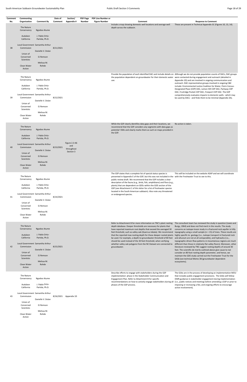| Comment | Commenting                                     |                                   | Date of   | Section/                           | PDF Page | <b>PDF Line Number or</b> |                                                                                                                                                                                                                                                                                                                                                   |                                                                                                                                                                                                               |
|---------|------------------------------------------------|-----------------------------------|-----------|------------------------------------|----------|---------------------------|---------------------------------------------------------------------------------------------------------------------------------------------------------------------------------------------------------------------------------------------------------------------------------------------------------------------------------------------------|---------------------------------------------------------------------------------------------------------------------------------------------------------------------------------------------------------------|
| No.     | Organization                                   | <b>Comment By</b>                 | Comment   | <b>Appendix#</b>                   | Number   | <b>Figure Number</b>      | Comment                                                                                                                                                                                                                                                                                                                                           | <b>Response to Comment</b>                                                                                                                                                                                    |
|         | The Nature<br>Conservancy                      | Ngodoo Atume                      |           |                                    |          |                           | Include a map showing domestic well locations and average well<br>depth across the subbasin.                                                                                                                                                                                                                                                      | These are present in Technical Appendix 3C (Figures 10, 13, 14).                                                                                                                                              |
|         | Audubon<br>California                          | J. Pablo Ortiz-<br>Partida, Ph.D. |           |                                    |          |                           |                                                                                                                                                                                                                                                                                                                                                   |                                                                                                                                                                                                               |
|         | Local Government Samantha Arthur               |                                   |           |                                    |          |                           |                                                                                                                                                                                                                                                                                                                                                   |                                                                                                                                                                                                               |
| 38      | Commission                                     | Danielle V. Dolan                 | 8/11/2021 |                                    |          |                           |                                                                                                                                                                                                                                                                                                                                                   |                                                                                                                                                                                                               |
|         | Union of<br>Concerned<br>Scientists            | EJ Remson<br>Melissa M.           |           |                                    |          |                           |                                                                                                                                                                                                                                                                                                                                                   |                                                                                                                                                                                                               |
|         | Clean Water<br>Action                          | Rohde                             |           |                                    |          |                           |                                                                                                                                                                                                                                                                                                                                                   |                                                                                                                                                                                                               |
|         | The Nature<br>Conservancy                      | Ngodoo Atume                      |           |                                    |          |                           | Provide the population of each identified DAC and include details on Although we do not provide population counts of DACs, DAC groups<br>the population dependent on groundwater for their domestic water were contacted during engagement and outreach (detailed in<br>use.                                                                      | Appendix 1D) and are involved in ongoing communication and<br>outreach. DAC-representative groups involved in ongoing C&E                                                                                     |
|         | Audubon<br>California                          | J. Pablo Ortiz-<br>Partida, Ph.D. |           |                                    |          |                           |                                                                                                                                                                                                                                                                                                                                                   | include: Environmental Justice Coalition for Water, Florin Census-<br>Designated Place (CDP) DAC, Lemon Hill CDP DAC, Parkway CDP<br>DAC, Fruitridge Pocket CDP DAC, Freeport CDP DAC. The GSP                |
| 39      | Local Government Samantha Arthur<br>Commission |                                   | 8/12/2021 |                                    |          |                           |                                                                                                                                                                                                                                                                                                                                                   | comprehensively evaluates impacts to domestic wells - which may<br>be used by DACs - and finds them to be minimal (Appendix 3A).                                                                              |
|         |                                                | Danielle V. Dolan                 |           |                                    |          |                           |                                                                                                                                                                                                                                                                                                                                                   |                                                                                                                                                                                                               |
|         | Union of<br>Concerned<br>Scientists            | EJ Remson                         |           |                                    |          |                           |                                                                                                                                                                                                                                                                                                                                                   |                                                                                                                                                                                                               |
|         | Clean Water<br>Action                          | Melissa M.<br>Rohde               |           |                                    |          |                           |                                                                                                                                                                                                                                                                                                                                                   |                                                                                                                                                                                                               |
|         | The Nature<br>Conservancy                      | Ngodoo Atume                      |           |                                    |          |                           | While the GSP clearly identifies data gaps and their locations, we<br>recommend that the GSP considers any segments with data gaps as<br>potential ISWs and clearly marks them as such on maps provided in                                                                                                                                        | No action is taken.                                                                                                                                                                                           |
| 40      | Audubon<br>California                          | J. Pablo Ortiz-<br>Partida, Ph.D. |           | Figure 2.3-46<br>and<br>throughout |          |                           | the GSP.                                                                                                                                                                                                                                                                                                                                          |                                                                                                                                                                                                               |
|         | Local Government Samantha Arthur<br>Commission | Danielle V. Dolan                 | 8/13/2021 |                                    |          |                           |                                                                                                                                                                                                                                                                                                                                                   |                                                                                                                                                                                                               |
|         | Union of<br>Concerned<br>Scientists            | EJ Remson                         |           | Section 3                          |          |                           |                                                                                                                                                                                                                                                                                                                                                   |                                                                                                                                                                                                               |
|         | Clean Water<br>Action                          | Melissa M.<br>Rohde               |           |                                    |          |                           |                                                                                                                                                                                                                                                                                                                                                   |                                                                                                                                                                                                               |
|         | The Nature<br>Conservancy                      | Ngodoo Atume                      |           |                                    |          |                           | The GSP states that a complete list of special status species is<br>presented in Appendix E of the GSP, but this was not included in the with the Freshwater Trust to see to this.                                                                                                                                                                | This will be included on the website ASAP and we will coordinate                                                                                                                                              |
|         | Audubon<br>California                          | J. Pablo Ortiz-<br>Partida, Ph.D. |           |                                    |          |                           | public review draft. We recommend that the GSP includes a clear<br>description of the fauna (e.g., birds, fish, amphibians) and flora (e.g.,<br>plants) that are dependent on GDEs within the GDE section of the<br>GSP (see Attachment C of this letter for a list of freshwater species                                                         |                                                                                                                                                                                                               |
|         | Local Government Samantha Arthur               |                                   |           |                                    |          |                           | located in the South American subbasin). Also note any threatened<br>or endangered species.                                                                                                                                                                                                                                                       |                                                                                                                                                                                                               |
| 41      | Commission                                     | Danielle V. Dolan                 | 8/14/2021 |                                    |          |                           |                                                                                                                                                                                                                                                                                                                                                   |                                                                                                                                                                                                               |
|         | Union of<br>Concerned                          | EJ Remson                         |           |                                    |          |                           |                                                                                                                                                                                                                                                                                                                                                   |                                                                                                                                                                                                               |
|         | Scientists                                     |                                   |           |                                    |          |                           |                                                                                                                                                                                                                                                                                                                                                   |                                                                                                                                                                                                               |
|         | Clean Water<br>Action                          | Melissa M.<br>Rohde               |           |                                    |          |                           |                                                                                                                                                                                                                                                                                                                                                   |                                                                                                                                                                                                               |
|         | The Nature<br>Conservancy                      | Ngodoo Atume                      |           |                                    |          |                           | Refer to Attachment B for more information on TNC's plant rooting<br>depth database. Deeper thresholds are necessary for plants that<br>have reported maximum root depths that exceed the averaged 30                                                                                                                                             | The consultant team has reviewed the study in question (Lewis and<br>Burgy, 1964) and does not find merit in the results. The study<br>concerns an isotope-tracer study in a fractured rock aquifer in hilly  |
|         | Audubon<br>California                          | J. Pablo Ortiz-<br>Partida, Ph.D. |           |                                    |          |                           | feet threshold, such as valley oak (Quercus lobata). We recommend<br>that the reported max rooting depth for these deeper-rooted plants highly specific to geology (i.e., isotope transport in fractured rock<br>be used. For example, a depth-to-groundwater threshold of 80 feet and alluvium are not at all comparable), and hydraulics (i.e., | topography using a small sample ( $n = 15$ ) of trees. These results are                                                                                                                                      |
| 42      | Local Government Samantha Arthur<br>Commission |                                   | 8/15/2021 |                                    |          |                           | should be used instead of the 30 feet threshold, when verifying<br>whether valley oak polygons from the NC Dataset are connected to<br>groundwater.                                                                                                                                                                                               | topographic driven flow patterns in mountainous regions are much<br>different than those in relatively flat valley floors). Moreover, other<br>literature reviewed by TNC suggest rooting depths of around 30 |
|         |                                                | Danielle V. Dolan                 |           |                                    |          |                           |                                                                                                                                                                                                                                                                                                                                                   | feet. The scientific de-merits outlined above give cause to not                                                                                                                                               |
|         | Union of<br>Concerned                          | EJ Remson                         |           |                                    |          |                           |                                                                                                                                                                                                                                                                                                                                                   | consider an 80 foot rooting depth parameter, and hence, we<br>maintain the GDE study carried out the Freshwater Trust for the                                                                                 |
|         | Scientists                                     | Melissa M.                        |           |                                    |          |                           |                                                                                                                                                                                                                                                                                                                                                   | SASb (see technical Memo 3B (groundwater dependent<br>ecosystems).                                                                                                                                            |
|         | Clean Water<br>Action                          | Rohde                             |           |                                    |          |                           |                                                                                                                                                                                                                                                                                                                                                   |                                                                                                                                                                                                               |
|         | The Nature                                     |                                   |           |                                    |          |                           | Describe efforts to engage with stakeholders during the GSP<br>implementation phase in the Stakeholder Communication and                                                                                                                                                                                                                          | The GSAs are in the process of developing an implementation MOU<br>that includes public engagement provisions. The GSAs will follow                                                                           |

Conservancy

Ngodoo Atume

Engagement Plan. Refer to Attachment B for specific

| Audubon<br>California | J. Pablo Ortiz-<br>Partida, Ph.D. |           |             | phases of the GSP process. | recommendations on how to actively engage stakeholders during all (i.e., public notices and meetings before amending a GSP or prior to<br>imposing or increasing a fee, and ongoing efforts to encourage<br>active involvement). |
|-----------------------|-----------------------------------|-----------|-------------|----------------------------|----------------------------------------------------------------------------------------------------------------------------------------------------------------------------------------------------------------------------------|
|                       | Local Government Samantha Arthur  |           |             |                            |                                                                                                                                                                                                                                  |
| Commission            |                                   | 8/16/2021 | Appendix 1D |                            |                                                                                                                                                                                                                                  |
|                       | Danielle V. Dolan                 |           |             |                            |                                                                                                                                                                                                                                  |
| Union of              |                                   |           |             |                            |                                                                                                                                                                                                                                  |
| Concerned             | EJ Remson                         |           |             |                            |                                                                                                                                                                                                                                  |
| Scientists            |                                   |           |             |                            |                                                                                                                                                                                                                                  |
|                       | Melissa M.                        |           |             |                            |                                                                                                                                                                                                                                  |
| Clean Water           | Rohde                             |           |             |                            |                                                                                                                                                                                                                                  |
| Action                |                                   |           |             |                            |                                                                                                                                                                                                                                  |

DWR guidance in stakeholder engagement during implementation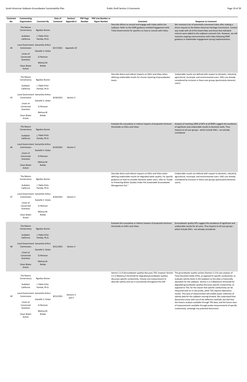| Comment | Commenting                           |                                   | Date of   | Section/              | <b>PDF Page</b><br>Number | <b>PDF Line Number or</b> | Comment                                                                                                                                                                                                                                                                        |                                                                                                                                                                                                                                                                           |
|---------|--------------------------------------|-----------------------------------|-----------|-----------------------|---------------------------|---------------------------|--------------------------------------------------------------------------------------------------------------------------------------------------------------------------------------------------------------------------------------------------------------------------------|---------------------------------------------------------------------------------------------------------------------------------------------------------------------------------------------------------------------------------------------------------------------------|
| No.     | Organization                         | <b>Comment By</b>                 | Comment   | Appendix #            |                           | <b>Figure Number</b>      | Describe efforts to consult and engage with tribes within the                                                                                                                                                                                                                  | <b>Response to Comment</b><br>We received a list of potentially interested tribes after making a                                                                                                                                                                          |
|         | The Nature<br>Conservancy<br>Audubon | Ngodoo Atume<br>J. Pablo Ortiz-   |           |                       |                           |                           | subbasin. Refer to the DWR guidance entitled Engagement with<br>Tribal Governments for specifics on how to consult with tribes.                                                                                                                                                | direct request to the Native American Heritage Commission. Contact<br>was made with all of the listed tribes and those that indicated<br>interest were added to the subbasin outreach lists. However, we will<br>maintain ongoing communication with tribes following DWR |
|         | California                           | Partida, Ph.D.                    |           |                       |                           |                           |                                                                                                                                                                                                                                                                                | guidance in stakeholder engagement during implementation.                                                                                                                                                                                                                 |
| 44      | Commission                           | Local Government Samantha Arthur  |           | 8/17/2021 Appendix 1D |                           |                           |                                                                                                                                                                                                                                                                                |                                                                                                                                                                                                                                                                           |
|         | Union of                             | Danielle V. Dolan                 |           |                       |                           |                           |                                                                                                                                                                                                                                                                                |                                                                                                                                                                                                                                                                           |
|         | Concerned<br>Scientists              | EJ Remson<br>Melissa M.           |           |                       |                           |                           |                                                                                                                                                                                                                                                                                |                                                                                                                                                                                                                                                                           |
|         | Clean Water<br>Action                | Rohde                             |           |                       |                           |                           |                                                                                                                                                                                                                                                                                |                                                                                                                                                                                                                                                                           |
|         | The Nature<br>Conservancy            | Ngodoo Atume                      |           |                       |                           |                           | Describe direct and indirect impacts on DACs and tribes when<br>defining undesirable results for chronic lowering of groundwater<br>levels.                                                                                                                                    | Undesirable results are defined with respect to domestic, industrial,<br>agricultural, municipal, and environmental users. DACs are already<br>considered by inclusion in these user groups (particularly domestic                                                        |
|         | Audubon<br>California                | J. Pablo Ortiz-<br>Partida, Ph.D. |           |                       |                           |                           |                                                                                                                                                                                                                                                                                | users).                                                                                                                                                                                                                                                                   |
|         |                                      | Local Government Samantha Arthur  |           |                       |                           |                           |                                                                                                                                                                                                                                                                                |                                                                                                                                                                                                                                                                           |
| 45      | Commission                           | Danielle V. Dolan                 | 8/18/2021 | Section 3             |                           |                           |                                                                                                                                                                                                                                                                                |                                                                                                                                                                                                                                                                           |
|         | Union of<br>Concerned                | EJ Remson                         |           |                       |                           |                           |                                                                                                                                                                                                                                                                                |                                                                                                                                                                                                                                                                           |
|         | Scientists                           | Melissa M.                        |           |                       |                           |                           |                                                                                                                                                                                                                                                                                |                                                                                                                                                                                                                                                                           |
|         | Clean Water<br>Action                | Rohde                             |           |                       |                           |                           |                                                                                                                                                                                                                                                                                |                                                                                                                                                                                                                                                                           |
|         |                                      |                                   |           |                       |                           |                           | Evaluate the cumulative or indirect impacts of proposed minimum                                                                                                                                                                                                                | Analysis of reaching 100% of MTs at all RMPs suggest the avoidance                                                                                                                                                                                                        |
|         | The Nature<br>Conservancy            | Ngodoo Atume                      |           |                       |                           |                           | thresholds on DACs and tribes.                                                                                                                                                                                                                                                 | of significant and undesirable results to domestic wells. Thus<br>impacts to all user groups - which include DACs - are already<br>considered.                                                                                                                            |
| 46      | Audubon<br>California                | J. Pablo Ortiz-<br>Partida, Ph.D. |           |                       |                           |                           |                                                                                                                                                                                                                                                                                |                                                                                                                                                                                                                                                                           |
|         | Commission                           | Local Government Samantha Arthur  | 8/19/2021 | Section 3             |                           |                           |                                                                                                                                                                                                                                                                                |                                                                                                                                                                                                                                                                           |
|         | Union of                             | Danielle V. Dolan                 |           |                       |                           |                           |                                                                                                                                                                                                                                                                                |                                                                                                                                                                                                                                                                           |
|         | Concerned<br>Scientists              | EJ Remson                         |           |                       |                           |                           |                                                                                                                                                                                                                                                                                |                                                                                                                                                                                                                                                                           |
|         | Clean Water                          | Melissa M.<br>Rohde               |           |                       |                           |                           |                                                                                                                                                                                                                                                                                |                                                                                                                                                                                                                                                                           |
|         | Action                               |                                   |           |                       |                           |                           |                                                                                                                                                                                                                                                                                |                                                                                                                                                                                                                                                                           |
|         | The Nature<br>Conservancy            | Ngodoo Atume                      |           |                       |                           |                           | Describe direct and indirect impacts on DACs and tribes when<br>defining undesirable results for degraded water quality. For specific agricultural, municipal, and environmental users. DACs are already<br>guidance on how to consider domestic water users, refer to "Guide" | Undesirable results are defined with respect to domestic, industrial,<br>considered by inclusion in these user groups (particularly domestic                                                                                                                              |
|         | Audubon                              | J. Pablo Ortiz-                   |           |                       |                           |                           | to Protecting Water Quality Under the Sustainable Groundwater<br>Management Act."                                                                                                                                                                                              | users).                                                                                                                                                                                                                                                                   |
|         | California                           | Partida, Ph.D.                    |           |                       |                           |                           |                                                                                                                                                                                                                                                                                |                                                                                                                                                                                                                                                                           |
| 47      | Commission                           | Local Government Samantha Arthur  | 8/20/2021 | Section 3             |                           |                           |                                                                                                                                                                                                                                                                                |                                                                                                                                                                                                                                                                           |
|         | Union of                             | Danielle V. Dolan                 |           |                       |                           |                           |                                                                                                                                                                                                                                                                                |                                                                                                                                                                                                                                                                           |
|         | Concerned<br>Scientists              | EJ Remson                         |           |                       |                           |                           |                                                                                                                                                                                                                                                                                |                                                                                                                                                                                                                                                                           |
|         | Clean Water                          | Melissa M.<br>Rohde               |           |                       |                           |                           |                                                                                                                                                                                                                                                                                |                                                                                                                                                                                                                                                                           |
|         | Action                               |                                   |           |                       |                           |                           |                                                                                                                                                                                                                                                                                |                                                                                                                                                                                                                                                                           |
|         | The Nature                           |                                   |           |                       |                           |                           | Evaluate the cumulative or indirect impacts of proposed minimum<br>thresholds on DACs and tribes.                                                                                                                                                                              | Groundwater quality MTs suggest the avoidance of significant and<br>undesirable results for all users. Thus impacts to all user groups -                                                                                                                                  |
|         | Conservancy                          | Ngodoo Atume                      |           |                       |                           |                           |                                                                                                                                                                                                                                                                                | which include DACs - are already considered.                                                                                                                                                                                                                              |
|         | Audubon<br>California                | J. Pablo Ortiz-<br>Partida, Ph.D. |           |                       |                           |                           |                                                                                                                                                                                                                                                                                |                                                                                                                                                                                                                                                                           |
|         |                                      | Local Government Samantha Arthur  |           |                       |                           |                           |                                                                                                                                                                                                                                                                                |                                                                                                                                                                                                                                                                           |
| 48      | Commission                           | Danielle V. Dolan                 | 8/21/2021 | Section 3             |                           |                           |                                                                                                                                                                                                                                                                                |                                                                                                                                                                                                                                                                           |
|         | Union of<br>Concerned                | EJ Remson                         |           |                       |                           |                           |                                                                                                                                                                                                                                                                                |                                                                                                                                                                                                                                                                           |
|         | Scientists                           | Melissa M.                        |           |                       |                           |                           |                                                                                                                                                                                                                                                                                |                                                                                                                                                                                                                                                                           |
|         | Clean Water                          | Rohde                             |           |                       |                           |                           |                                                                                                                                                                                                                                                                                |                                                                                                                                                                                                                                                                           |
|         | Action                               |                                   |           |                       |                           |                           |                                                                                                                                                                                                                                                                                |                                                                                                                                                                                                                                                                           |
|         | The Nature<br>Conservancy            | Ngodoo Atume                      |           |                       |                           |                           | Section 2.3.4 (Groundwater quality) discusses TDS, however Section The groundwater quality section (Section 2.3.4) uses analysis of<br>3.3.3 (Maximum threshold for degraded groundwater quality)<br>discusses specific conductivity. Choose one measurement to                | Total Dissolved Solids (TDS), as opposed to specific conductivity, to<br>evaluate salinity levels in the Subbasin as this data is historically                                                                                                                            |

Audubon California J. Pablo Ortiz‐ Partida, Ph.D.

Local Government Samantha Arthur Commission Union of Concerned Scientists Clean Water Action Danielle V. Dolan EJ Remson Melissa M. Rohde 8/22/2021 Sections <sup>2</sup>

and 3

describe salinity and use it consistently throughout the GSP.

abundant for the subbasin. Section 3.3.3 (Maximum threshold for degraded groundwater quality) discusses specific conductivity, as opposed to TDS, for the reason that specific conductivity can be measured with an in‐situ probe, while TDS requires laboratory results. This ease of measurement will enable easier collection of salinity data for the subbasin moving forward. We understand that disconnect arises with use of the different methods, but feel that the historic analysis available through TDS data, and the future ease of measurements available through probe measurements of specific conductivity, outweigh any potential disconnect.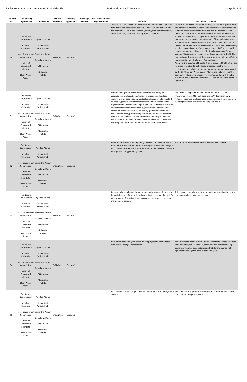| Comment<br>No. | Commenting<br>Organization                                                                                                       | <b>Comment By</b>                                                                                                                              | Date of<br>Comment  | Section/<br>Appendix # | <b>PDF Page</b><br>Number | <b>PDF Line Number or</b><br><b>Figure Number</b> | Comment                                                                                                                                                                                                                                                                                                                                                                                                                                                                                                                                                                                                                                                                                                                                                            | <b>Response to Comment</b>                                                                                                                                                                                                                                                                                                                                                                                                                                                                                                                                                                                                                                                                                                                                                                                                                                                                                                                                                                                                                                                                                                                                                                                                                                                                                                                   |
|----------------|----------------------------------------------------------------------------------------------------------------------------------|------------------------------------------------------------------------------------------------------------------------------------------------|---------------------|------------------------|---------------------------|---------------------------------------------------|--------------------------------------------------------------------------------------------------------------------------------------------------------------------------------------------------------------------------------------------------------------------------------------------------------------------------------------------------------------------------------------------------------------------------------------------------------------------------------------------------------------------------------------------------------------------------------------------------------------------------------------------------------------------------------------------------------------------------------------------------------------------|----------------------------------------------------------------------------------------------------------------------------------------------------------------------------------------------------------------------------------------------------------------------------------------------------------------------------------------------------------------------------------------------------------------------------------------------------------------------------------------------------------------------------------------------------------------------------------------------------------------------------------------------------------------------------------------------------------------------------------------------------------------------------------------------------------------------------------------------------------------------------------------------------------------------------------------------------------------------------------------------------------------------------------------------------------------------------------------------------------------------------------------------------------------------------------------------------------------------------------------------------------------------------------------------------------------------------------------------|
| 50             | The Nature<br>Conservancy<br>Audubon<br>California<br>Commission<br>Union of<br>Concerned<br>Scientists<br>Clean Water<br>Action | Ngodoo Atume<br>J. Pablo Ortiz-<br>Partida, Ph.D.<br>Local Government Samantha Arthur<br>Danielle V. Dolan<br>EJ Remson<br>Melissa M.<br>Rohde | 8/23/2021           | Section 3              |                           |                                                   | The plan only sets minimum thresholds and measurable objectives<br>for nitrates and specific conductivity. The GSP should set SMC for<br>the additional COCs in the subbasin (arsenic, iron, and manganese)<br>and ensure they align with drinking water standards.                                                                                                                                                                                                                                                                                                                                                                                                                                                                                                | Analysis of the available data for arsenic, iron, and manganese does<br>show that exceedances of these constituents occur throughout the<br>Subbasin. Arsenic is different from iron and manganese for the<br>reason that there are public health risks associated with elevated<br>arsenic concentrations, as opposed to the aesthetic considerations<br>that arise due to elevated concentrations of iron and manganese.<br>Further analysis of elevated concentrations of these constituents<br>reveals that exceedances of the Maximum Contaminant Level (MCL),<br>and Secondary Maximum Contaminant Levels (SMCLs) occur within<br>regions that are served water by Municipal Community Water<br>Systems (this analysis will be presented in an upcoming draft). The<br>monitoring and treatment of these constituents should be sufficient<br>to protect the beneficial users of groundwater.<br>As part of the updated GSP Draft, it is not proposed that SMC be set<br>for these constituents, but instead proposed that the three<br>constituents be included in the two monitoring networks proposed<br>by the GSP (the GSP Water Quality Monitoring Network, and the<br>Community Monitoring Effort). This monitoring data will then be<br>evaluated, and if deemed necessary, SMC will be set in the next GSP<br>update in 2027. |
| 51             | The Nature<br>Conservancy<br>Audubon<br>California<br>Commission<br>Union of<br>Concerned<br>Scientists<br>Clean Water<br>Action | Ngodoo Atume<br>J. Pablo Ortiz-<br>Partida, Ph.D.<br>Local Government Samantha Arthur<br>Danielle V. Dolan<br>EJ Remson<br>Melissa M.<br>Rohde | 8/24/2021           | Section 3              |                           |                                                   | When defining undesirable results for chronic lowering of<br>groundwater levels and depletions of interconnected surface<br>waters, provide specifics on what biological responses (e.g., extent<br>of habitat, growth, recruitment rates) would best characterize a<br>significant and unreasonable impact to GDEs. Undesirable results to<br>environmental users occur when 'significant and unreasonable'<br>effects on beneficial users are caused by groundwater conditions in<br>the subbasin. Thus, potential impacts on environmental beneficial<br>uses and users need to be considered when defining undesirable<br>results9 in the subbasin. Defining undesirable results is the crucial<br>first step before the minimum thresholds can be determined. | See Technical Appendix 3B and Section 3's Table 3-2 (The<br>Freshwater Trust, 2020). GDE area and NDVI declining below<br>historical observed levels are used as quantitative metrics to define<br>when significant and unreasonable impacts occur.                                                                                                                                                                                                                                                                                                                                                                                                                                                                                                                                                                                                                                                                                                                                                                                                                                                                                                                                                                                                                                                                                          |
| 52             | The Nature<br>Conservancy<br>Audubon<br>California<br>Commission<br>Union of<br>Concerned<br>Scientists<br>Clean Water<br>Action | Ngodoo Atume<br>J. Pablo Ortiz-<br>Partida, Ph.D.<br>Local Government Samantha Arthur<br>Danielle V. Dolan<br>EJ Remson<br>Melissa M.<br>Rohde | 8/25/2021           | Section 2              |                           |                                                   | Provide more information regarding the selection of the American This rationale has been clarified and improved in the text.<br>River Basin Study and the methods through which climate change is<br>incorporated, since this is a different method than the use of climate<br>change factors suggested by DWR.                                                                                                                                                                                                                                                                                                                                                                                                                                                    |                                                                                                                                                                                                                                                                                                                                                                                                                                                                                                                                                                                                                                                                                                                                                                                                                                                                                                                                                                                                                                                                                                                                                                                                                                                                                                                                              |
| 53             | The Nature<br>Conservancy<br>Audubon<br>California<br>Commission<br>Union of<br>Concerned<br>Scientists<br>Clean Water<br>Action | Ngodoo Atume<br>J. Pablo Ortiz-<br>Partida, Ph.D.<br>Local Government Samantha Arthur<br>Danielle V. Dolan<br>EJ Remson<br>Melissa M.<br>Rohde | 8/26/2021           | Section 2              |                           |                                                   | Integrate climate change, including extremely wet and dry scenarios, This change is not taken, but the rationale for selecting the central<br>into all elements of the projected water budget to form the basis for tendency has been made more clear.<br>development of sustainable management criteria and projects and<br>management actions.                                                                                                                                                                                                                                                                                                                                                                                                                   |                                                                                                                                                                                                                                                                                                                                                                                                                                                                                                                                                                                                                                                                                                                                                                                                                                                                                                                                                                                                                                                                                                                                                                                                                                                                                                                                              |
| 54             | The Nature<br>Conservancy<br>Audubon<br>California<br>Commission<br>Union of<br>Concerned<br>Scientists<br>Clean Water<br>Action | Ngodoo Atume<br>J. Pablo Ortiz-<br>Partida, Ph.D.<br>Local Government Samantha Arthur<br>Danielle V. Dolan<br>EJ Remson<br>Melissa M.<br>Rohde | 8/27/2021 Section 2 |                        |                           |                                                   | Calculate sustainable yield based on the projected water budget<br>with climate change incorporated.                                                                                                                                                                                                                                                                                                                                                                                                                                                                                                                                                                                                                                                               | The sustainable yield estimate utilizes the climate change scenarios<br>that were analyzed for the GSP, along with the other modeling<br>scenarios. The data does not indicate that climate change will<br>significantly change the basin sustainable yield.                                                                                                                                                                                                                                                                                                                                                                                                                                                                                                                                                                                                                                                                                                                                                                                                                                                                                                                                                                                                                                                                                 |
| 55             | The Nature<br>Conservancy<br>Audubon<br>California<br>Commission<br>Union of<br>Concerned<br>Scientists<br>Clean Water<br>Action | Ngodoo Atume<br>J. Pablo Ortiz-<br>Partida, Ph.D.<br>Local Government Samantha Arthur<br>Danielle V. Dolan<br>EJ Remson<br>Melissa M.<br>Rohde | 8/28/2021           | Section 2              |                           |                                                   | Incorporate climate change scenarios into projects and management We agree this is important, and evaluate a scenario that includes<br>actions.                                                                                                                                                                                                                                                                                                                                                                                                                                                                                                                                                                                                                    | both climate change and PMAs.                                                                                                                                                                                                                                                                                                                                                                                                                                                                                                                                                                                                                                                                                                                                                                                                                                                                                                                                                                                                                                                                                                                                                                                                                                                                                                                |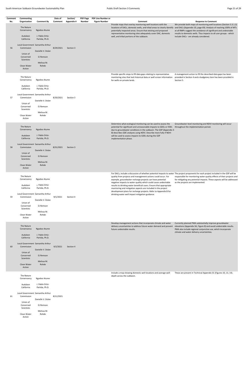| Comment<br>No. | Commenting<br>Organization                                                                                                                                                     | <b>Comment By</b>                                                                                                                              | Date of<br>Comment | Section/<br>Appendix # | PDF Page<br><b>Number</b> | <b>PDF Line Number or</b><br><b>Figure Number</b> | Comment                                                                                                                                                                                                                                                                                                                                                                                                                                                                                                                                                                                                  | <b>Response to Comment</b>                                                                                                                                                                                                                                                                                    |
|----------------|--------------------------------------------------------------------------------------------------------------------------------------------------------------------------------|------------------------------------------------------------------------------------------------------------------------------------------------|--------------------|------------------------|---------------------------|---------------------------------------------------|----------------------------------------------------------------------------------------------------------------------------------------------------------------------------------------------------------------------------------------------------------------------------------------------------------------------------------------------------------------------------------------------------------------------------------------------------------------------------------------------------------------------------------------------------------------------------------------------------------|---------------------------------------------------------------------------------------------------------------------------------------------------------------------------------------------------------------------------------------------------------------------------------------------------------------|
| 56             | The Nature<br>Conservancy<br>Audubon<br>California<br>Commission<br>Union of<br>Concerned<br>Scientists<br>Clean Water                                                         | Ngodoo Atume<br>J. Pablo Ortiz-<br>Partida, Ph.D.<br>Local Government Samantha Arthur<br>Danielle V. Dolan<br>EJ Remson<br>Melissa M.<br>Rohde | 8/29/2021          | Section 3              |                           |                                                   | Provide maps that overlay monitoring well locations with the<br>locations of DACs, domestic wells, and tribal areas to clearly identify and DACs (Appendix 1D, page 69). Analysis of reaching 100% of MTs<br>potentially impacted areas. Ensure that existing and proposed<br>representative monitoring sites adequately cover DAC, domestic<br>well, and tribal portions of the subbasin.                                                                                                                                                                                                               | We provide both maps of monitoring well locations (Section 3.3.1.3)<br>at all RMPs suggest the avoidance of significant and undesirable<br>results to domestic wells. Thus impacts to all user groups - which<br>include DACs - are already considered.                                                       |
| 57             | Action<br>The Nature<br>Conservancy<br>Audubon<br>California<br>Local Government Samantha Arthur<br>Commission<br>Union of<br>Concerned<br>Scientists<br>Clean Water<br>Action | Ngodoo Atume<br>J. Pablo Ortiz-<br>Partida, Ph.D.<br>Danielle V. Dolan<br>EJ Remson<br>Melissa M.<br>Rohde                                     | 8/30/2021          | Section 3              |                           |                                                   | Provide specific steps to fill data gaps relating to representative<br>monitoring sites that lack historical data or well screen information<br>for wells on private lands.                                                                                                                                                                                                                                                                                                                                                                                                                              | A management action to fill the described data gaps has been<br>provided in Section 4 and a budgetary item has been provided in<br>Section 5.                                                                                                                                                                 |
| 58             | The Nature<br>Conservancy<br>Audubon<br>California<br>Commission<br>Union of<br>Concerned<br>Scientists<br>Clean Water<br>Action                                               | Ngodoo Atume<br>J. Pablo Ortiz-<br>Partida, Ph.D.<br>Local Government Samantha Arthur<br>Danielle V. Dolan<br>EJ Remson<br>Melissa M.<br>Rohde | 8/31/2021          | Section 3              |                           |                                                   | Determine what ecological monitoring can be used to assess the<br>potential for significant and unreasonable impacts to GDEs or ISWs<br>due to groundwater conditions in the subbasin. The GSP (Appendix 3-<br>B) describes GDE analyses using NDVI. Describe more fully if NDVI<br>will be used to assess impacts to GDEs during the GSP<br>implementation phase.                                                                                                                                                                                                                                       | Groundwater level monitoring and NDVI monitoring will occur<br>throughout the implementation period.                                                                                                                                                                                                          |
| 59             | The Nature<br>Conservancy<br>Audubon<br>California<br>Local Government Samantha Arthur<br>Commission<br>Union of<br>Concerned<br>Scientists<br>Clean Water<br>Action           | Ngodoo Atume<br>J. Pablo Ortiz-<br>Partida, Ph.D.<br>Danielle V. Dolan<br>EJ Remson<br>Melissa M.<br>Rohde                                     | 9/1/2021           | Section 4              |                           |                                                   | For DACs, include a discussion of whether potential impacts to water The project proponents for each project included in the GSP will be<br>quality from projects and management actions could occur. For<br>example, groundwater recharge projects can have potential<br>negative impacts to water quality which could cause undesirable<br>results to drinking water beneficial users. Ensure that appropriate<br>monitoring and mitigation aspects are included in the project<br>development plans for recharge projects. Refer to Appendix B for<br>drinking water well impact mitigation guidance. | responsible for monitoring water quality effects of their projects and<br>for mitigating any potential impacts. These aspects will be addressed<br>as the projects are implemented.                                                                                                                           |
| 60             | The Nature<br>Conservancy<br>Audubon<br>California<br>Commission<br>Union of<br>Concerned<br>Scientists<br>Clean Water<br>Action                                               | Ngodoo Atume<br>J. Pablo Ortiz-<br>Partida, Ph.D.<br>Local Government Samantha Arthur<br>Danielle V. Dolan<br>EJ Remson<br>Melissa M.<br>Rohde | 9/2/2021           | Section 4              |                           |                                                   | Develop management actions that incorporate climate and water<br>delivery uncertainties to address future water demand and prevent<br>future undesirable results.<br>Include a map showing domestic well locations and average well                                                                                                                                                                                                                                                                                                                                                                      | Currently planned PMA substantially improve groundwater<br>elevations (Appendix 3A, Figure 8) and avoid undesirable results.<br>PMA also include regional conjunctive use, which incorporate<br>climate and water delivery uncertainties.<br>These are present in Technical Appendix 3C (Figures 10, 13, 14). |
|                | The Nature                                                                                                                                                                     |                                                                                                                                                |                    |                        |                           |                                                   | depth across the subbasin.                                                                                                                                                                                                                                                                                                                                                                                                                                                                                                                                                                               |                                                                                                                                                                                                                                                                                                               |

Conservancy Ngodoo Atume

Union of

Audubon California J. Pablo Ortiz‐ Partida, Ph.D.

Scientists

Action

Local Government Samantha Arthur Commission Danielle V. Dolan 8/11/2021

> Concerned EJ Remson

Clean Water Rohde

Melissa M.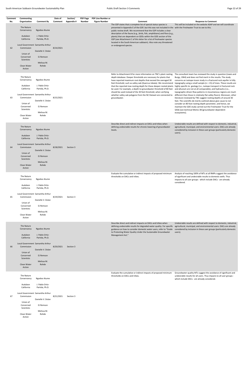| Comment   | Commenting                                                                                                                                       |                                                                                                                                                                     | Date of              | Section/   | <b>PDF Page</b> | <b>PDF Line Number or</b> |                                                                                                                                                                                                                                                                                                                                                                                                                                                                                                                                                                                                                                                                                                                            |                                                                                                                                                                                                                                                                                                                                                                                                                                                                                                                                                                                                                                                                                                                                                                            |
|-----------|--------------------------------------------------------------------------------------------------------------------------------------------------|---------------------------------------------------------------------------------------------------------------------------------------------------------------------|----------------------|------------|-----------------|---------------------------|----------------------------------------------------------------------------------------------------------------------------------------------------------------------------------------------------------------------------------------------------------------------------------------------------------------------------------------------------------------------------------------------------------------------------------------------------------------------------------------------------------------------------------------------------------------------------------------------------------------------------------------------------------------------------------------------------------------------------|----------------------------------------------------------------------------------------------------------------------------------------------------------------------------------------------------------------------------------------------------------------------------------------------------------------------------------------------------------------------------------------------------------------------------------------------------------------------------------------------------------------------------------------------------------------------------------------------------------------------------------------------------------------------------------------------------------------------------------------------------------------------------|
| No.<br>62 | Organization<br>The Nature<br>Conservancy<br>Audubon<br>California<br>Commission<br>Union of<br>Concerned<br>Scientists<br>Clean Water<br>Action | <b>Comment By</b><br>Ngodoo Atume<br>J. Pablo Ortiz-<br>Partida, Ph.D.<br>Local Government Samantha Arthur<br>Danielle V. Dolan<br>EJ Remson<br>Melissa M.<br>Rohde | Comment<br>8/14/2021 | Appendix # | Number          | <b>Figure Number</b>      | Comment<br>The GSP states that a complete list of special status species is<br>presented in Appendix E of the GSP, but this was not included in the with the Freshwater Trust to see to this.<br>public review draft. We recommend that the GSP includes a clear<br>description of the fauna (e.g., birds, fish, amphibians) and flora (e.g.,<br>plants) that are dependent on GDEs within the GDE section of the<br>GSP (see Attachment C of this letter for a list of freshwater species<br>located in the South American subbasin). Also note any threatened<br>or endangered species.                                                                                                                                  | <b>Response to Comment</b><br>This will be included on the website ASAP and we will coordinate                                                                                                                                                                                                                                                                                                                                                                                                                                                                                                                                                                                                                                                                             |
| 63        | The Nature<br>Conservancy<br>Audubon<br>California<br>Commission<br>Union of<br>Concerned<br>Scientists<br>Clean Water<br>Action                 | Ngodoo Atume<br>J. Pablo Ortiz-<br>Partida, Ph.D.<br>Local Government Samantha Arthur<br>Danielle V. Dolan<br>EJ Remson<br>Melissa M.<br>Rohde                      | 8/15/2021            |            |                 |                           | Refer to Attachment B for more information on TNC's plant rooting<br>depth database. Deeper thresholds are necessary for plants that<br>have reported maximum root depths that exceed the averaged 30<br>feet threshold, such as valley oak (Quercus lobata). We recommend<br>that the reported max rooting depth for these deeper-rooted plants highly specific to geology (i.e., isotope transport in fractured rock<br>be used. For example, a depth-to-groundwater threshold of 80 feet<br>should be used instead of the 30 feet threshold, when verifying<br>whether valley oak polygons from the NC Dataset are connected to different than those in relatively flat valley floors). Moreover, other<br>groundwater. | The consultant team has reviewed the study in question (Lewis and<br>Burgy, 1964) and does not find merit in the results. The study<br>concerns an isotope-tracer study in a fractured rock aquifer in hilly<br>topography using a small sample ( $n = 15$ ) of trees. These results are<br>and alluvium are not at all comparable), and hydraulics (i.e.,<br>topographic driven flow patterns in mountainous regions are much<br>literature reviewed by TNC suggest rooting depths of around 30<br>feet. The scientific de-merits outlined above give cause to not<br>consider an 80 foot rooting depth parameter, and hence, we<br>maintain the GDE study carried out the Freshwater Trust for the<br>SASb (see technical Memo 3B (groundwater dependent<br>ecosystems). |
| 64        | The Nature<br>Conservancy<br>Audubon<br>California<br>Commission<br>Union of<br>Concerned<br>Scientists<br>Clean Water<br>Action                 | Ngodoo Atume<br>J. Pablo Ortiz-<br>Partida, Ph.D.<br>Local Government Samantha Arthur<br>Danielle V. Dolan<br>EJ Remson<br>Melissa M.<br>Rohde                      | 8/18/2021            | Section 3  |                 |                           | Describe direct and indirect impacts on DACs and tribes when<br>defining undesirable results for chronic lowering of groundwater<br>levels.                                                                                                                                                                                                                                                                                                                                                                                                                                                                                                                                                                                | Undesirable results are defined with respect to domestic, industrial,<br>agricultural, municipal, and environmental users. DACs are already<br>considered by inclusion in these user groups (particularly domestic<br>users).                                                                                                                                                                                                                                                                                                                                                                                                                                                                                                                                              |
| 65        | The Nature<br>Conservancy<br>Audubon<br>California<br>Commission<br>Union of<br>Concerned<br>Scientists<br>Clean Water<br>Action                 | Ngodoo Atume<br>J. Pablo Ortiz-<br>Partida, Ph.D.<br>Local Government Samantha Arthur<br>Danielle V. Dolan<br>EJ Remson<br>Melissa M.<br>Rohde                      | 8/19/2021            | Section 3  |                 |                           | Evaluate the cumulative or indirect impacts of proposed minimum<br>thresholds on DACs and tribes.                                                                                                                                                                                                                                                                                                                                                                                                                                                                                                                                                                                                                          | Analysis of reaching 100% of MTs at all RMPs suggest the avoidance<br>of significant and undesirable results to domestic wells. Thus<br>impacts to all user groups - which include DACs - are already<br>considered.                                                                                                                                                                                                                                                                                                                                                                                                                                                                                                                                                       |
| 66        | The Nature<br>Conservancy<br>Audubon<br>California<br>Commission<br>Union of<br>Concerned<br>Scientists<br>Clean Water<br>Action                 | Ngodoo Atume<br>J. Pablo Ortiz-<br>Partida, Ph.D.<br>Local Government Samantha Arthur<br>Danielle V. Dolan<br>EJ Remson<br>Melissa M.<br>Rohde                      | 8/20/2021            | Section 3  |                 |                           | Describe direct and indirect impacts on DACs and tribes when<br>defining undesirable results for degraded water quality. For specific agricultural, municipal, and environmental users. DACs are already<br>guidance on how to consider domestic water users, refer to "Guide considered by inclusion in these user groups (particularly domestic<br>to Protecting Water Quality Under the Sustainable Groundwater<br>Management Act."<br>Evaluate the cumulative or indirect impacts of proposed minimum                                                                                                                                                                                                                  | Undesirable results are defined with respect to domestic, industrial,<br>users).<br>Groundwater quality MTs suggest the avoidance of significant and                                                                                                                                                                                                                                                                                                                                                                                                                                                                                                                                                                                                                       |
|           | The Nature                                                                                                                                       |                                                                                                                                                                     |                      |            |                 |                           | thresholds on DACs and tribes.                                                                                                                                                                                                                                                                                                                                                                                                                                                                                                                                                                                                                                                                                             | undesirable results for all users. Thus impacts to all user groups -                                                                                                                                                                                                                                                                                                                                                                                                                                                                                                                                                                                                                                                                                                       |

Conservancy Ngodoo Atume

Audubon California J. Pablo Ortiz‐ Partida, Ph.D.

Local Government Samantha Arthur

Action

| 67 | Commission        |                   | 8/21/2021 | Section 3 |  |
|----|-------------------|-------------------|-----------|-----------|--|
|    |                   | Danielle V. Dolan |           |           |  |
|    | Union of          |                   |           |           |  |
|    | Concerned         | EJ Remson         |           |           |  |
|    | <b>Scientists</b> |                   |           |           |  |
|    |                   | Melissa M.        |           |           |  |
|    | Clean Water       | Rohde             |           |           |  |
|    | $A - 1 - n$       |                   |           |           |  |

which include DACs ‐ are already considered.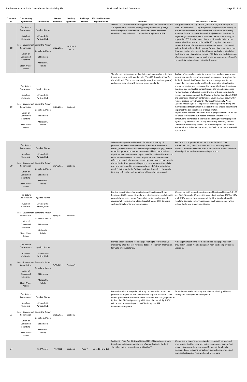L

| Comment<br>No. | Commenting<br>Organization                                                                                                                                           | <b>Comment By</b>                                                                                          | Date of<br>Comment | Section/<br><b>Appendix #</b> | <b>PDF Page</b><br>Number | <b>PDF Line Number or</b><br><b>Figure Number</b> | Comment                                                                                                                                                                                                                                                                                                                                                                                                                                                                                                                                                                                                                                                                                                                                                            | <b>Response to Comment</b>                                                                                                                                                                                                                                                                                                                                                                                                                                                                                                                                                                                                                                                                                                                                                                                                                                                                                                                                                                                                                                                                                                                                                                                                                                                                                                                   |
|----------------|----------------------------------------------------------------------------------------------------------------------------------------------------------------------|------------------------------------------------------------------------------------------------------------|--------------------|-------------------------------|---------------------------|---------------------------------------------------|--------------------------------------------------------------------------------------------------------------------------------------------------------------------------------------------------------------------------------------------------------------------------------------------------------------------------------------------------------------------------------------------------------------------------------------------------------------------------------------------------------------------------------------------------------------------------------------------------------------------------------------------------------------------------------------------------------------------------------------------------------------------|----------------------------------------------------------------------------------------------------------------------------------------------------------------------------------------------------------------------------------------------------------------------------------------------------------------------------------------------------------------------------------------------------------------------------------------------------------------------------------------------------------------------------------------------------------------------------------------------------------------------------------------------------------------------------------------------------------------------------------------------------------------------------------------------------------------------------------------------------------------------------------------------------------------------------------------------------------------------------------------------------------------------------------------------------------------------------------------------------------------------------------------------------------------------------------------------------------------------------------------------------------------------------------------------------------------------------------------------|
| 68             | The Nature<br>Conservancy<br>Audubon<br>California<br>Local Government Samantha Arthur<br>Commission<br>Union of<br>Concerned<br>Scientists<br>Clean Water<br>Action | Ngodoo Atume<br>J. Pablo Ortiz-<br>Partida, Ph.D.<br>Danielle V. Dolan<br>EJ Remson<br>Melissa M.<br>Rohde | 8/22/2021          | Sections 2<br>and 3           |                           |                                                   | Section 2.3.4 (Groundwater quality) discusses TDS, however Section The groundwater quality section (Section 2.3.4) uses analysis of<br>3.3.3 (Maximum threshold for degraded groundwater quality)<br>discusses specific conductivity. Choose one measurement to<br>describe salinity and use it consistently throughout the GSP.                                                                                                                                                                                                                                                                                                                                                                                                                                   | Total Dissolved Solids (TDS), as opposed to specific conductivity, to<br>evaluate salinity levels in the Subbasin as this data is historically<br>abundant for the subbasin. Section 3.3.3 (Maximum threshold for<br>degraded groundwater quality) discusses specific conductivity, as<br>opposed to TDS, for the reason that specific conductivity can be<br>measured with an in-situ probe, while TDS requires laboratory<br>results. This ease of measurement will enable easier collection of<br>salinity data for the subbasin moving forward. We understand that<br>disconnect arises with use of the different methods, but feel that<br>the historic analysis available through TDS data, and the future ease<br>of measurements available through probe measurements of specific<br>conductivity, outweigh any potential disconnect.                                                                                                                                                                                                                                                                                                                                                                                                                                                                                                |
| 69             | The Nature<br>Conservancy<br>Audubon<br>California<br>Local Government Samantha Arthur<br>Commission<br>Union of<br>Concerned<br>Scientists<br>Clean Water<br>Action | Ngodoo Atume<br>J. Pablo Ortiz-<br>Partida, Ph.D.<br>Danielle V. Dolan<br>EJ Remson<br>Melissa M.<br>Rohde | 8/23/2021          | Section 3                     |                           |                                                   | The plan only sets minimum thresholds and measurable objectives<br>for nitrates and specific conductivity. The GSP should set SMC for<br>the additional COCs in the subbasin (arsenic, iron, and manganese)<br>and ensure they align with drinking water standards.                                                                                                                                                                                                                                                                                                                                                                                                                                                                                                | Analysis of the available data for arsenic, iron, and manganese does<br>show that exceedances of these constituents occur throughout the<br>Subbasin. Arsenic is different from iron and manganese for the<br>reason that there are public health risks associated with elevated<br>arsenic concentrations, as opposed to the aesthetic considerations<br>that arise due to elevated concentrations of iron and manganese.<br>Further analysis of elevated concentrations of these constituents<br>reveals that exceedances of the Maximum Contaminant Level (MCL),<br>and Secondary Maximum Contaminant Levels (SMCLs) occur within<br>regions that are served water by Municipal Community Water<br>Systems (this analysis will be presented in an upcoming draft). The<br>monitoring and treatment of these constituents should be sufficient<br>to protect the beneficial users of groundwater.<br>As part of the updated GSP Draft, it is not proposed that SMC be set<br>for these constituents, but instead proposed that the three<br>constituents be included in the two monitoring networks proposed<br>by the GSP (the GSP Water Quality Monitoring Network, and the<br>Community Monitoring Effort). This monitoring data will then be<br>evaluated, and if deemed necessary, SMC will be set in the next GSP<br>update in 2027. |
| 70             | The Nature<br>Conservancy<br>Audubon<br>California<br>Local Government Samantha Arthur<br>Commission<br>Union of<br>Concerned<br>Scientists<br>Clean Water<br>Action | Ngodoo Atume<br>J. Pablo Ortiz-<br>Partida, Ph.D.<br>Danielle V. Dolan<br>EJ Remson<br>Melissa M.<br>Rohde | 8/24/2021          | Section 3                     |                           |                                                   | When defining undesirable results for chronic lowering of<br>groundwater levels and depletions of interconnected surface<br>waters, provide specifics on what biological responses (e.g., extent<br>of habitat, growth, recruitment rates) would best characterize a<br>significant and unreasonable impact to GDEs. Undesirable results to<br>environmental users occur when 'significant and unreasonable'<br>effects on beneficial users are caused by groundwater conditions in<br>the subbasin. Thus, potential impacts on environmental beneficial<br>uses and users need to be considered when defining undesirable<br>results9 in the subbasin. Defining undesirable results is the crucial<br>first step before the minimum thresholds can be determined. | See Technical Appendix 3B and Section 3's Table 3-2 (The<br>Freshwater Trust, 2020). GDE area and NDVI declining below<br>historical observed levels are used as quantitative metrics to define<br>when significant and unreasonable impacts occur.                                                                                                                                                                                                                                                                                                                                                                                                                                                                                                                                                                                                                                                                                                                                                                                                                                                                                                                                                                                                                                                                                          |
| 71             | The Nature<br>Conservancy<br>Audubon<br>California<br>Local Government Samantha Arthur<br>Commission<br>Union of<br>Concerned<br>Scientists<br>Clean Water<br>Action | Ngodoo Atume<br>J. Pablo Ortiz-<br>Partida, Ph.D.<br>Danielle V. Dolan<br>EJ Remson<br>Melissa M.<br>Rohde | 8/29/2021          | Section 3                     |                           |                                                   | Provide maps that overlay monitoring well locations with the<br>potentially impacted areas. Ensure that existing and proposed<br>representative monitoring sites adequately cover DAC, domestic<br>well, and tribal portions of the subbasin.                                                                                                                                                                                                                                                                                                                                                                                                                                                                                                                      | We provide both maps of monitoring well locations (Section 3.3.1.3)<br>locations of DACs, domestic wells, and tribal areas to clearly identify and DACs (Appendix 1D, page 69). Analysis of reaching 100% of MTs<br>at all RMPs suggest the avoidance of significant and undesirable<br>results to domestic wells. Thus impacts to all user groups - which<br>include DACs - are already considered.                                                                                                                                                                                                                                                                                                                                                                                                                                                                                                                                                                                                                                                                                                                                                                                                                                                                                                                                         |
| 72             | The Nature<br>Conservancy<br>Audubon<br>California<br>Local Government Samantha Arthur<br>Commission<br>Union of<br>Concerned<br>Scientists<br>Clean Water<br>Action | Ngodoo Atume<br>J. Pablo Ortiz-<br>Partida, Ph.D.<br>Danielle V. Dolan<br>EJ Remson<br>Melissa M.<br>Rohde | 8/30/2021          | Section 3                     |                           |                                                   | Provide specific steps to fill data gaps relating to representative<br>monitoring sites that lack historical data or well screen information<br>for wells on private lands.                                                                                                                                                                                                                                                                                                                                                                                                                                                                                                                                                                                        | A management action to fill the described data gaps has been<br>provided in Section 4 and a budgetary item has been provided in<br>Section 5.                                                                                                                                                                                                                                                                                                                                                                                                                                                                                                                                                                                                                                                                                                                                                                                                                                                                                                                                                                                                                                                                                                                                                                                                |
| 73             | The Nature<br>Conservancy<br>Audubon<br>California<br>Local Government Samantha Arthur<br>Commission<br>Union of<br>Concerned<br>Scientists<br>Clean Water<br>Action | Ngodoo Atume<br>J. Pablo Ortiz-<br>Partida, Ph.D.<br>Danielle V. Dolan<br>EJ Remson<br>Melissa M.<br>Rohde | 8/31/2021          | Section 3                     |                           |                                                   | Determine what ecological monitoring can be used to assess the<br>potential for significant and unreasonable impacts to GDEs or ISWs throughout the implementation period.<br>due to groundwater conditions in the subbasin. The GSP (Appendix 3-<br>B) describes GDE analyses using NDVI. Describe more fully if NDVI<br>will be used to assess impacts to GDEs during the GSP<br>implementation phase.                                                                                                                                                                                                                                                                                                                                                           | Groundwater level monitoring and NDVI monitoring will occur                                                                                                                                                                                                                                                                                                                                                                                                                                                                                                                                                                                                                                                                                                                                                                                                                                                                                                                                                                                                                                                                                                                                                                                                                                                                                  |
| 74             |                                                                                                                                                                      | Carl Werder                                                                                                | 7/5/2021           | Section 3                     | Page 7                    | Lines 104 and 105                                 | Section 3 - Page 7 of 85, Lines 104 and 105., This sentence should<br>include remediation as a major use of groundwater in the basin<br>since they extract approximately 30,000 AF/yr.                                                                                                                                                                                                                                                                                                                                                                                                                                                                                                                                                                             | We see the reviewer's perspective, but technically remediated<br>groundwater is either returned to the groundwater system (and<br>hence not consumed), or consumed for one of the already<br>mentioned uses including agricultural, domestic, industrial, and<br>municipal categories. Thus, we keep the text as-is.                                                                                                                                                                                                                                                                                                                                                                                                                                                                                                                                                                                                                                                                                                                                                                                                                                                                                                                                                                                                                         |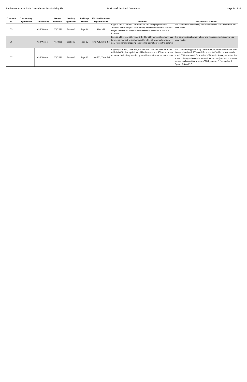| Comment | Commenting   |                   | Date of  | Section/   | <b>PDF Page</b> | <b>PDF Line Number or</b> |                                                                                                                                                                                                                                                                               |                                                                                                                                                                                                                                                                                                                                                                                                                                                         |
|---------|--------------|-------------------|----------|------------|-----------------|---------------------------|-------------------------------------------------------------------------------------------------------------------------------------------------------------------------------------------------------------------------------------------------------------------------------|---------------------------------------------------------------------------------------------------------------------------------------------------------------------------------------------------------------------------------------------------------------------------------------------------------------------------------------------------------------------------------------------------------------------------------------------------------|
| No.     | Organization | <b>Comment By</b> | Comment  | Appendix # | <b>Number</b>   | <b>Figure Number</b>      | Comment                                                                                                                                                                                                                                                                       | <b>Response to Comment</b>                                                                                                                                                                                                                                                                                                                                                                                                                              |
| 75      |              | Carl Werder       | 7/5/2021 | Section 3  | Page 14         | Line 363                  | Page 14 of 85, Line 363., Introduction of a new project called<br>"Harvest Water Project" without any explanation of what this is or<br>maybe I missed it? Need to refer reader to Section 4.4.1 at this<br>location.                                                         | This comment is well taken, and the requested cross-reference has<br>been made.                                                                                                                                                                                                                                                                                                                                                                         |
| 76      |              | Carl Werder       | 7/5/2021 | Section 3  | Page 32         | Line 791, Table 3-3       | Page 32 of 85, Line 791, Table 3-3., The 50th percentile column has This comment is also well taken, and the requested rounding has<br>figures carried out to the hundredths while all other columns are<br>not. Recommend dropping the decimal point figures in this column. | been made.                                                                                                                                                                                                                                                                                                                                                                                                                                              |
| 77      |              | Carl Werder       | 7/5/2021 | Section 3  | Page 40         | Line 852, Table 3-4       | table is DWR's, but again it would be better to add SCGA's numbers IDs associated with SCGA well IDs in the SMC table. Unfortunately,                                                                                                                                         | Page 40, Line 852, Table 3-4., It is assumed that the 'Well ID' in this This comment suggests using the shorter, more easily-readable well<br>to locate the hydrograph that goes with the information in the table. not all DWR state well IDs are also SCGA wells. Hence, we revise the<br>entire ordering to be consistent with a direction (south to north) and<br>a more easily readable scheme ("RMP number"). See updated<br>Figures 3-4 and 3-5. |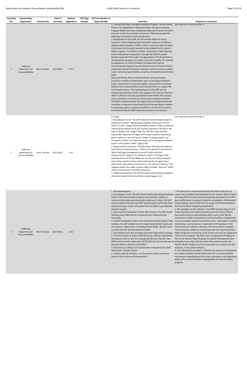| Comment<br>No. | Commenting<br>Organization                       | <b>Comment By</b> | Date of<br>Comment | Section/<br>Appendix # | <b>PDF Page</b><br>Number | <b>PDF Line Number or</b><br><b>Figure Number</b> | Comment                                                                                                                                                                                                                                                                                                                                                                                                                                                                                                                                                                                                                                                                                                                                                                                                                                                                                                                                                                                                                                                                                                                                                                                                                                                                                                                                                                                                                                                                                                                                                                                                                                                                                                                                                                                                                                                                                 | <b>Response to Comment</b>                                                                                                                                                                                                                                                                                                                                                                                                                                                                                                                                                                                                                                                                                                                                                                                                                                                                                                                                                                                                                                                                                                                                                                                                                                                                                                                       |
|----------------|--------------------------------------------------|-------------------|--------------------|------------------------|---------------------------|---------------------------------------------------|-----------------------------------------------------------------------------------------------------------------------------------------------------------------------------------------------------------------------------------------------------------------------------------------------------------------------------------------------------------------------------------------------------------------------------------------------------------------------------------------------------------------------------------------------------------------------------------------------------------------------------------------------------------------------------------------------------------------------------------------------------------------------------------------------------------------------------------------------------------------------------------------------------------------------------------------------------------------------------------------------------------------------------------------------------------------------------------------------------------------------------------------------------------------------------------------------------------------------------------------------------------------------------------------------------------------------------------------------------------------------------------------------------------------------------------------------------------------------------------------------------------------------------------------------------------------------------------------------------------------------------------------------------------------------------------------------------------------------------------------------------------------------------------------------------------------------------------------------------------------------------------------|--------------------------------------------------------------------------------------------------------------------------------------------------------------------------------------------------------------------------------------------------------------------------------------------------------------------------------------------------------------------------------------------------------------------------------------------------------------------------------------------------------------------------------------------------------------------------------------------------------------------------------------------------------------------------------------------------------------------------------------------------------------------------------------------------------------------------------------------------------------------------------------------------------------------------------------------------------------------------------------------------------------------------------------------------------------------------------------------------------------------------------------------------------------------------------------------------------------------------------------------------------------------------------------------------------------------------------------------------|
|                |                                                  |                   |                    |                        |                           |                                                   | 8. Comment #8 Water Storage Investment Program, Harvest Water See response to comment No. 3<br>Project: The Department's dedicated Water Storage Investment                                                                                                                                                                                                                                                                                                                                                                                                                                                                                                                                                                                                                                                                                                                                                                                                                                                                                                                                                                                                                                                                                                                                                                                                                                                                                                                                                                                                                                                                                                                                                                                                                                                                                                                             |                                                                                                                                                                                                                                                                                                                                                                                                                                                                                                                                                                                                                                                                                                                                                                                                                                                                                                                                                                                                                                                                                                                                                                                                                                                                                                                                                  |
| 1              | California<br>Department of<br>Fish and Wildlife | Kevin Thomas      | 8/17/2021          | 4.4.1                  |                           |                                                   | Program (WSIP) staff have completed additional review of the GSP's<br>inclusion of the Harvest Water Project as a PMA and provide the<br>following comments for GSA consideration.<br>a. Background: In July 2018, the Sacramento Regional County<br>Sanitation District (Regional San) received a maximum conditional<br>eligibility determination of \$287.5 million from the California Water<br>Commission for the public benefits to be provided by the Harvest<br>Water Program. The California Water Commission is administering<br>funds dedicated by Proposition 1 through the WSIP for public<br>benefits associated with water storage projects. The Department is<br>the administering agency for public ecosystem benefits. As required<br>by regulations, to receive funding, the Department will be<br>contracting with Regional San for administration of Harvest Water's<br>proposed ecosystem benefits to riparian, wetland, Greater sandhill<br>crane, and vernal pool habitats, as well as increased Cosumnes River<br>flows.<br>More specifically, three of Harvest Water's proposed public<br>ecosystem benefits are dependent upon increasing groundwater<br>levels: enhancement of riparian habitat, enhancement of wetland<br>habitat, and increased flows in the Cosumnes River to support fall-<br>run Chinook salmon. The implementation of the GSP and the<br>resultant groundwater levels in the subbasin will influence Harvest<br>Water's ability to increase groundwater levels within their project<br>area to elevations necessary for these public ecosystem benefits.<br>The WSIP contract between the Department and Regional San will<br>constitute a long-term commitment by the Harvest Water Program<br>to administer public ecosystem benefits for the life of the project,<br>estimated during the WSIP application process to be 84 years. |                                                                                                                                                                                                                                                                                                                                                                                                                                                                                                                                                                                                                                                                                                                                                                                                                                                                                                                                                                                                                                                                                                                                                                                                                                                                                                                                                  |
| 2              | California<br>Department of<br>Fish and Wildlife | Kevin Thomas      | 8/17/2021          | 4.4.1                  |                           |                                                   | b. Issues:<br>i. Groundwater Levels: The GSP states the Harvest Water project is<br>expected to restore "depleted groundwater levels up to 35 feet<br>within 15 years" (page 4-8) but elsewhere states "model simulations<br>indicate groundwater levels will increase upwards of 25 feet in the<br>main recharge zone" (page 3-44). The GSP also notes that the<br>measurable objectives for eight of the representative monitoring<br>points "within or near the Harvest Water recharge project" are<br>increased to reflect "an aspirational goal of increasing groundwater<br>levels in the southern SASb" (page 3-44).<br>ii. Measurement Frequency: The GSP states "All wells will collect at<br>least biannual measurements Wells in or adjacent to the Harvest<br>Water Recharge management zone will collect monthly<br>measurements" (page 3-57). However, Figure 3-23 (page 3-60)<br>indicates that most of the RMPs near the Harvest Water program<br>area will be monitored biannually (indicated by the green dots)<br>while other areas will be monitored on a 15-minute frequency. This<br>mapping leaves the reader to guess which of these "biannual" RMPs<br>will be monitored on a monthly frequency.<br>iii. Model Assumptions: The GSP describes only limited assumptions<br>utilized to model the Harvest Water project (page 4-21).                                                                                                                                                                                                                                                                                                                                                                                                                                                                                                                             | See response to comment No. 3                                                                                                                                                                                                                                                                                                                                                                                                                                                                                                                                                                                                                                                                                                                                                                                                                                                                                                                                                                                                                                                                                                                                                                                                                                                                                                                    |
| 3              | California<br>Department of<br>Fish and Wildlife | Kevin Thomas      | 8/17/2021          | 4.4.1                  |                           |                                                   | c. Recommendations:<br>i. Groundwater Levels: The GSP should clarify expected groundwater comes from available documentation for the Harvest Water Project,<br>levels in the Harvest Water program area and their relation to<br>minimum thresholds and measurable objectives. Further, the GSP<br>should explicitly describe how GSP implementation will meet these<br>aspirational goals, which will support Harvest Water's groundwater<br>elevation targets.<br>ii. Measurement Frequency: For the sake of clarity, the GSP should<br>indicate which RMPs will be monitored more frequently than<br>biannually.<br>iii. Model Assumptions: Due to the importance of this project in the<br>subbasin, the GSP should more thoroughly describe the inputs and<br>assumptions utilized when modeling Harvest Water. Specific topics<br>on which the GSP should elaborate include:<br>1. The locations of in-lieu recharge and winter application recharge.<br>2. The total volume of water delivered to the subbasin. Specifically,<br>the volume of the in-lieu net recharge (22,500 Acre Feet per Year<br>[AFY]) and the winter application (8,750 AFY) do not correctly sum to anticipate future data sharing so that data collected under the<br>the total delivery volume (41,250 AFY).<br>3. Restrictions to delivery of recycled water imposed by the 2019<br>Wastewater Change Petition.<br>4. Project ramp-up timing (i.e., as the project ramps up delivery                                                                                                                                                                                                                                                                                                                                                                                                                  | i. The description of expected benefits described in Section 4.4<br>and may differ from the results of modeling simulated for the GSP<br>due to differences in project or baseline assumptions. Refinements<br>of groundwater level benefits for the project will be developed by<br>the Harvest Water program going forward.<br>ii. We apologize for the confusion. The RMP network (Figure 3-23)<br>shows biannual well monitoring within and near Harvest Water;<br>these wells will be monitored biannually as part of the GSP for<br>comparison to SMC and assessment of the avoidance of significant<br>and unreasonable impacts to beneficial users. Importantly, monthly<br>monitoring is not necessary or required for GSP purposes in the<br>South American Subbasin. However, the Harvest Water Program<br>may incorporate additional monitoring wells and may incorporate<br>higher frequency monitoring, to the extent necessary to support the<br>needs of that program. The GSAs have coordinated with Regional<br>San on the Harvest Water Program during GSP development and<br>Harvest Water Program can be incorporated into analyses for GSP<br>purposes, to the extent relevant.<br>iii. The information provided is sufficient for purposes of describing<br>the model simulation performed for the GSP. For more detailed |

volumes from startup to full operation).

the model simulation performed for the GSP. For more detailed assumptions regarding potential project parameters and operations, please refer to documentation developed by the Harvest Water program.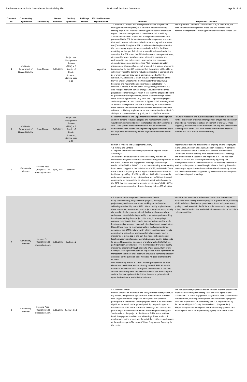| Comment        | Commenting                                       |                                                    | Date of   | Section/                                                                                                             | <b>PDF Page</b> | PDF Line Number or   |                                                                                                                                                                                                                                                                                                                                                                                                                                                                                                                                                                                                                                                                                                                                                                                                                                                                                                                                                                                                                                                                                                                                                                                                                                                                                                                                                                                                                                                                                                                                                                                                                                                                                                                                                                                                                                                                                                                                                                                                                                                                                                                                            |                                                                                                                                                                                                                                                                                                                                                                                                                                                                                                                                                                                          |
|----------------|--------------------------------------------------|----------------------------------------------------|-----------|----------------------------------------------------------------------------------------------------------------------|-----------------|----------------------|--------------------------------------------------------------------------------------------------------------------------------------------------------------------------------------------------------------------------------------------------------------------------------------------------------------------------------------------------------------------------------------------------------------------------------------------------------------------------------------------------------------------------------------------------------------------------------------------------------------------------------------------------------------------------------------------------------------------------------------------------------------------------------------------------------------------------------------------------------------------------------------------------------------------------------------------------------------------------------------------------------------------------------------------------------------------------------------------------------------------------------------------------------------------------------------------------------------------------------------------------------------------------------------------------------------------------------------------------------------------------------------------------------------------------------------------------------------------------------------------------------------------------------------------------------------------------------------------------------------------------------------------------------------------------------------------------------------------------------------------------------------------------------------------------------------------------------------------------------------------------------------------------------------------------------------------------------------------------------------------------------------------------------------------------------------------------------------------------------------------------------------------|------------------------------------------------------------------------------------------------------------------------------------------------------------------------------------------------------------------------------------------------------------------------------------------------------------------------------------------------------------------------------------------------------------------------------------------------------------------------------------------------------------------------------------------------------------------------------------------|
| No.            | Organization                                     | <b>Comment By</b>                                  | Comment   | Appendix #                                                                                                           | <b>Number</b>   | <b>Figure Number</b> | Comment                                                                                                                                                                                                                                                                                                                                                                                                                                                                                                                                                                                                                                                                                                                                                                                                                                                                                                                                                                                                                                                                                                                                                                                                                                                                                                                                                                                                                                                                                                                                                                                                                                                                                                                                                                                                                                                                                                                                                                                                                                                                                                                                    | <b>Response to Comment</b>                                                                                                                                                                                                                                                                                                                                                                                                                                                                                                                                                               |
| 4              | California<br>Department of<br>Fish and Wildlife | Kevin Thomas                                       | 8/17/2021 | Project and<br>Management<br>Actions<br>(PMA); 4.6<br>Results of<br>Model<br>Scenarios;<br>starting page<br>$4 - 20$ |                 | page 4-20            | 7. Comment #7 Project and Management Actions (Project and<br>Management Actions (PMA); 4.6 Results of Model Scenarios;<br>starting page 4-20): Projects and management actions that would<br>support demand management in the subbasin lack specificity.<br>a. Issue: The modeled project and management action scenarios<br>presented in the GSP include two demand management scenarios<br>that would involve reductions in both urban and agricultural water<br>use (Table 4-3). Though the GSP provides detailed explanations for<br>the three supply augmentation scenarios included in the PMA<br>modeling, similar specificity is not provided for demand reduction<br>scenarios. The GSP states that 2020 urban water management plans,<br>developed by water supply agencies within the subbasin, are<br>anticipated to lead to increased conservation and encourage<br>demand management scenarios (line 786). However, as water<br>management plan specifics are not provided, it is unclear whether it<br>is reasonable for the GSP to assume that these plans will be able to<br>collectively meet the demand reductions modeled in Scenario 1 and<br>2, or when and how they would be implemented within the<br>subbasin. PMA Scenario 5, which includes implementation of the<br>Harvest Water, Omochumne-Hartnell Water District (OHWD)<br>Recharge, and Regional Conjunctive Use projects (Table 4-4,<br>Scenario 5) results in an annual net storage change deficit of 100<br>acre-feet per year with climate change. Should any of the three<br>projects encounter delays or result in less than the projected benefit<br>to groundwater storage volumes, annual subbasin storage deficits<br>could increase significantly. Only six of the 172 potential projects<br>and management actions presented in Appendix 4-A are categorized<br>as demand management; the lack of specificity for how and when<br>these demand reduction actions would be implemented within the<br>subbasin could delay implementation and undermine the subbasin's<br>ability to achieve sustainability goals, particularly if the expected | See response to Comment 23 for Section 3. If, in the future, the<br>need for demand management arises, the GSA may consider<br>demand management as a management action under a revised GSP.                                                                                                                                                                                                                                                                                                                                                                                             |
| 5              | California<br>Department of<br>Fish and Wildlife | Kevin Thomas                                       | 8/17/2021 | Project and<br>Management<br>Actions<br>(PMA); 4.6<br>Results of<br>Model<br>Scenarios;<br>starting page<br>$4 - 20$ |                 | page 4-20            | b. Recommendation: The Department recommends detailing when<br>and how demand reduction projects and management actions<br>would be implemented to meet the targets outlined in Scenarios 1<br>and 2. Add specific measures that would lead to initiation of<br>demand reduction actions should planned projects within the basin<br>fail to provide the necessary benefit to groundwater levels in the<br>subbasin.                                                                                                                                                                                                                                                                                                                                                                                                                                                                                                                                                                                                                                                                                                                                                                                                                                                                                                                                                                                                                                                                                                                                                                                                                                                                                                                                                                                                                                                                                                                                                                                                                                                                                                                       | Failure to meet SMC and avoid undesirable results could lead to<br>further exploration of demand management and/or implementation<br>of additional recharge projects as an element of the GSP. These<br>triggering mechanisms will be evaluated annually and considered in<br>5-year updates to the GSP. Best available information does not<br>indicate that such actions will be necessary.                                                                                                                                                                                            |
| 6              | Community<br>Member                              | Suzanne Pecci<br>(916) 893-3139<br>slpecci@aol.com | 8/18/2021 | Section 4                                                                                                            |                 |                      | Section 4. Projects and Management Action,<br>4.1 History and Context<br>8. Regional Water Reliablity Plan prepared for Regional Water<br>Authority-<br>2019 Neither a discussion of the RWA Reliability Plan nor an<br>overview of the general concepts of water banking were provided in added to Section 4 to provide greater clarity regarding the<br>the Public Outreach and Engagement Meetings or workshops<br>conducted by SCGA or OHWD. It is my understanding water banking work with the parties involved in regional water banking discussion<br>is an overarching goal in the SASb for both SCGA, and OHWD. There<br>is the potential to partcipate in a regional water bank in the SASb<br>facilitated by staffing of SCGA by SGA and RWA which is currently<br>under consideration In my opinion there was suffficient time and<br>opportunity for the public to be informed about water banking in<br>the SASb, but the conversation seem to get stuck on SGMA 101 The<br>public requires an overview of water banking before GSP adoption.                                                                                                                                                                                                                                                                                                                                                                                                                                                                                                                                                                                                                                                                                                                                                                                                                                                                                                                                                                                                                                                                                | Regional water banking discussions are ongoing among key players<br>in the North Amercian and South Amercian subbasins. A complete<br>public process will occur as those plans become more detailed.<br>Discussions of water banking were described in GSPWG meetings<br>and are described in Section 4 and Appendix 4-A. Text has been<br>management action in the GSP which calls for action by the GSAs to<br>to develop a regional water bank and associated accounting system.<br>This measure was widely supported by GSPWG members and public<br>participants in public meetings. |
| $\overline{7}$ | Community<br>Member                              | Suzanne Pecci<br>(916) 893-3139<br>slpecci@aol.com |           | 8/18/2021 Section 4.2                                                                                                |                 |                      | 4.2 Projects and Managements Actions under SGMA.<br>In my understanding, recycled water projects, recharge<br>projects, conjunctive use and water banking are the basis for<br>achieving sustainability in the SASb. Water quality implications of<br>these innovative new concepts and projects were not appropriately<br>disclosed to the large community of shallow well owners whose<br>wells could potentially be impacted by poor water quality resulting<br>from implementing these projects. Recently, in attempting to<br>compare recent water tests results from our private well to wells<br>locations similar to my ag res parcel, directly adjacent to agriculture,<br>I found there were no monitoring wells in the SASb monitoring<br>network or the GAMA network with which I could compare results.<br>A monitoring network, of shallow wells including water quality<br>monitoring is a data gap in the GSP that needs to be addressed.<br>Exisiting water moniitoring data, including water quality data needs<br>to be readily accessible to owners of shallow wells. GSAs that are<br>participating in groundwater level monitoring and/or water quality<br>monitoring programs through the State Water Board, DWR or any<br>County or State Agency must be be required as Public Agencies to be<br>transparent and share their data with the public by making it readily<br>accessible to the public on their websites. An good example is the<br><b>UC Davis</b><br>Well Monitoring project in OHWD. Water quality should be as an<br>element of the shallow well monitoring network PMA with wells<br>located in a variety of areas throughout the rural area in the SASb.                                                                                                                                                                                                                                                                                                                                                                                                                                         | Modifications were made to Section 4 to describe the activities<br>associated with a well protection program in greater detail, including<br>additional data collection for groundwater levels and groundwater<br>quality in shallow wells in the SASb. A volunteer monitoring network<br>is described in Section 4 as a vehicle for implementation of such data<br>collection activities.                                                                                                                                                                                               |

Harvest Water is an innovative and costly recycled water project, in with broad-based support among State and local agencies and my opinion, designed for agriulture and enviornmental interests with targeted outreach to specific participants and potential participants in the Harvest Water program. There is no evidence of significant outreach to the general public by the public agencies involved since 2011 to the present as the design and construction phases begin. An overview of Harvest Water Program by Regional San introduced the project to the General Public in the last few Public Enegagement and Outreach Meetings, There are lots of moving parts to the project and the public has not been made aware of the entire scope tof he Harvest Water Program and financing for the project.

Shallow monitoring wells should be included in GSP annual reports and the five year update of the GSP as the data is gathered and

quantified and made available for inclusion.

<sup>8</sup> Community Member

Suzanne Pecci (916) 893‐3139 8/18/2021 Section 4.4.1 slpecci@aol.com

## 4.4.1 Harvest Water

The Harvest Water project has moved forward over the past decade stakeholders. A public engagement program has been conducted for Harvest Water, including development and adoption of a program‐ level and project‐level EIR conforming to CEQA requirements by Sacramento REgional County Sanittion Distrct (Regional San). REsponsbility for continued public outreach and engagement rests with Regional San as he implementing agency for Harvest Water.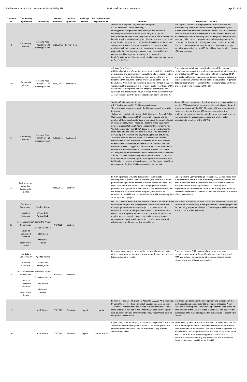| Comment<br>No. | Commenting<br>Organization                                                                                                                                           | <b>Comment By</b>                                                                                          | Date of<br>Comment | Section/<br>Appendix#   | <b>PDF Page</b><br>Number | <b>PDF Line Number or</b><br><b>Figure Number</b> | Comment                                                                                                                                                                                                                                                                                                                                                                                                                                                                                                                                                                                                                                                                                                                                                                                                                                                                                                                                                                                                                                                                                                                                                                                                                                                                                                                                                                                                                                                            | <b>Response to Comment</b>                                                                                                                                                                                                                                                                                                                                                                                                                                                                                                                                                                                                                               |
|----------------|----------------------------------------------------------------------------------------------------------------------------------------------------------------------|------------------------------------------------------------------------------------------------------------|--------------------|-------------------------|---------------------------|---------------------------------------------------|--------------------------------------------------------------------------------------------------------------------------------------------------------------------------------------------------------------------------------------------------------------------------------------------------------------------------------------------------------------------------------------------------------------------------------------------------------------------------------------------------------------------------------------------------------------------------------------------------------------------------------------------------------------------------------------------------------------------------------------------------------------------------------------------------------------------------------------------------------------------------------------------------------------------------------------------------------------------------------------------------------------------------------------------------------------------------------------------------------------------------------------------------------------------------------------------------------------------------------------------------------------------------------------------------------------------------------------------------------------------------------------------------------------------------------------------------------------------|----------------------------------------------------------------------------------------------------------------------------------------------------------------------------------------------------------------------------------------------------------------------------------------------------------------------------------------------------------------------------------------------------------------------------------------------------------------------------------------------------------------------------------------------------------------------------------------------------------------------------------------------------------|
| 9              | Community<br>Member                                                                                                                                                  | Suzanne Pecci<br>(916) 893-3139<br>slpecci@aol.com                                                         |                    | 8/18/2021 Section 4.4.3 |                           |                                                   | Section 4.4.3 Regional Conjunctive Use Program<br>4.4.3.8 Estimated Cost and Funding<br>Funding of these highly innovative concepts and innovative<br>technologies planned for the SASb carry big price tags for<br>construction, operated and ongoing maintenance. Transparency has<br>been lacking from GSAs planning and developing these projects and<br>more detailed information is required in this GSP for public review<br>and comment. Public/Private Partnerships as potential funding<br>mechanisms for development and operation of many of these<br>projects in the planning stages has not been discussed in Public<br>Outreach and Engaagement meetings . It is my opinion<br>Public/private partnerships are required o be addressed as a matter<br>of The Public Trust.                                                                                                                                                                                                                                                                                                                                                                                                                                                                                                                                                                                                                                                                          | The regional conjunctive use project described in the GSP and<br>modeled using the CoSANA model will be implemented by the<br>individual entities described in Section 4 of the GSP. These entities<br>have performed similar projects over the past several decades and<br>will be responsible for following applicable regulatory requirements,<br>meeting public outreach requirements and acquiring funding for<br>continued implementation of conjunctive use projects in the SASb.<br>GSAs will communicate and coordinate with these water supply<br>agencies, as described in the GSP, but will not bear the direct burden<br>of implementation. |
| 10             | Community<br>Member                                                                                                                                                  | Suzanne Pecci<br>(916) 893-3139<br>slpecci@aol.com                                                         | 8/18/2021          | Section 4.4             |                           |                                                   | 4.4 Near Term Projects<br>public review and comment which would include proposed funding<br>sources. For instance the Interconnection between the City of<br>Folsom and Omochumne-Hartnell Water District at the Folsom<br>words about this project which a review of public records and LAFCo project are beyond the scope of the GSP.<br>documents in, my opinion, indicate proposed construction and<br>operation of a direct potable reuse recycled water facility in OHWD.<br>At least those of us in the district should know about this project.                                                                                                                                                                                                                                                                                                                                                                                                                                                                                                                                                                                                                                                                                                                                                                                                                                                                                                            | Prior to implementation of specific elements of the regional<br>Additional detail and nformation needs to be provided in the GSP for conjunctive use project, the implementing agencies (in this case, the<br>City of Folsom and OHWD) will need to fulfill all regulatory, CEQA<br>and public notification requirements. Some of these projects are at<br>the concept level where additional detail is unavailable. In general,<br>South Canal Project. The public should be provided more than a few detailed descriptions of the elements of the regional conjunctive use                                                                             |
| 11             | Community<br>Member                                                                                                                                                  | Suzanne Pecci<br>(916) 893-3139<br>slpecci@aol.com                                                         | 8/18/2021          | Section 4.7             |                           |                                                   | Section 4.7 Management Actions<br>4.7.1 Shallow/vulnerable Well Protection Program<br>There is a large ag res presence in the SASb dependent on private<br>individual<br>shallow wells as their sole source of drinking water. Through Public<br>Outreach and Engagement SCGA successfully reached a large<br>number of these irural residents who expressed their great interest acceptable to members of the GSPWG.<br>in having a Shallow Well Protection Program. There have beenn<br>numerous presentations at Public Engagement Meetings, Ag res<br>Workshops and at a recent SCGA Board meeting to articulate the<br>many decisions and considerations that have to be addressed in<br>developing a Well Potection plan, including the lack of funding.<br>There has been no decision by the GSAs in the SASb to move<br>forward with at Well protection Plan for the ag res wells owners. I<br>understand in order to be funded in the GSP, there has to be an<br>identified Project. I suggest this section of the GSP be amended to<br>include: a formal decision by SCGA and the affected GSAs in the<br>SASb supporting development of a Well Protection Plan Framework;<br>a Project framework be developed for inclusion in the current GSP<br>that includes application for grant funding currently available from<br>DWR and a request for technical support and funding from DWR for<br>development of a Pilot Well Protection Plan for the SASb. | As noted by the commenter, significant time and energy has been<br>spent in GSPWG and public meetings to discuss inclusion of a well<br>protection program in the GSP. The result of those discussions is<br>captured in Section 4 of the GSP, where a commitment to<br>implement a mangement action and the process to develop and a<br>framework for the program is described at a level of detail                                                                                                                                                                                                                                                     |
| 12             | Environmental<br>Council of<br>Sacramento<br>(ECOS)                                                                                                                  |                                                                                                            | 6/18/2021          | Section 4               |                           |                                                   | Section 4 provides complete discussions of the Projects<br>contemplated as part of the GSP. However, we believe that water<br>purveyor and Agriculture demand reduction should be added. The<br>GSPD discusses a 10% demand reduction programs for water<br>purveyors and Agriculture. While time may not be sufficient to redo implementation of UWMPs by urban water purveyors in the SASb,<br>the analysis to incorporate these programs, they should be<br>described in the GSPD and included in the next GSP five-year update of future conditions.<br>as Group 1 and 2 projects.                                                                                                                                                                                                                                                                                                                                                                                                                                                                                                                                                                                                                                                                                                                                                                                                                                                                             | See response to Comment No. 69 for Section 3. Demand reduction<br>is anticipated to occur in the future through actions by others, but<br>has not been assumed in Scenarios 4 and 5 described in Section 4.<br>Since demand reduction is planned to occur through the<br>the results described in Scenarios 4 and 5 are conservative estimates                                                                                                                                                                                                                                                                                                           |
| 13             | The Nature<br>Conservancy<br>Audubon<br>California<br>Local Government Samantha Arthur<br>Commission<br>Union of<br>Concerned<br>Scientists<br>Clean Water<br>Action | Ngodoo Atume<br>J. Pablo Ortiz-<br>Partida, Ph.D.<br>Danielle V. Dolan<br>EJ Remson<br>Melissa M.<br>Rohde | 9/1/2021           | Section 4               |                           |                                                   | For DACs, include a discussion of whether potential impacts to water The project proponents for each project included in the GSP will be<br>quality from projects and management actions could occur. For<br>example, groundwater recharge projects can have potential<br>negative impacts to water quality which could cause undesirable<br>results to drinking water beneficial users. Ensure that appropriate<br>monitoring and mitigation aspects are included in the project<br>development plans for recharge projects. Refer to Appendix B for<br>drinking water well impact mitigation guidance.                                                                                                                                                                                                                                                                                                                                                                                                                                                                                                                                                                                                                                                                                                                                                                                                                                                           | responsible for monitoring water quality effects of their projects and<br>for mitigating any potential impacts. These aspects will be addressed<br>as the projects are implemented.                                                                                                                                                                                                                                                                                                                                                                                                                                                                      |
| 14             | The Nature<br>Conservancy<br>Audubon<br>California<br>Local Government Samantha Arthur<br>Commission<br>Union of<br>Concerned<br>Scientists<br>Clean Water<br>Action | Ngodoo Atume<br>J. Pablo Ortiz-<br>Partida, Ph.D.<br>Danielle V. Dolan<br>EJ Remson<br>Melissa M.<br>Rohde | 9/2/2021           | Section 4               |                           |                                                   | Develop management actions that incorporate climate and water<br>delivery uncertainties to address future water demand and prevent<br>future undesirable results.                                                                                                                                                                                                                                                                                                                                                                                                                                                                                                                                                                                                                                                                                                                                                                                                                                                                                                                                                                                                                                                                                                                                                                                                                                                                                                  | Currently planned PMA substantially improve groundwater<br>elevations (Appendix 3A, Figure 8) and avoid undesirable results.<br>PMA also include regional conjunctive use, which incorporate<br>climate and water delivery uncertainties.                                                                                                                                                                                                                                                                                                                                                                                                                |
| 15             |                                                                                                                                                                      | Carl Werder                                                                                                | 7/5/2021           | Section 4               | Page 6                    | Line 64                                           | Section 4 – Page 6 of 44, Line 64., Again the 273,000 AF is a red flag. Information pertaining to the development and utilization of the<br>By using the words, "development of a sustainable yield value of<br>273,000 AF" makes it sound as though this number was based on<br>some criteria. It was not, it was simply negotiated between parties<br>such as developers and environmental folks. Recommend deleting<br>this part of the sentence.                                                                                                                                                                                                                                                                                                                                                                                                                                                                                                                                                                                                                                                                                                                                                                                                                                                                                                                                                                                                               | existing sustainable yield estimate is a matter of record. A new<br>sustainable yield figure has been developed for the SASb based on<br>consideration of the SMC described in Section 3. The basis for this<br>estimate and the methodology used in its derivation is described in<br>Section 2.                                                                                                                                                                                                                                                                                                                                                        |
| 16             |                                                                                                                                                                      | Carl Werder                                                                                                | 7/5/2021           | Section 4               | Page 6                    | Lines 66 and 67                                   | 2006 Groundwater Management Plan has in it action plans if the<br>criteria is exceeded and in 15 years not once has any of these<br>actions been taken.                                                                                                                                                                                                                                                                                                                                                                                                                                                                                                                                                                                                                                                                                                                                                                                                                                                                                                                                                                                                                                                                                                                                                                                                                                                                                                            | Page 6 of 44, Lines 66 and 67., It should also be pointed out that the As required by SGMA, the GSP for the SASb clearly outlines the SMC<br>and monitoring network that will be implemented to ensure that<br>undesirable results do not occur. The GSP outlines the process that<br>will be used to address problems that may arise in the attainment of<br>SMC at representative monitoring points in the SASb. Past<br>performance in implementing the 2006 GMP is not indicative of<br>future actions taken by GSA under this GSP.                                                                                                                  |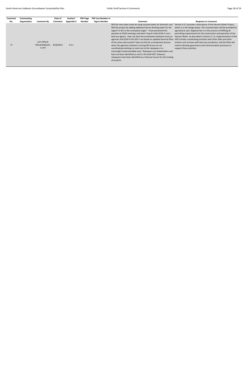| Comment | Commenting   |                                     | Date of   | Section/   | <b>PDF Page</b> | <b>PDF Line Number or</b> |                                                                                                                                                                                                                                                                                                                                                                                                                                                                                                                                                                                                                                                                                                                                                                                                                                                                                                                 |                                                                                                                                                                                                                                                                                                                                                                                                                                                                                                                                  |
|---------|--------------|-------------------------------------|-----------|------------|-----------------|---------------------------|-----------------------------------------------------------------------------------------------------------------------------------------------------------------------------------------------------------------------------------------------------------------------------------------------------------------------------------------------------------------------------------------------------------------------------------------------------------------------------------------------------------------------------------------------------------------------------------------------------------------------------------------------------------------------------------------------------------------------------------------------------------------------------------------------------------------------------------------------------------------------------------------------------------------|----------------------------------------------------------------------------------------------------------------------------------------------------------------------------------------------------------------------------------------------------------------------------------------------------------------------------------------------------------------------------------------------------------------------------------------------------------------------------------------------------------------------------------|
| No.     | Organization | <b>Comment By</b>                   | Comment   | Appendix # | <b>Number</b>   | <b>Figure Number</b>      | Comment                                                                                                                                                                                                                                                                                                                                                                                                                                                                                                                                                                                                                                                                                                                                                                                                                                                                                                         | <b>Response to Comment</b>                                                                                                                                                                                                                                                                                                                                                                                                                                                                                                       |
|         |              | Lynn Wheat<br>Wheat91@yaho<br>o.com | 8/18/2021 | 4.4.1      |                 |                           | Will the new urban areas be using recycled water for domestic use?<br>Will this project be adding additional future drinking water for the<br>region? Is this in the conceptual stage? I have presented this<br>question at SCGA meetings and what I heard is that SCGA is not a<br>land use agency. How can there be coordination between land use<br>agencies and SCGA if the GSP is not based on updated General Plans GSP includes coordinating activities with other GSAs and other<br>of the cities and counties? How can this be a transparent process<br>when the agencies involved in serving Elk Grove are not<br>coordinating meetings to reach out to the ratepayers in a<br>meaningful understandable way? Ratepayers are Stakeholders and<br>have not been identified as such in the draft GSP. However,<br>ratepayers have been identified as a financial source for the funding<br>of projects. | Section 4.4.1 provides a description of the Harvest Water Project,<br>which is in the design phase. The recycled water will be provided for<br>agricultural uses. Regional San is in the process of fulfilling all<br>permitting requirements for the construction and operation of the<br>Harvest Water. As described in Section 5.1.4, implementation of the<br>entities such as those with land use jurisdiction, and the GSAs will<br>need to develop governance and communication processes to<br>support these activities. |